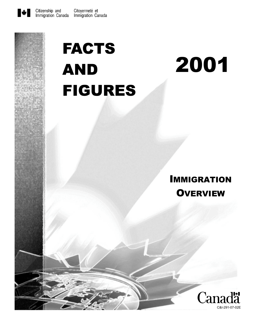

Citizenship and<br>Immigration Canada Citoyenneté et<br>Immigration Canada

# FACTS AND FIGURES

2001

### **IMMIGRATION OVERVIEW**

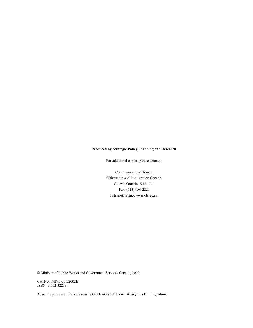#### **Produced by Strategic Policy, Planning and Research**

For additional copies, please contact:

Communications Branch Citizenship and Immigration Canada Ottawa, Ontario K1A 1L1 Fax: (613) 954-2221 **Internet: http://www.cic.gc.ca**

© Minister of Public Works and Government Services Canada, 2002

Cat. No. MP43-333/2002E ISBN 0-662-32213-4

Aussi disponible en français sous le titre **Faits et chiffres : Aperçu de l'immigration.**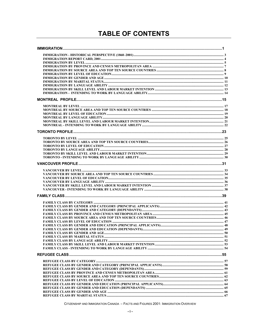### **TABLE OF CONTENTS**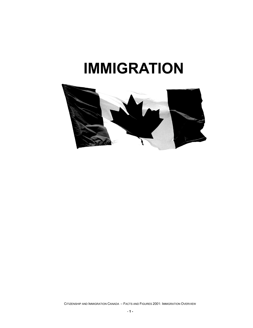### **IMMIGRATION**

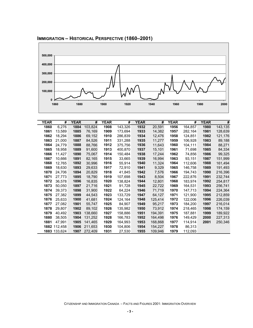

#### **IMMIGRATION – HISTORICAL PERSPECTIVE (1860–2001)**

| <b>YEAR</b> | #            | <b>YEAR</b> | #       | <b>YEAR</b> | #       | <b>YEAR</b> | #       | <b>YEAR</b> | #       | <b>YEAR</b> | #       |
|-------------|--------------|-------------|---------|-------------|---------|-------------|---------|-------------|---------|-------------|---------|
| 1860        | 6,276        | 1884        | 103,824 | 1908        | 143,326 | 1932        | 20,591  | 1956        | 164,857 | 1980        | 143,135 |
| 1861        | 13,589       | 1885        | 76.169  | 1909        | 173.694 | 1933        | 14,382  | 1957        | 282.164 | 1981        | 128,639 |
| 1862        | 18,294       | 1886        | 69,152  | 1910        | 286,839 | 1934        | 12,476  | 1958        | 124,851 | 1982        | 121,176 |
| 1863        | 21.000       | 1887        | 84,526  | 1911        | 331,288 | 1935        | 11,277  | 1959        | 106,928 | 1983        | 89,188  |
| 1864        | 24,779       | 1888        | 88,766  | 1912        | 375,756 | 1936        | 11,643  | 1960        | 104,111 | 1984        | 88,271  |
| 1865        | 18,958       | 1889        | 91,600  | 1913        | 400,870 | 1937        | 15,101  | 1961        | 71,698  | 1985        | 84,334  |
| 1866        | 11,427       | 1890        | 75,067  | 1914        | 150,484 | 1938        | 17,244  | 1962        | 74,856  | 1986        | 99,325  |
| 1867        | 10,666       | 1891        | 82,165  | 1915        | 33,665  | 1939        | 16,994  | 1963        | 93,151  | 1987        | 151,999 |
| 1868        | 12,765       | 1892        | 30,996  | 1916        | 55,914  | 1940        | 11,324  | 1964        | 112,606 | 1988        | 161,494 |
| 1869        | 18,630       | 1893        | 29,633  | 1917        | 72,910  | 1941        | 9,329   | 1965        | 146,758 | 1989        | 191,493 |
| 1870        | 24,706       | 1894        | 20,829  | 1918        | 41,845  | 1942        | 7,576   | 1966        | 194,743 | 1990        | 216,396 |
| 1871        | 27.773       | 1895        | 18.790  | 1919        | 107.698 | 1943        | 8,504   | 1967        | 222,876 | 1991        | 232,744 |
| 1872        | 36,578       | 1896        | 16,835  | 1920        | 138,824 | 1944        | 12,801  | 1968        | 183,974 | 1992        | 254,817 |
| 1873        | 50.050       | 1897        | 21,716  | 1921        | 91,728  | 1945        | 22,722  | 1969        | 164,531 | 1993        | 256,741 |
| 1874        | 39,373       | 1898        | 31,900  | 1922        | 64,224  | 1946        | 71,719  | 1970        | 147,713 | 1994        | 224,364 |
| 1875        | 27,382       | 1899        | 44,543  | 1923        | 133,729 | 1947        | 64,127  | 1971        | 121,900 | 1995        | 212,859 |
| 1876        | 25,633       | 1900        | 41.681  | 1924        | 124,164 | 1948        | 125,414 | 1972        | 122,006 | 1996        | 226,039 |
| 1877        | 27,082       | 1901        | 55,747  | 1925        | 84,907  | 1949        | 95,217  | 1973        | 184,200 | 1997        | 216,014 |
| 1878        | 29.807       | 1902        | 89,102  | 1926        | 135,982 | 1950        | 73,912  | 1974        | 218,465 | 1998        | 174,159 |
| 1879        | 40,492       | 1903        | 138,660 | 1927        | 158,886 | 1951        | 194,391 | 1975        | 187,881 | 1999        | 189,922 |
| 1880        | 38.505       | 1904        | 131,252 | 1928        | 166,783 | 1952        | 164,498 | 1976        | 149,429 | 2000        | 227,313 |
| 1881        | 47,991       | 1905        | 141,465 | 1929        | 164,993 | 1953        | 168,868 | 1977        | 114,914 | 2001        | 250,346 |
| 1882        | 112.458      | 1906        | 211,653 | 1930        | 104,806 | 1954        | 154,227 | 1978        | 86,313  |             |         |
|             | 1883 133.624 | 1907        | 272.409 | 1931        | 27.530  | 1955        | 109,946 | 1979        | 112.093 |             |         |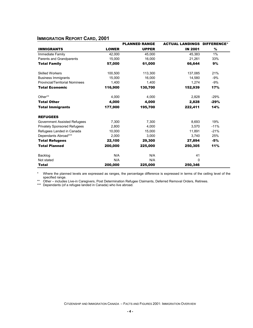#### **IMMIGRATION REPORT CARD, 2001**

|                                     |              | <b>PLANNED RANGE</b> | <b>ACTUAL LANDINGS</b> | <b>DIFFERENCE*</b> |
|-------------------------------------|--------------|----------------------|------------------------|--------------------|
| <b>IMMIGRANTS</b>                   | <b>LOWER</b> | <b>UPPER</b>         | <b>IN 2001</b>         | %                  |
| Immediate Family                    | 42,000       | 45,000               | 45,383                 | 1%                 |
| Parents and Grandparents            | 15.000       | 16,000               | 21,261                 | 33%                |
| <b>Total Family</b>                 | 57,000       | 61,000               | 66,644                 | 9%                 |
| <b>Skilled Workers</b>              | 100,500      | 113,300              | 137,085                | 21%                |
| <b>Business Immigrants</b>          | 15,000       | 16,000               | 14,580                 | $-9%$              |
| Provincial/Territorial Nominees     | 1,400        | 1,400                | 1,274                  | -9%                |
| <b>Total Economic</b>               | 116,900      | 130,700              | 152,939                | 17%                |
| Other**                             | 4,000        | 4,000                | 2,828                  | $-29%$             |
| <b>Total Other</b>                  | 4,000        | 4,000                | 2,828                  | $-29%$             |
| <b>Total Immigrants</b>             | 177,900      | 195,700              | 222,411                | 14%                |
| <b>REFUGEES</b>                     |              |                      |                        |                    |
| <b>Government Assisted Refugees</b> | 7.300        | 7.300                | 8.693                  | 19%                |
| <b>Privately Sponsored Refugees</b> | 2.800        | 4.000                | 3.570                  | $-11%$             |
| Refugees Landed in Canada           | 10,000       | 15,000               | 11,891                 | $-21%$             |
| Dependants Abroad***                | 2,000        | 3,000                | 3,740                  | 25%                |
| <b>Total Refugees</b>               | 22,100       | 29,300               | 27,894                 | -5%                |
| <b>Total Planned</b>                | 200,000      | 225,000              | 250,305                | 11%                |
| Backlog                             | N/A          | N/A                  | 41                     |                    |
| Not stated                          | N/A          | N/A                  | 0                      |                    |
| <b>Total</b>                        | 200,000      | 225,000              | 250,346                |                    |

\* Where the planned levels are expressed as ranges, the percentage difference is expressed in terms of the ceiling level of the specified range.

\*\* Other – includes Live-in Caregivers, Post Determination Refugee Claimants, Deferred Removal Orders, Retirees.

\*\*\* Dependants (of a refugee landed in Canada) who live abroad.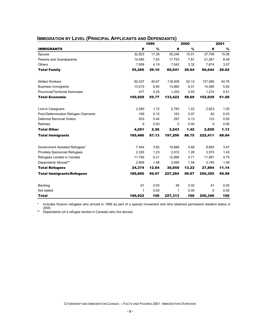#### **IMMIGRATION BY LEVEL (PRINCIPAL APPLICANTS AND DEPENDANTS)**

|                                        |         | 1999  |         | 2000  |         | 2001  |
|----------------------------------------|---------|-------|---------|-------|---------|-------|
| <b>IMMIGRANTS</b>                      | #       | %     | #       | %     | #       | %     |
| Spouse                                 | 32,823  | 17.28 | 35,246  | 15.51 | 37,709  | 15.06 |
| Parents and Grandparents               | 14,485  | 7.63  | 17,753  | 7.81  | 21,261  | 8.49  |
| <b>Others</b>                          | 7,958   | 4.19  | 7,542   | 3.32  | 7,674   | 3.07  |
| <b>Total Family</b>                    | 55,266  | 29.10 | 60,541  | 26.64 | 66,644  | 26.62 |
| <b>Skilled Workers</b>                 | 92,437  | 48.67 | 118,509 | 52.13 | 137,085 | 54.76 |
| <b>Business Immigrants</b>             | 13,015  | 6.85  | 13,660  | 6.01  | 14,580  | 5.82  |
| <b>Provincial/Territorial Nominees</b> | 477     | 0.25  | 1,253   | 0.55  | 1,274   | 0.51  |
| <b>Total Economic</b>                  | 105,929 | 55.77 | 133,422 | 58.69 | 152,939 | 61.09 |
| Live-in Caregivers                     | 3,260   | 1.72  | 2,783   | 1.22  | 2,623   | 1.05  |
| Post-Determination Refugee Claimants   | 189     | 0.10  | 163     | 0.07  | 82      | 0.03  |
| Deferred Removal Orders                | 833     | 0.44  | 297     | 0.13  | 123     | 0.05  |
| <b>Retirees</b>                        | 9       | 0.00  | 0       | 0.00  | 0       | 0.00  |
| <b>Total Other</b>                     | 4,291   | 2.26  | 3,243   | 1.42  | 2,828   | 1.13  |
| <b>Total Immigrants</b>                | 165,486 | 87.13 | 197,206 | 86.75 | 222,411 | 88.84 |
| Government Assisted Refugees*          | 7,444   | 3.92  | 10,666  | 4.69  | 8,693   | 3.47  |
| <b>Privately Sponsored Refugees</b>    | 2,330   | 1.23  | 2,912   | 1.28  | 3,570   | 1.43  |
| Refugees Landed in Canada              | 11,792  | 6.21  | 12,990  | 5.71  | 11,891  | 4.75  |
| Dependants Abroad**                    | 2,808   | 1.48  | 3,490   | 1.54  | 3,740   | 1.49  |
| <b>Total Refugees</b>                  | 24,374  | 12.84 | 30,058  | 13.22 | 27,894  | 11.14 |
| <b>Total Immigrants/Refugees</b>       | 189,860 | 99.97 | 227,264 | 99.97 | 250,305 | 99.98 |
| Backlog                                | 61      | 0.03  | 48      | 0.02  | 41      | 0.02  |
| Not stated                             | 1       | 0.00  | 1       | 0.00  | 0       | 0.00  |
| <b>Total</b>                           | 189,922 | 100   | 227,313 | 100   | 250,346 | 100   |

\* Includes Kosovo refugees who arrived in 1999 as part of a special movement and who obtained permanent resident status in 2000.

\*\* Dependants (of a refugee landed in Canada) who live abroad.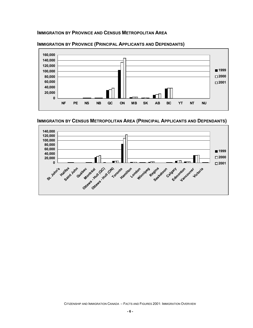#### **IMMIGRATION BY PROVINCE AND CENSUS METROPOLITAN AREA**



#### **IMMIGRATION BY PROVINCE (PRINCIPAL APPLICANTS AND DEPENDANTS)**

#### **IMMIGRATION BY CENSUS METROPOLITAN AREA (PRINCIPAL APPLICANTS AND DEPENDANTS)**

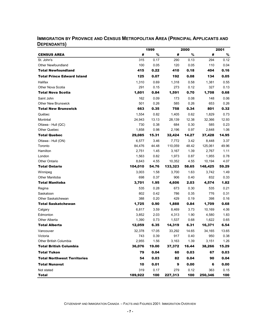#### **IMMIGRATION BY PROVINCE AND CENSUS METROPOLITAN AREA (PRINCIPAL APPLICANTS AND DEPENDANTS)**

|                                    |         | 1999  |         | 2000  |         | 2001  |
|------------------------------------|---------|-------|---------|-------|---------|-------|
| <b>CENSUS AREA</b>                 | #       | %     | #       | %     | #       | %     |
| St. John's                         | 315     | 0.17  | 290     | 0.13  | 294     | 0.12  |
| <b>Other Newfoundland</b>          | 100     | 0.05  | 120     | 0.05  | 110     | 0.04  |
| <b>Total Newfoundland</b>          | 415     | 0.22  | 410     | 0.18  | 404     | 0.16  |
| <b>Total Prince Edward Island</b>  | 125     | 0.07  | 192     | 0.08  | 134     | 0.05  |
| Halifax                            | 1,310   | 0.69  | 1,318   | 0.58  | 1,381   | 0.55  |
| Other Nova Scotia                  | 291     | 0.15  | 273     | 0.12  | 327     | 0.13  |
| <b>Total Nova Scotia</b>           | 1,601   | 0.84  | 1,591   | 0.70  | 1,708   | 0.68  |
| Saint John                         | 162     | 0.09  | 173     | 0.08  | 148     | 0.06  |
| <b>Other New Brunswick</b>         | 501     | 0.26  | 585     | 0.26  | 653     | 0.26  |
| <b>Total New Brunswick</b>         | 663     | 0.35  | 758     | 0.34  | 801     | 0.32  |
| Québec                             | 1,554   | 0.82  | 1,405   | 0.62  | 1,829   | 0.73  |
| Montréal                           | 24,943  | 13.13 | 28,139  | 12.38 | 32,366  | 12.93 |
| Ottawa - Hull (QC)                 | 730     | 0.38  | 684     | 0.30  | 585     | 0.23  |
| <b>Other Quebec</b>                | 1,858   | 0.98  | 2,196   | 0.97  | 2,648   | 1.06  |
| <b>Total Quebec</b>                | 29,085  | 15.31 | 32,424  | 14.27 | 37,428  | 14.95 |
| Ottawa - Hull (ON)                 | 6,577   | 3.46  | 7,772   | 3.42  | 8,448   | 3.37  |
| Toronto                            | 84,476  | 44.48 | 110,059 | 48.42 | 125,061 | 49.96 |
| Hamilton                           | 2,751   | 1.45  | 3,167   | 1.39  | 2,767   | 1.11  |
| London                             | 1,563   | 0.82  | 1,973   | 0.87  | 1,955   | 0.78  |
| <b>Other Ontario</b>               | 8,643   | 4.55  | 10,352  | 4.55  | 10,194  | 4.07  |
| <b>Total Ontario</b>               | 104,010 | 54.76 | 133,323 | 58.65 | 148,425 | 59.29 |
| Winnipeg                           | 3,003   | 1.58  | 3,700   | 1.63  | 3,742   | 1.49  |
| Other Manitoba                     | 698     | 0.37  | 906     | 0.40  | 832     | 0.33  |
| Total Manitoba                     | 3,701   | 1.95  | 4,606   | 2.03  | 4,574   | 1.82  |
| Regina                             | 535     | 0.28  | 673     | 0.30  | 535     | 0.21  |
| Saskatoon                          | 802     | 0.42  | 786     | 0.35  | 776     | 0.31  |
| Other Saskatchewan                 | 388     | 0.20  | 429     | 0.19  | 398     | 0.16  |
| Total Saskatchewan                 | 1,725   | 0.90  | 1,888   | 0.84  | 1,709   | 0.68  |
| Calgary                            | 6,817   | 3.59  | 8,469   | 3.73  | 10,169  | 4.06  |
| Edmonton                           | 3,852   | 2.03  | 4,313   | 1.90  | 4,580   | 1.83  |
| <b>Other Alberta</b>               | 1,390   | 0.73  | 1,537   | 0.68  | 1,622   | 0.65  |
| <b>Total Alberta</b>               | 12,059  | 6.35  | 14,319  | 6.31  | 16,371  | 6.54  |
| Vancouver                          | 32,378  | 17.05 | 33,292  | 14.65 | 34,165  | 13.65 |
| Victoria                           | 743     | 0.39  | 917     | 0.40  | 950     | 0.38  |
| Other British Columbia             | 2,955   | 1.56  | 3,163   | 1.39  | 3,151   | 1.26  |
| <b>Total British Columbia</b>      | 36,076  | 19.00 | 37,372  | 16.44 | 38,266  | 15.29 |
| <b>Total Yukon</b>                 | 79      | 0.04  | 60      | 0.03  | 67      | 0.03  |
| <b>Total Northwest Territories</b> | 54      | 0.03  | 82      | 0.04  | 90      | 0.04  |
| <b>Total Nunavut</b>               | 10      | 0.01  | 9       | 0.00  | 6       | 0.00  |
| Not stated                         | 319     | 0.17  | 279     | 0.12  | 363     | 0.15  |
| <b>Total</b>                       | 189,922 | 100   | 227,313 | 100   | 250,346 | 100   |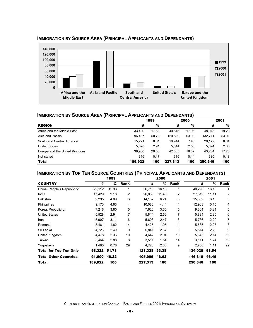

#### **IMMIGRATION BY SOURCE AREA (PRINCIPAL APPLICANTS AND DEPENDANTS)**

#### **IMMIGRATION BY SOURCE AREA (PRINCIPAL APPLICANTS AND DEPENDANTS)**

|                               | 1999    |       |         | 2000  |         | 2001  |  |
|-------------------------------|---------|-------|---------|-------|---------|-------|--|
| <b>REGION</b>                 | #       | %     | #       | %     | #       | %     |  |
| Africa and the Middle East    | 33.490  | 17.63 | 40.815  | 17.96 | 48.078  | 19.20 |  |
| Asia and Pacific              | 96,437  | 50.78 | 120,539 | 53.03 | 132,711 | 53.01 |  |
| South and Central America     | 15,221  | 8.01  | 16.944  | 7.45  | 20.129  | 8.04  |  |
| United States                 | 5,528   | 2.91  | 5,814   | 2.56  | 5.894   | 2.35  |  |
| Europe and the United Kingdom | 38,930  | 20.50 | 42,885  | 18.87 | 43.204  | 17.26 |  |
| Not stated                    | 316     | 0.17  | 316     | 0.14  | 330     | 0.13  |  |
| Total                         | 189.922 | 100   | 227.313 | 100   | 250,346 | 100   |  |

#### **IMMIGRATION BY TOP TEN SOURCE COUNTRIES (PRINCIPAL APPLICANTS AND DEPENDANTS)**

|                               |         | 1999  |      |         | 2000  |             |         | 2001  |             |
|-------------------------------|---------|-------|------|---------|-------|-------------|---------|-------|-------------|
| <b>COUNTRY</b>                | #       | %     | Rank | #       | %     | <b>Rank</b> | #       | %     | <b>Rank</b> |
| China, People's Republic of   | 29,112  | 15.33 | 1    | 36,715  | 16.15 | 1           | 40,296  | 16.10 |             |
| India                         | 17,429  | 9.18  | 2    | 26,086  | 11.48 | 2           | 27.812  | 11.11 | 2           |
| Pakistan                      | 9,295   | 4.89  | 3    | 14,182  | 6.24  | 3           | 15,339  | 6.13  | 3           |
| Philippines                   | 9,170   | 4.83  | 4    | 10,086  | 4.44  | 4           | 12,903  | 5.15  | 4           |
| Korea, Republic of            | 7,216   | 3.80  | 5    | 7,626   | 3.35  | 5           | 9,604   | 3.84  | 5           |
| <b>United States</b>          | 5,528   | 2.91  | 7    | 5,814   | 2.56  | 7           | 5,894   | 2.35  | 6           |
| Iran                          | 5,907   | 3.11  | 6    | 5,608   | 2.47  | 8           | 5,736   | 2.29  | 7           |
| Romania                       | 3,461   | 1.82  | 14   | 4,425   | 1.95  | 11          | 5,585   | 2.23  | 8           |
| Sri Lanka                     | 4,723   | 2.49  | 9    | 5,841   | 2.57  | 6           | 5,514   | 2.20  | 9           |
| United Kingdom                | 4,478   | 2.36  | 10   | 4,647   | 2.04  | 10          | 5,345   | 2.14  | 10          |
| Taiwan                        | 5,464   | 2.88  | 8    | 3,511   | 1.54  | 14          | 3,111   | 1.24  | 19          |
| Yugoslavia                    | 1,490   | 0.78  | 29   | 4,723   | 2.08  | 9           | 2,786   | 1.11  | 22          |
| <b>Total for Top Ten Only</b> | 98,322  | 51.78 |      | 121,328 | 53.38 |             | 134,028 | 53.54 |             |
| <b>Total Other Countries</b>  | 91,600  | 48.22 |      | 105,985 | 46.62 |             | 116,318 | 46.46 |             |
| Total                         | 189,922 | 100   |      | 227,313 | 100   |             | 250,346 | 100   |             |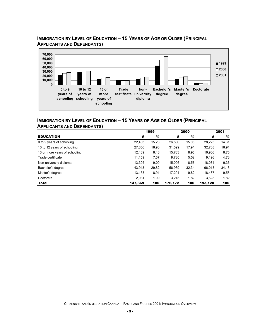#### **IMMIGRATION BY LEVEL OF EDUCATION – 15 YEARS OF AGE OR OLDER (PRINCIPAL APPLICANTS AND DEPENDANTS)**



#### **IMMIGRATION BY LEVEL OF EDUCATION – 15 YEARS OF AGE OR OLDER (PRINCIPAL APPLICANTS AND DEPENDANTS)**

|                               | 1999    | 2000  |         | 2001  |         |       |
|-------------------------------|---------|-------|---------|-------|---------|-------|
| <b>EDUCATION</b>              | #       | %     | #       | %     | #       | %     |
| 0 to 9 years of schooling     | 22,483  | 15.26 | 26,506  | 15.05 | 28,223  | 14.61 |
| 10 to 12 years of schooling   | 27,856  | 18.90 | 31,599  | 17.94 | 32,708  | 16.94 |
| 13 or more years of schooling | 12,469  | 8.46  | 15,763  | 8.95  | 16,906  | 8.75  |
| Trade certificate             | 11,159  | 7.57  | 9,730   | 5.52  | 9,196   | 4.76  |
| Non-university diploma        | 13,395  | 9.09  | 15,096  | 8.57  | 18.084  | 9.36  |
| Bachelor's degree             | 43,943  | 29.82 | 56,969  | 32.34 | 66,013  | 34.18 |
| Master's degree               | 13,133  | 8.91  | 17,294  | 9.82  | 18.467  | 9.56  |
| Doctorate                     | 2,931   | 1.99  | 3.215   | 1.82  | 3,523   | 1.82  |
| Total                         | 147,369 | 100   | 176,172 | 100   | 193,120 | 100   |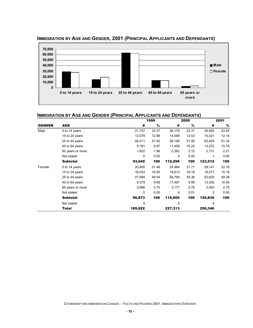

#### **IMMIGRATION BY AGE AND GENDER, 2001 (PRINCIPAL APPLICANTS AND DEPENDANTS)**

#### **IMMIGRATION BY AGE AND GENDER (PRINCIPAL APPLICANTS AND DEPENDANTS)**

|               |                  |         | 1999  |         |       | 2001    |       |
|---------------|------------------|---------|-------|---------|-------|---------|-------|
| <b>GENDER</b> | <b>AGE</b>       | #       | ℅     | #       | %     | #       | %     |
| Male          | 0 to 14 years    | 21,747  | 23.37 | 26,176  | 23.31 | 29,082  | 23.55 |
|               | 15 to 24 years   | 12,079  | 12.98 | 14,069  | 12.53 | 15,021  | 12.16 |
|               | 25 to 44 years   | 48,211  | 51.82 | 58,168  | 51.80 | 63,405  | 51.34 |
|               | 45 to 64 years   | 9,181   | 9.87  | 11,499  | 10.24 | 13,272  | 10.75 |
|               | 65 years or more | 1,822   | 1.96  | 2,382   | 2.12  | 2,731   | 2.21  |
|               | Not stated       | 0       | 0.00  | 4       | 0.00  | 1       | 0.00  |
|               | <b>Subtotal</b>  | 93,040  | 100   | 112,298 | 100   | 123,512 | 100   |
| Female        | 0 to 14 years    | 20,805  | 21.48 | 24,964  | 21.71 | 28,141  | 22.19 |
|               | 15 to 24 years   | 16,033  | 16.55 | 18,613  | 16.18 | 19,271  | 15.19 |
|               | 25 to 44 years   | 47,994  | 49.54 | 56,764  | 49.36 | 62,625  | 49.38 |
|               | 45 to 64 years   | 9,375   | 9.68  | 11,491  | 9.99  | 13,300  | 10.49 |
|               | 65 years or more | 2,666   | 2.75  | 3,171   | 2.76  | 3,493   | 2.75  |
|               | Not stated       | 0       | 0.00  | 6       | 0.01  | 0       | 0.00  |
|               | <b>Subtotal</b>  | 96,873  | 100   | 115,009 | 100   | 126,830 | 100   |
|               | Not stated       | 9       |       | 6       |       | 4       |       |
|               | Total            | 189,922 |       | 227,313 |       | 250,346 |       |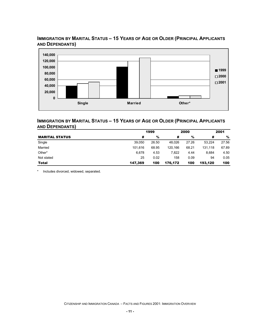#### **IMMIGRATION BY MARITAL STATUS – 15 YEARS OF AGE OR OLDER (PRINCIPAL APPLICANTS AND DEPENDANTS)**



#### **IMMIGRATION BY MARITAL STATUS – 15 YEARS OF AGE OR OLDER (PRINCIPAL APPLICANTS AND DEPENDANTS)**

|                       | 1999    |       |         | 2000  |         | 2001  |
|-----------------------|---------|-------|---------|-------|---------|-------|
| <b>MARITAL STATUS</b> | #       | %     | #       | %     | #       | %     |
| Single                | 39.050  | 26.50 | 48.026  | 27.26 | 53.224  | 27.56 |
| Married               | 101.616 | 68.95 | 120.166 | 68.21 | 131.118 | 67.89 |
| Other*                | 6,678   | 4.53  | 7,822   | 4.44  | 8,684   | 4.50  |
| Not stated            | 25      | 0.02  | 158     | 0.09  | 94      | 0.05  |
| Total                 | 147,369 | 100   | 176.172 | 100   | 193.120 | 100   |

\* Includes divorced, widowed, separated.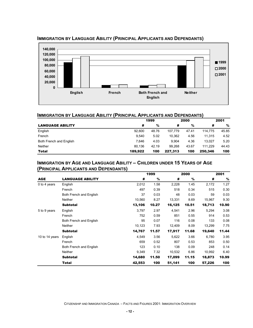

#### **IMMIGRATION BY LANGUAGE ABILITY (PRINCIPAL APPLICANTS AND DEPENDANTS)**

#### **IMMIGRATION BY LANGUAGE ABILITY (PRINCIPAL APPLICANTS AND DEPENDANTS)**

|                         | 1999    |       |         | 2000  |         | 2001  |  |
|-------------------------|---------|-------|---------|-------|---------|-------|--|
| <b>LANGUAGE ABILITY</b> | #       | %     | #       | %     | #       | %     |  |
| English                 | 92.600  | 48.76 | 107.779 | 47.41 | 114.775 | 45.85 |  |
| French                  | 9.540   | 5.02  | 10.362  | 4.56  | 11.315  | 4.52  |  |
| Both French and English | 7.646   | 4.03  | 9.904   | 4.36  | 13.027  | 5.20  |  |
| Neither                 | 80.136  | 42.19 | 99.268  | 43.67 | 111.229 | 44.43 |  |
| Total                   | 189.922 | 100   | 227.313 | 100   | 250.346 | 100   |  |

#### **IMMIGRATION BY AGE AND LANGUAGE ABILITY – CHILDREN UNDER 15 YEARS OF AGE (PRINCIPAL APPLICANTS AND DEPENDANTS)**

|                | <b>LANGUAGE ABILITY</b> |        | 1999  |        |       | 2001   |       |  |
|----------------|-------------------------|--------|-------|--------|-------|--------|-------|--|
| <b>AGE</b>     |                         | #      | $\%$  | #      | ℅     | #      | %     |  |
| 0 to 4 years   | English                 | 2,012  | 1.58  | 2,228  | 1.45  | 2,172  | 1.27  |  |
|                | French                  | 497    | 0.39  | 518    | 0.34  | 515    | 0.30  |  |
|                | Both French and English | 37     | 0.03  | 48     | 0.03  | 59     | 0.03  |  |
|                | <b>Neither</b>          | 10,560 | 8.27  | 13,331 | 8.69  | 15,967 | 9.30  |  |
|                | <b>Subtotal</b>         | 13,106 | 10.27 | 16,125 | 10.51 | 18,713 | 10.90 |  |
| 5 to 9 years   | English                 | 3,797  | 2.97  | 4,541  | 2.96  | 5,294  | 3.08  |  |
|                | French                  | 752    | 0.59  | 851    | 0.55  | 914    | 0.53  |  |
|                | Both French and English | 95     | 0.07  | 116    | 0.08  | 133    | 0.08  |  |
|                | Neither                 | 10,123 | 7.93  | 12,409 | 8.09  | 13,299 | 7.75  |  |
|                | <b>Subtotal</b>         | 14,767 | 11.57 | 17,917 | 11.68 | 19,640 | 11.44 |  |
| 10 to 14 years | English                 | 4,549  | 3.56  | 5,622  | 3.66  | 6,780  | 3.95  |  |
|                | French                  | 659    | 0.52  | 807    | 0.53  | 853    | 0.50  |  |
|                | Both French and English | 123    | 0.10  | 138    | 0.09  | 248    | 0.14  |  |
|                | Neither                 | 9,349  | 7.32  | 10,532 | 6.86  | 10,992 | 6.40  |  |
|                | <b>Subtotal</b>         | 14,680 | 11.50 | 17,099 | 11.15 | 18,873 | 10.99 |  |
|                | Total                   | 42,553 | 100   | 51,141 | 100   | 57,226 | 100   |  |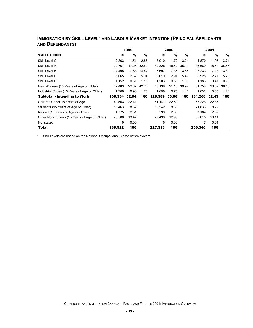|                                              |         | 1999  | 2000  |         |       |             | 2001    |       |       |  |
|----------------------------------------------|---------|-------|-------|---------|-------|-------------|---------|-------|-------|--|
| <b>SKILL LEVEL</b>                           | #       | %     | %     | #       | %     | %           | #       | %     | %     |  |
| Skill Level O                                | 2,863   | 1.51  | 2.85  | 3,910   | 1.72  | 3.24        | 4,870   | 1.95  | 3.71  |  |
| Skill Level A                                | 32,767  | 17.25 | 32.59 | 42,328  |       | 18.62 35.10 | 46,669  | 18.64 | 35.55 |  |
| Skill Level B                                | 14,495  | 7.63  | 14.42 | 16,697  | 7.35  | 13.85       | 18,233  | 7.28  | 13.89 |  |
| Skill Level C                                | 5.065   | 2.67  | 5.04  | 6,619   | 2.91  | 5.49        | 6,928   | 2.77  | 5.28  |  |
| Skill Level D                                | 1,152   | 0.61  | 1.15  | 1.203   | 0.53  | 1.00        | 1.183   | 0.47  | 0.90  |  |
| New Workers (15 Years of Age or Older)       | 42.483  | 22.37 | 42.26 | 48,136  | 21.18 | 39.92       | 51,753  | 20.67 | 39.43 |  |
| Industrial Codes (15 Years of Age or Older)  | 1,709   | 0.90  | 1.70  | 1,696   | 0.75  | 1.41        | 1,632   | 0.65  | 1.24  |  |
| <b>Subtotal - Intending to Work</b>          | 100,534 | 52.94 | 100   | 120,589 | 53.06 | 100         | 131,268 | 52.43 | 100   |  |
| Children Under 15 Years of Age               | 42,553  | 22.41 |       | 51,141  | 22.50 |             | 57,226  | 22.86 |       |  |
| Students (15 Years of Age or Older)          | 16.463  | 8.67  |       | 19.542  | 8.60  |             | 21.836  | 8.72  |       |  |
| Retired (15 Years of Age or Older)           | 4,775   | 2.51  |       | 6,539   | 2.88  |             | 7,184   | 2.87  |       |  |
| Other Non-workers (15 Years of Age or Older) | 25,588  | 13.47 |       | 29,496  | 12.98 |             | 32,815  | 13.11 |       |  |
| Not stated                                   | 9       | 0.00  |       | 6       | 0.00  |             | 17      | 0.01  |       |  |
| Total                                        | 189,922 | 100   |       | 227,313 | 100   |             | 250,346 | 100   |       |  |

#### **IMMIGRATION BY SKILL LEVEL\* AND LABOUR MARKET INTENTION (PRINCIPAL APPLICANTS AND DEPENDANTS)**

\* Skill Levels are based on the National Occupational Classification system.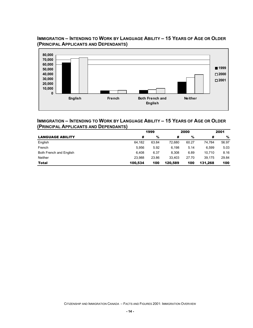#### **IMMIGRATION – INTENDING TO WORK BY LANGUAGE ABILITY – 15 YEARS OF AGE OR OLDER (PRINCIPAL APPLICANTS AND DEPENDANTS)**



#### **IMMIGRATION – INTENDING TO WORK BY LANGUAGE ABILITY – 15 YEARS OF AGE OR OLDER (PRINCIPAL APPLICANTS AND DEPENDANTS)**

|                         | 1999    |       |         | 2000  | 2001    |       |
|-------------------------|---------|-------|---------|-------|---------|-------|
| <b>LANGUAGE ABILITY</b> | #       | %     | #       | %     | #       | %     |
| English                 | 64.182  | 63.84 | 72.680  | 60.27 | 74.784  | 56.97 |
| French                  | 5,956   | 5.92  | 6.198   | 5.14  | 6.599   | 5.03  |
| Both French and English | 6.408   | 6.37  | 8.308   | 6.89  | 10.710  | 8.16  |
| <b>Neither</b>          | 23.988  | 23.86 | 33.403  | 27.70 | 39.175  | 29.84 |
| Total                   | 100.534 | 100   | 120.589 | 100   | 131.268 | 100   |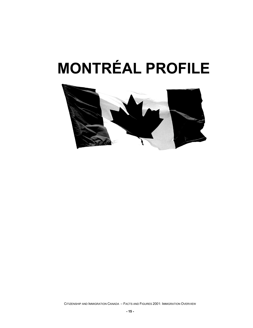## **MONTRÉAL PROFILE**

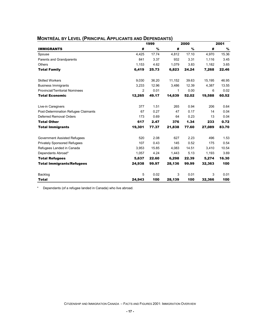#### **MONTRÉAL BY LEVEL (PRINCIPAL APPLICANTS AND DEPENDANTS)**

|                                      | 1999           |       | 2000   | 2001  |        |       |
|--------------------------------------|----------------|-------|--------|-------|--------|-------|
| <b>IMMIGRANTS</b>                    | #              | $\%$  | #      | %     | #      | %     |
| Spouse                               | 4,425          | 17.74 | 4,812  | 17.10 | 4,970  | 15.36 |
| Parents and Grandparents             | 841            | 3.37  | 932    | 3.31  | 1,116  | 3.45  |
| <b>Others</b>                        | 1,153          | 4.62  | 1,079  | 3.83  | 1,182  | 3.65  |
| <b>Total Family</b>                  | 6,419          | 25.73 | 6,823  | 24.24 | 7,268  | 22.46 |
| <b>Skilled Workers</b>               | 9,030          | 36.20 | 11,152 | 39.63 | 15,195 | 46.95 |
| <b>Business Immigrants</b>           | 3,233          | 12.96 | 3,486  | 12.39 | 4,387  | 13.55 |
| Provincial/Territorial Nominees      | $\overline{2}$ | 0.01  | 1      | 0.00  | 6      | 0.02  |
| <b>Total Economic</b>                | 12,265         | 49.17 | 14,639 | 52.02 | 19,588 | 60.52 |
| Live-in Caregivers                   | 377            | 1.51  | 265    | 0.94  | 206    | 0.64  |
| Post-Determination Refugee Claimants | 67             | 0.27  | 47     | 0.17  | 14     | 0.04  |
| Deferred Removal Orders              | 173            | 0.69  | 64     | 0.23  | 13     | 0.04  |
| <b>Total Other</b>                   | 617            | 2.47  | 376    | 1.34  | 233    | 0.72  |
| <b>Total Immigrants</b>              | 19,301         | 77.37 | 21,838 | 77.60 | 27,089 | 83.70 |
| Government Assisted Refugees         | 520            | 2.08  | 627    | 2.23  | 496    | 1.53  |
| <b>Privately Sponsored Refugees</b>  | 107            | 0.43  | 145    | 0.52  | 175    | 0.54  |
| Refugees Landed in Canada            | 3,953          | 15.85 | 4,083  | 14.51 | 3,410  | 10.54 |
| Dependants Abroad*                   | 1,057          | 4.24  | 1,443  | 5.13  | 1,193  | 3.69  |
| <b>Total Refugees</b>                | 5,637          | 22.60 | 6,298  | 22.39 | 5,274  | 16.30 |
| <b>Total Immigrants/Refugees</b>     | 24,938         | 99.97 | 28,136 | 99.99 | 32,363 | 100   |
| Backlog                              | 5              | 0.02  | 3      | 0.01  | 3      | 0.01  |
| <b>Total</b>                         | 24,943         | 100   | 28,139 | 100   | 32,366 | 100   |

\* Dependants (of a refugee landed in Canada) who live abroad.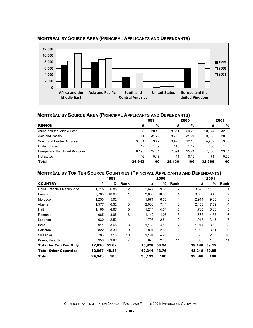

#### **MONTRÉAL BY SOURCE AREA (PRINCIPAL APPLICANTS AND DEPENDANTS)**

#### **MONTRÉAL BY SOURCE AREA (PRINCIPAL APPLICANTS AND DEPENDANTS)**

|                               | 1999   |       |        | 2000  | 2001   |       |
|-------------------------------|--------|-------|--------|-------|--------|-------|
| <b>REGION</b>                 | #      | %     | #      | %     | #      | %     |
| Africa and the Middle East    | 7,083  | 28.40 | 8,371  | 29.75 | 10.674 | 32.98 |
| Asia and Pacific              | 7,911  | 31.72 | 8,792  | 31.24 | 9,083  | 28.06 |
| South and Central America     | 3,361  | 13.47 | 3.423  | 12.16 | 4,482  | 13.85 |
| United States                 | 347    | 1.39  | 415    | 1.47  | 406    | 1.25  |
| Europe and the United Kingdom | 6.195  | 24.84 | 7.094  | 25.21 | 7.650  | 23.64 |
| Not stated                    | 46     | 0.18  | 44     | 0.16  | 71     | 0.22  |
| Total                         | 24.943 | 100   | 28,139 | 100   | 32,366 | 100   |

#### **MONTRÉAL BY TOP TEN SOURCE COUNTRIES (PRINCIPAL APPLICANTS AND DEPENDANTS)**

|                              |        | 1999  |      |        | 2000  |                |        | 2001  |      |
|------------------------------|--------|-------|------|--------|-------|----------------|--------|-------|------|
| <b>COUNTRY</b>               | #      | %     | Rank | #      | %     | Rank           | #      | %     | Rank |
| China, People's Republic of  | 1,715  | 6.88  | 2    | 2,677  | 9.51  | $\overline{2}$ | 3,570  | 11.03 |      |
| France                       | 2,708  | 10.86 |      | 3,056  | 10.86 | 1              | 3,060  | 9.45  | 2    |
| Morocco                      | 1,253  | 5.02  | 4    | 1,871  | 6.65  | 4              | 2,914  | 9.00  | 3    |
| Algeria                      | 1,577  | 6.32  | 3    | 2,000  | 7.11  | 3              | 2,458  | 7.59  | 4    |
| Haiti                        | 1,166  | 4.67  | 5    | 1,214  | 4.31  | 5              | 1,735  | 5.36  | 5    |
| Romania                      | 985    | 3.95  | 6    | 1,142  | 4.06  | 8              | 1,563  | 4.83  | 6    |
| Lebanon                      | 630    | 2.53  | 11   | 707    | 2.51  | 10             | 1,018  | 3.15  | 7    |
| India                        | 911    | 3.65  | 8    | 1,169  | 4.15  | 7              | 1,014  | 3.13  | 8    |
| Pakistan                     | 822    | 3.30  | 9    | 801    | 2.85  | 9              | 1,008  | 3.11  | 9    |
| Sri Lanka                    | 786    | 3.15  | 10   | 1,191  | 4.23  | 6              | 808    | 2.50  | 10   |
| Korea, Republic of           | 953    | 3.82  | 7    | 676    | 2.40  | 11             | 608    | 1.88  | 11   |
| Total for Top Ten Only       | 12,876 | 51.62 |      | 15,828 | 56.24 |                | 19,148 | 59.15 |      |
| <b>Total Other Countries</b> | 12,067 | 48.38 |      | 12,311 | 43.76 |                | 13,218 | 40.85 |      |
| Total                        | 24,943 | 100   |      | 28,139 | 100   |                | 32,366 | 100   |      |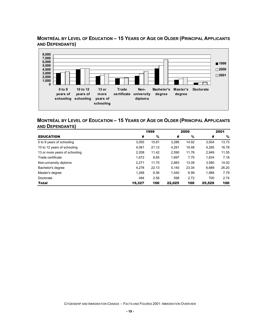#### **MONTRÉAL BY LEVEL OF EDUCATION – 15 YEARS OF AGE OR OLDER (PRINCIPAL APPLICANTS AND DEPENDANTS)**



#### **MONTRÉAL BY LEVEL OF EDUCATION – 15 YEARS OF AGE OR OLDER (PRINCIPAL APPLICANTS AND DEPENDANTS)**

|                               |        | 1999  |        |       | 2001   |       |
|-------------------------------|--------|-------|--------|-------|--------|-------|
| <b>EDUCATION</b>              | #      | %     | #      | %     | #      | %     |
| 0 to 9 years of schooling     | 3,055  | 15.81 | 3,286  | 14.92 | 3,504  | 13.73 |
| 10 to 12 years of schooling   | 4,081  | 21.12 | 4,291  | 19.48 | 4,285  | 16.78 |
| 13 or more years of schooling | 2,208  | 11.42 | 2,590  | 11.76 | 2,949  | 11.55 |
| Trade certificate             | 1,672  | 8.65  | 1,697  | 7.70  | 1,834  | 7.18  |
| Non-university diploma        | 2.271  | 11.75 | 2,883  | 13.09 | 3,580  | 14.02 |
| Bachelor's degree             | 4,278  | 22.13 | 5.140  | 23.34 | 6,689  | 26.20 |
| Master's degree               | 1,268  | 6.56  | 1,540  | 6.99  | 1,988  | 7.79  |
| Doctorate                     | 494    | 2.56  | 598    | 2.72  | 700    | 2.74  |
| Total                         | 19,327 | 100   | 22,025 | 100   | 25,529 | 100   |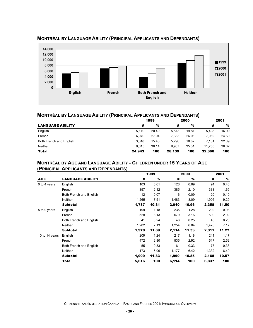

#### **MONTRÉAL BY LANGUAGE ABILITY (PRINCIPAL APPLICANTS AND DEPENDANTS)**

#### **MONTRÉAL BY LANGUAGE ABILITY (PRINCIPAL APPLICANTS AND DEPENDANTS)**

|                         | 1999   |       |        | 2000  | 2001   |       |
|-------------------------|--------|-------|--------|-------|--------|-------|
| <b>LANGUAGE ABILITY</b> | #      | %     | #      | %     | #      | $\%$  |
| English                 | 5.110  | 20.49 | 5.573  | 19.81 | 5.498  | 16.99 |
| French                  | 6.970  | 27.94 | 7.333  | 26.06 | 7.962  | 24.60 |
| Both French and English | 3.848  | 15.43 | 5.296  | 18.82 | 7.151  | 22.09 |
| <b>Neither</b>          | 9.015  | 36.14 | 9.937  | 35.31 | 11.755 | 36.32 |
| Total                   | 24.943 | 100   | 28.139 | 100   | 32.366 | 100   |

#### **MONTRÉAL BY AGE AND LANGUAGE ABILITY - CHILDREN UNDER 15 YEARS OF AGE (PRINCIPAL APPLICANTS AND DEPENDANTS)**

|                | <b>LANGUAGE ABILITY</b> |       | 1999  |       |       | 2001  |       |  |
|----------------|-------------------------|-------|-------|-------|-------|-------|-------|--|
| <b>AGE</b>     |                         | #     | %     | #     | $\%$  | #     | %     |  |
| 0 to 4 years   | English                 | 103   | 0.61  | 126   | 0.69  | 94    | 0.46  |  |
|                | French                  | 357   | 2.12  | 385   | 2.10  | 338   | 1.65  |  |
|                | Both French and English | 12    | 0.07  | 16    | 0.09  | 20    | 0.10  |  |
|                | <b>Neither</b>          | 1,265 | 7.51  | 1,483 | 8.09  | 1,906 | 9.29  |  |
|                | <b>Subtotal</b>         | 1,737 | 10.31 | 2,010 | 10.96 | 2,358 | 11.50 |  |
| 5 to 9 years   | English                 | 199   | 1.18  | 235   | 1.28  | 202   | 0.98  |  |
|                | French                  | 528   | 3.13  | 579   | 3.16  | 599   | 2.92  |  |
|                | Both French and English | 41    | 0.24  | 46    | 0.25  | 40    | 0.20  |  |
|                | <b>Neither</b>          | 1,202 | 7.13  | 1,254 | 6.84  | 1,470 | 7.17  |  |
|                | <b>Subtotal</b>         | 1,970 | 11.69 | 2,114 | 11.53 | 2,311 | 11.27 |  |
| 10 to 14 years | English                 | 209   | 1.24  | 217   | 1.18  | 241   | 1.17  |  |
|                | French                  | 472   | 2.80  | 535   | 2.92  | 517   | 2.52  |  |
|                | Both French and English | 55    | 0.33  | 61    | 0.33  | 78    | 0.38  |  |
|                | <b>Neither</b>          | 1,173 | 6.96  | 1,177 | 6.42  | 1,332 | 6.49  |  |
|                | <b>Subtotal</b>         | 1,909 | 11.33 | 1,990 | 10.85 | 2,168 | 10.57 |  |
|                | Total                   | 5,616 | 100   | 6,114 | 100   | 6,837 | 100   |  |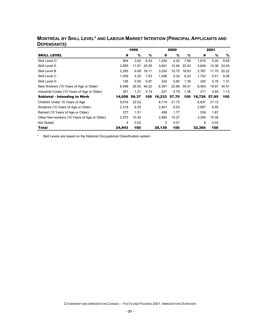|                                              | 1999   |       |       |        | 2000  |       | 2001   |       |       |
|----------------------------------------------|--------|-------|-------|--------|-------|-------|--------|-------|-------|
| <b>SKILL LEVEL</b>                           | #      | %     | %     | #      | %     | $\%$  | #      | $\%$  | $\%$  |
| Skill Level O                                | 904    | 3.62  | 6.43  | 1,244  | 4.42  | 7.66  | 1,619  | 5.00  | 8.65  |
| Skill Level A                                | 2,895  | 11.61 | 20.59 | 3,641  | 12.94 | 22.43 | 4,649  | 14.36 | 24.83 |
| Skill Level B                                | 2,265  | 9.08  | 16.11 | 3,024  | 10.75 | 18.63 | 3,787  | 11.70 | 20.22 |
| Skill Level C                                | 1.059  | 4.25  | 7.53  | 1,498  | 5.32  | 9.23  | 1,752  | 5.41  | 9.36  |
| Skill Level D                                | 136    | 0.55  | 0.97  | 224    | 0.80  | 1.38  | 245    | 0.76  | 1.31  |
| New Workers (15 Years of Age or Older)       | 6,498  | 26.05 | 46.22 | 6,381  | 22.68 | 39.31 | 6,463  | 19.97 | 34.51 |
| Industrial Codes (15 Years of Age or Older)  | 301    | 1.21  | 2.14  | 221    | 0.79  | 1.36  | 211    | 0.65  | 1.13  |
| <b>Subtotal - Intending to Work</b>          | 14,058 | 56.37 | 100   | 16,233 | 57.70 | 100   | 18,726 | 57.85 | 100   |
| Children Under 15 Years of Age               | 5,616  | 22.52 |       | 6,114  | 21.73 |       | 6,837  | 21.12 |       |
| Students (15 Years of Age or Older)          | 2,318  | 9.29  |       | 2,401  | 8.53  |       | 2,897  | 8.95  |       |
| Retired (15 Years of Age or Older)           | 377    | 1.51  |       | 499    | 1.77  |       | 539    | 1.67  |       |
| Other Non-workers (15 Years of Age or Older) | 2,570  | 10.30 |       | 2,890  | 10.27 |       | 3,359  | 10.38 |       |
| <b>Not Stated</b>                            | 4      | 0.02  |       | 2      | 0.01  |       | 8      | 0.02  |       |
| Total                                        | 24,943 | 100   |       | 28,139 | 100   |       | 32,366 | 100   |       |

#### **MONTRÉAL BY SKILL LEVEL\* AND LABOUR MARKET INTENTION (PRINCIPAL APPLICANTS AND DEPENDANTS)**

\* Skill Levels are based on the National Occupational Classification system.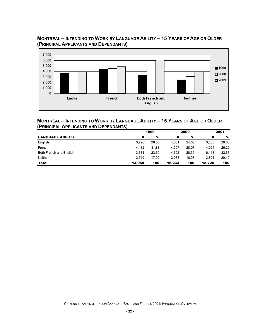#### **MONTRÉAL – INTENDING TO WORK BY LANGUAGE ABILITY – 15 YEARS OF AGE OR OLDER (PRINCIPAL APPLICANTS AND DEPENDANTS)**



#### **MONTRÉAL – INTENDING TO WORK BY LANGUAGE ABILITY – 15 YEARS OF AGE OR OLDER (PRINCIPAL APPLICANTS AND DEPENDANTS)**

|                         | 1999   |       |        | 2000  | 2001   |       |
|-------------------------|--------|-------|--------|-------|--------|-------|
| <b>LANGUAGE ABILITY</b> | #      | %     | #      | %     | #      | %     |
| English                 | 3.726  | 26.50 | 4.001  | 24.65 | 3.863  | 20.63 |
| French                  | 4,482  | 31.88 | 4.557  | 28.07 | 4.924  | 26.29 |
| Both French and English | 3.331  | 23.69 | 4.602  | 28.35 | 6.118  | 32.67 |
| Neither                 | 2.519  | 17.92 | 3.073  | 18.93 | 3.821  | 20.40 |
| Total                   | 14.058 | 100   | 16.233 | 100   | 18.726 | 100   |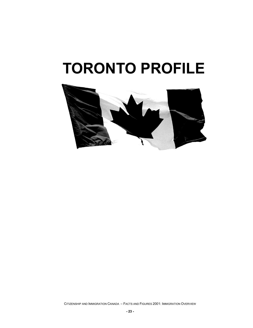### **TORONTO PROFILE**

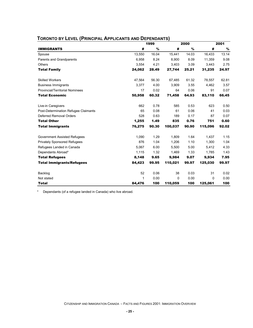#### **TORONTO BY LEVEL (PRINCIPAL APPLICANTS AND DEPENDANTS)**

|                                        |        | 1999  |         | 2000  | 2001    |       |  |
|----------------------------------------|--------|-------|---------|-------|---------|-------|--|
| <b>IMMIGRANTS</b>                      | #      | %     | #       | %     | #       | %     |  |
| Spouse                                 | 13,550 | 16.04 | 15,441  | 14.03 | 16,433  | 13.14 |  |
| Parents and Grandparents               | 6,958  | 8.24  | 8,900   | 8.09  | 11,359  | 9.08  |  |
| <b>Others</b>                          | 3,554  | 4.21  | 3,403   | 3.09  | 3,443   | 2.75  |  |
| <b>Total Family</b>                    | 24,062 | 28.49 | 27,744  | 25.21 | 31,235  | 24.97 |  |
| <b>Skilled Workers</b>                 | 47,564 | 56.30 | 67,485  | 61.32 | 78,557  | 62.81 |  |
| <b>Business Immigrants</b>             | 3,377  | 4.00  | 3,909   | 3.55  | 4,462   | 3.57  |  |
| <b>Provincial/Territorial Nominees</b> | 17     | 0.02  | 64      | 0.06  | 91      | 0.07  |  |
| <b>Total Economic</b>                  | 50,958 | 60.32 | 71,458  | 64.93 | 83,110  | 66.45 |  |
| Live-in Caregivers                     | 662    | 0.78  | 585     | 0.53  | 623     | 0.50  |  |
| Post-Determination Refugee Claimants   | 65     | 0.08  | 61      | 0.06  | 41      | 0.03  |  |
| Deferred Removal Orders                | 528    | 0.63  | 189     | 0.17  | 87      | 0.07  |  |
| <b>Total Other</b>                     | 1,255  | 1.49  | 835     | 0.76  | 751     | 0.60  |  |
| <b>Total Immigrants</b>                | 76,275 | 90.30 | 100,037 | 90.90 | 115,096 | 92.02 |  |
| Government Assisted Refugees           | 1,090  | 1.29  | 1,809   | 1.64  | 1,437   | 1.15  |  |
| <b>Privately Sponsored Refugees</b>    | 876    | 1.04  | 1,206   | 1.10  | 1,300   | 1.04  |  |
| Refugees Landed in Canada              | 5,067  | 6.00  | 5,500   | 5.00  | 5,412   | 4.33  |  |
| Dependants Abroad*                     | 1,115  | 1.32  | 1,469   | 1.33  | 1,785   | 1.43  |  |
| <b>Total Refugees</b>                  | 8,148  | 9.65  | 9,984   | 9.07  | 9,934   | 7.95  |  |
| <b>Total Immigrants/Refugees</b>       | 84,423 | 99.95 | 110,021 | 99.97 | 125,030 | 99.97 |  |
| Backlog                                | 52     | 0.06  | 38      | 0.03  | 31      | 0.02  |  |
| Not stated                             | 1      | 0.00  | 0       | 0.00  | 0       | 0.00  |  |
| <b>Total</b>                           | 84,476 | 100   | 110,059 | 100   | 125,061 | 100   |  |

\* Dependants (of a refugee landed in Canada) who live abroad.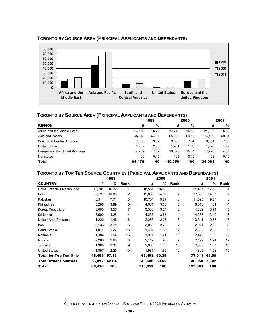

#### **TORONTO BY SOURCE AREA (PRINCIPAL APPLICANTS AND DEPENDANTS)**

#### **TORONTO BY SOURCE AREA (PRINCIPAL APPLICANTS AND DEPENDANTS)**

|                               | 1999   |       |         | 2000  | 2001    |       |  |
|-------------------------------|--------|-------|---------|-------|---------|-------|--|
| <b>REGION</b>                 | #      | %     | #       | %     | #       | %     |  |
| Africa and the Middle East    | 14.128 | 16.72 | 17.745  | 16.12 | 21.037  | 16.82 |  |
| Asia and Pacific              | 45.945 | 54.39 | 65.050  | 59.10 | 74.466  | 59.54 |  |
| South and Central America     | 7,658  | 9.07  | 8.300   | 7.54  | 9.561   | 7.65  |  |
| <b>United States</b>          | 1.857  | 2.20  | 1.981   | 1.80  | 1,896   | 1.52  |  |
| Europe and the United Kingdom | 14.759 | 17.47 | 16.878  | 15.34 | 17.978  | 14.38 |  |
| Not stated                    | 129    | 0.15  | 105     | 0.10  | 123     | 0.10  |  |
| Total                         | 84.476 | 100   | 110.059 | 100   | 125.061 | 100   |  |

#### **TORONTO BY TOP TEN SOURCE COUNTRIES (PRINCIPAL APPLICANTS AND DEPENDANTS)**

|                               |        | 1999  |      |         | 2000  |      |         | 2001  |      |
|-------------------------------|--------|-------|------|---------|-------|------|---------|-------|------|
| <b>COUNTRY</b>                | #      | %     | Rank | #       | %     | Rank | #       | %     | Rank |
| China, People's Republic of   | 13,701 | 16.22 |      | 18,551  | 16.86 | 1    | 21,487  | 17.18 |      |
| India                         | 9,127  | 10.80 | 2    | 15,836  | 14.39 | 2    | 17,596  | 14.07 | 2    |
| Pakistan                      | 6,511  | 7.71  | 3    | 10,754  | 9.77  | 3    | 11,590  | 9.27  | 3    |
| Philippines                   | 3,286  | 3.89  | 5    | 4,031   | 3.66  | 5    | 6,016   | 4.81  | 4    |
| Korea, Republic of            | 3,003  | 3.55  | 7    | 3,536   | 3.21  | 6    | 4,682   | 3.74  | 5    |
| Sri Lanka                     | 3,590  | 4.25  | 4    | 4,237   | 3.85  | 4    | 4,277   | 3.42  | 6    |
| United Arab Emirates          | 1,222  | 1.45  | 16   | 2,258   | 2.05  | 8    | 3,341   | 2.67  | 7    |
| Iran                          | 3,136  | 3.71  | 6    | 3,033   | 2.76  | 7    | 2,974   | 2.38  | 8    |
| Saudi Arabia                  | 1,071  | 1.27  | 18   | 1,464   | 1.33  | 17   | 2,603   | 2.08  | 9    |
| Romania                       | 1,384  | 1.64  | 15   | 1,911   | 1.74  | 13   | 2,445   | 1.96  | 10   |
| Russia                        | 2,263  | 2.68  | 8    | 2,149   | 1.95  | 9    | 2,429   | 1.94  | 12   |
| Jamaica                       | 1,985  | 2.35  | 9    | 2,068   | 1.88  | 10   | 2,336   | 1.87  | 13   |
| <b>United States</b>          | 1,857  | 2.20  | 10   | 1,981   | 1.80  | 12   | 1,896   | 1.52  | 15   |
| <b>Total for Top Ten Only</b> | 48,459 | 57.36 |      | 66,453  | 60.38 |      | 77,011  | 61.58 |      |
| <b>Total Other Countries</b>  | 36,017 | 42.64 |      | 43,606  | 39.62 |      | 48,050  | 38.42 |      |
| Total                         | 84,476 | 100   |      | 110,059 | 100   |      | 125,061 | 100   |      |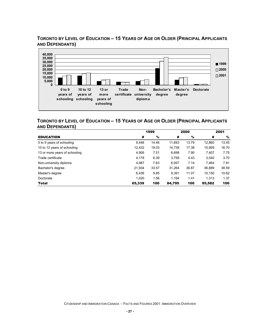#### **TORONTO BY LEVEL OF EDUCATION – 15 YEARS OF AGE OR OLDER (PRINCIPAL APPLICANTS AND DEPENDANTS)**



#### **TORONTO BY LEVEL OF EDUCATION – 15 YEARS OF AGE OR OLDER (PRINCIPAL APPLICANTS AND DEPENDANTS)**

|                               |        | 1999  |        |       | 2001   |       |  |
|-------------------------------|--------|-------|--------|-------|--------|-------|--|
| <b>EDUCATION</b>              | #      | %     | #      | %     | #      | %     |  |
| 0 to 9 years of schooling     | 9,446  | 14.46 | 11,693 | 13.79 | 12,860 | 13.45 |  |
| 10 to 12 years of schooling   | 12,432 | 19.03 | 14,739 | 17.38 | 15,959 | 16.70 |  |
| 13 or more years of schooling | 4,906  | 7.51  | 6,698  | 7.90  | 7,407  | 7.75  |  |
| Trade certificate             | 4,178  | 6.39  | 3,759  | 4.43  | 3,540  | 3.70  |  |
| Non-university diploma        | 4,987  | 7.63  | 6,057  | 7.14  | 7,464  | 7.81  |  |
| Bachelor's degree             | 21,934 | 33.57 | 31,264 | 36.87 | 36,889 | 38.59 |  |
| Master's degree               | 6,436  | 9.85  | 9,391  | 11.07 | 10,150 | 10.62 |  |
| Doctorate                     | 1,020  | 1.56  | 1.194  | 1.41  | 1,313  | 1.37  |  |
| Total                         | 65,339 | 100   | 84.795 | 100   | 95,582 | 100   |  |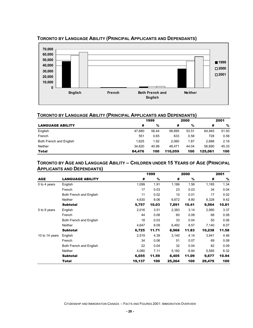

#### **TORONTO BY LANGUAGE ABILITY (PRINCIPAL APPLICANTS AND DEPENDANTS)**

#### **TORONTO BY LANGUAGE ABILITY (PRINCIPAL APPLICANTS AND DEPENDANTS)**

|                         | 1999   |       |         | 2000  | 2001    |       |  |
|-------------------------|--------|-------|---------|-------|---------|-------|--|
| <b>LANGUAGE ABILITY</b> | #      | %     | #       | %     | #       | %     |  |
| English                 | 47.680 | 56.44 | 58.895  | 53.51 | 64.945  | 51.93 |  |
| French                  | 551    | 0.65  | 633     | 0.58  | 728     | 0.58  |  |
| Both French and English | 1.625  | 1.92  | 2.060   | 1.87  | 2.698   | 2.16  |  |
| Neither                 | 34.620 | 40.98 | 48.471  | 44.04 | 56.690  | 45.33 |  |
| Total                   | 84.476 | 100   | 110.059 | 100   | 125.061 | 100   |  |

#### **TORONTO BY AGE AND LANGUAGE ABILITY – CHILDREN UNDER 15 YEARS OF AGE (PRINCIPAL APPLICANTS AND DEPENDANTS)**

|                | <b>LANGUAGE ABILITY</b> |        | 1999  |        |       | 2001   |       |  |
|----------------|-------------------------|--------|-------|--------|-------|--------|-------|--|
| <b>AGE</b>     |                         | #      | %     | #      | %     | #      | %     |  |
| 0 to 4 years   | English                 | 1,099  | 1.91  | 1,186  | 1.56  | 1,185  | 1.34  |  |
|                | French                  | 17     | 0.03  | 23     | 0.03  | 34     | 0.04  |  |
|                | Both French and English | 11     | 0.02  | 10     | 0.01  | 17     | 0.02  |  |
|                | <b>Neither</b>          | 4,630  | 8.06  | 6,672  | 8.80  | 8,328  | 9.42  |  |
|                | <b>Subtotal</b>         | 5,757  | 10.03 | 7,891  | 10.41 | 9,564  | 10.81 |  |
| 5 to 9 years   | English                 | 2,016  | 3.51  | 2,383  | 3.14  | 2,980  | 3.37  |  |
|                | French                  | 44     | 0.08  | 60     | 0.08  | 68     | 0.08  |  |
|                | Both French and English | 18     | 0.03  | 33     | 0.04  | 50     | 0.06  |  |
|                | Neither                 | 4,647  | 8.09  | 6,492  | 8.57  | 7,140  | 8.07  |  |
|                | <b>Subtotal</b>         | 6,725  | 11.71 | 8,968  | 11.83 | 10,238 | 11.58 |  |
| 10 to 14 years | English                 | 2,519  | 4.39  | 3,140  | 4.14  | 3,941  | 4.46  |  |
|                | French                  | 34     | 0.06  | 51     | 0.07  | 69     | 0.08  |  |
|                | Both French and English | 22     | 0.04  | 32     | 0.04  | 82     | 0.09  |  |
|                | Neither                 | 4,080  | 7.11  | 5,182  | 6.84  | 5,585  | 6.32  |  |
|                | <b>Subtotal</b>         | 6,655  | 11.59 | 8,405  | 11.09 | 9,677  | 10.94 |  |
|                | Total                   | 19,137 | 100   | 25,264 | 100   | 29,479 | 100   |  |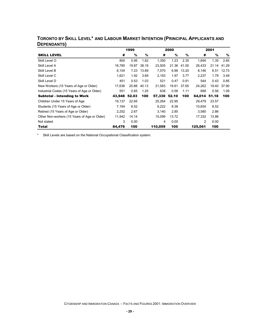|                                              |        | 2000<br>1999 |       |         |       |       |         | 2001  |       |
|----------------------------------------------|--------|--------------|-------|---------|-------|-------|---------|-------|-------|
| <b>SKILL LEVEL</b>                           | #      | %            | %     | #       | %     | %     | #       | %     | %     |
| Skill Level O                                | 800    | 0.95         | 1.82  | 1,350   | 1.23  | 2.35  | 1.694   | 1.35  | 2.65  |
| Skill Level A                                | 16.785 | 19.87        | 38.19 | 23,505  | 21.36 | 41.00 | 26,433  | 21.14 | 41.29 |
| Skill Level B                                | 6,104  | 7.23         | 13.89 | 7.570   | 6.88  | 13.20 | 8.146   | 6.51  | 12.73 |
| Skill Level C                                | 1,621  | 1.92         | 3.69  | 2,163   | 1.97  | 3.77  | 2,237   | 1.79  | 3.49  |
| Skill Level D                                | 451    | 0.53         | 1.03  | 521     | 0.47  | 0.91  | 544     | 0.43  | 0.85  |
| New Workers (15 Years of Age or Older)       | 17,636 | 20.88        | 40.13 | 21,583  | 19.61 | 37.65 | 24,262  | 19.40 | 37.90 |
| Industrial Codes (15 Years of Age or Older)  | 551    | 0.65         | 1.25  | 638     | 0.58  | 1.11  | 698     | 0.56  | 1.09  |
| <b>Subtotal - Intending to Work</b>          | 43,948 | 52.03        | 100   | 57,330  | 52.10 | 100   | 64,014  | 51.18 | 100   |
| Children Under 15 Years of Age               | 19,137 | 22.65        |       | 25.264  | 22.95 |       | 29.479  | 23.57 |       |
| Students (15 Years of Age or Older)          | 7,194  | 8.52         |       | 9,222   | 8.38  |       | 10,654  | 8.52  |       |
| Retired (15 Years of Age or Older)           | 2,252  | 2.67         |       | 3,140   | 2.85  |       | 3,580   | 2.86  |       |
| Other Non-workers (15 Years of Age or Older) | 11,942 | 14.14        |       | 15,099  | 13.72 |       | 17,332  | 13.86 |       |
| Not stated                                   | 3      | 0.00         |       | 4       | 0.00  |       | 2       | 0.00  |       |
| Total                                        | 84,476 | 100          |       | 110,059 | 100   |       | 125,061 | 100   |       |

#### **TORONTO BY SKILL LEVEL\* AND LABOUR MARKET INTENTION (PRINCIPAL APPLICANTS AND DEPENDANTS)**

\* Skill Levels are based on the National Occupational Classification system.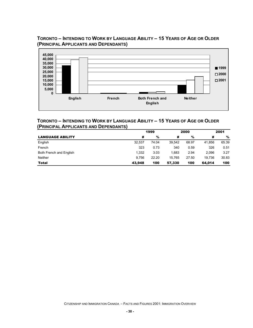#### **TORONTO – INTENDING TO WORK BY LANGUAGE ABILITY – 15 YEARS OF AGE OR OLDER (PRINCIPAL APPLICANTS AND DEPENDANTS)**



#### **TORONTO – INTENDING TO WORK BY LANGUAGE ABILITY – 15 YEARS OF AGE OR OLDER (PRINCIPAL APPLICANTS AND DEPENDANTS)**

|                         | 1999   |       |        | 2000  | 2001   |       |  |
|-------------------------|--------|-------|--------|-------|--------|-------|--|
| <b>LANGUAGE ABILITY</b> | #      | $\%$  | #      | %     | #      | %     |  |
| English                 | 32.537 | 74.04 | 39.542 | 68.97 | 41.856 | 65.39 |  |
| French                  | 323    | 0.73  | 340    | 0.59  | 326    | 0.51  |  |
| Both French and English | 1.332  | 3.03  | 1.683  | 2.94  | 2,096  | 3.27  |  |
| Neither                 | 9.756  | 22.20 | 15.765 | 27.50 | 19.736 | 30.83 |  |
| Total                   | 43.948 | 100   | 57.330 | 100   | 64.014 | 100   |  |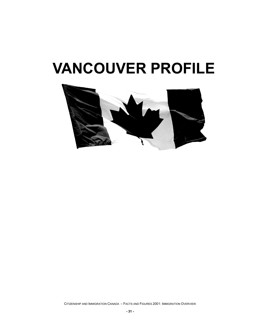### **VANCOUVER PROFILE**

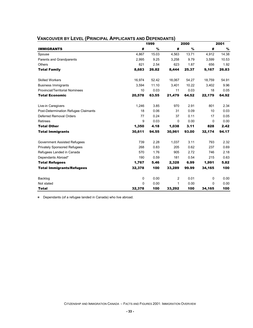# **VANCOUVER BY LEVEL (PRINCIPAL APPLICANTS AND DEPENDANTS)**

|                                        | 1999   |       | 2000           | 2001  |        |       |
|----------------------------------------|--------|-------|----------------|-------|--------|-------|
| <b>IMMIGRANTS</b>                      | #      | %     | #              | %     | #      | %     |
| Spouse                                 | 4.867  | 15.03 | 4,563          | 13.71 | 4,912  | 14.38 |
| Parents and Grandparents               | 2,995  | 9.25  | 3,258          | 9.79  | 3,599  | 10.53 |
| <b>Others</b>                          | 821    | 2.54  | 623            | 1.87  | 656    | 1.92  |
| <b>Total Family</b>                    | 8,683  | 26.82 | 8,444          | 25.37 | 9,167  | 26.83 |
| <b>Skilled Workers</b>                 | 16,974 | 52.42 | 18,067         | 54.27 | 18,759 | 54.91 |
| <b>Business Immigrants</b>             | 3,594  | 11.10 | 3,401          | 10.22 | 3,402  | 9.96  |
| <b>Provincial/Territorial Nominees</b> | 10     | 0.03  | 11             | 0.03  | 18     | 0.05  |
| <b>Total Economic</b>                  | 20,578 | 63.55 | 21,479         | 64.52 | 22,179 | 64.92 |
| Live-in Caregivers                     | 1,246  | 3.85  | 970            | 2.91  | 801    | 2.34  |
| Post-Determination Refugee Claimants   | 18     | 0.06  | 31             | 0.09  | 10     | 0.03  |
| Deferred Removal Orders                | 77     | 0.24  | 37             | 0.11  | 17     | 0.05  |
| <b>Retirees</b>                        | 9      | 0.03  | 0              | 0.00  | 0      | 0.00  |
| <b>Total Other</b>                     | 1,350  | 4.18  | 1,038          | 3.11  | 828    | 2.42  |
| <b>Total Immigrants</b>                | 30,611 | 94.55 | 30,961         | 93.00 | 32,174 | 94.17 |
| <b>Government Assisted Refugees</b>    | 739    | 2.28  | 1,037          | 3.11  | 793    | 2.32  |
| <b>Privately Sponsored Refugees</b>    | 268    | 0.83  | 205            | 0.62  | 237    | 0.69  |
| Refugees Landed in Canada              | 570    | 1.76  | 905            | 2.72  | 746    | 2.18  |
| Dependants Abroad*                     | 190    | 0.59  | 181            | 0.54  | 215    | 0.63  |
| <b>Total Refugees</b>                  | 1,767  | 5.46  | 2,328          | 6.99  | 1,991  | 5.82  |
| <b>Total Immigrants/Refugees</b>       | 32,378 | 100   | 33,289         | 99.99 | 34,165 | 100   |
| Backlog                                | 0      | 0.00  | $\overline{2}$ | 0.01  | 0      | 0.00  |
| Not stated                             | 0      | 0.00  | 1              | 0.00  | 0      | 0.00  |
| <b>Total</b>                           | 32,378 | 100   | 33,292         | 100   | 34,165 | 100   |

∗ Dependants (of a refugee landed in Canada) who live abroad.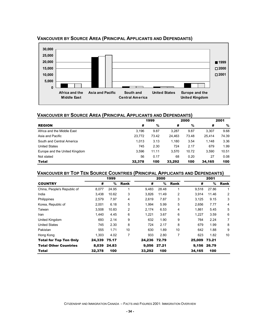

### **VANCOUVER BY SOURCE AREA (PRINCIPAL APPLICANTS AND DEPENDANTS)**

#### **VANCOUVER BY SOURCE AREA (PRINCIPAL APPLICANTS AND DEPENDANTS)**

|                               | 1999   |       |        | 2000  |        | 2001  |  |
|-------------------------------|--------|-------|--------|-------|--------|-------|--|
| <b>REGION</b>                 | #      | %     | #      | %     | #      | %     |  |
| Africa and the Middle East    | 3.196  | 9.87  | 3,287  | 9.87  | 3.307  | 9.68  |  |
| Asia and Pacific              | 23,772 | 73.42 | 24,463 | 73.48 | 25,414 | 74.39 |  |
| South and Central America     | 1,013  | 3.13  | 1,180  | 3.54  | 1,148  | 3.36  |  |
| United States                 | 745    | 2.30  | 724    | 2.17  | 679    | 1.99  |  |
| Europe and the United Kingdom | 3.596  | 11.11 | 3.570  | 10.72 | 3.590  | 10.51 |  |
| Not stated                    | 56     | 0.17  | 68     | 0.20  | 27     | 0.08  |  |
| Total                         | 32,378 | 100   | 33.292 | 100   | 34,165 | 100   |  |

### **VANCOUVER BY TOP TEN SOURCE COUNTRIES (PRINCIPAL APPLICANTS AND DEPENDANTS)**

|                               |        |       |                |        |       |                | 1999<br>2000 |       |      | 2001 |  |  |
|-------------------------------|--------|-------|----------------|--------|-------|----------------|--------------|-------|------|------|--|--|
| <b>COUNTRY</b>                | #      | %     | Rank           | #      | %     | <b>Rank</b>    | #            | %     | Rank |      |  |  |
| China, People's Republic of   | 8,077  | 24.95 |                | 9,483  | 28.48 |                | 9,518        | 27.86 |      |      |  |  |
| India                         | 3,438  | 10.62 | 3              | 3,826  | 11.49 | $\overline{c}$ | 3,914        | 11.46 | 2    |      |  |  |
| Philippines                   | 2,579  | 7.97  | 4              | 2,619  | 7.87  | 3              | 3,125        | 9.15  | 3    |      |  |  |
| Korea, Republic of            | 2.001  | 6.18  | 5              | 1.994  | 5.99  | 5              | 2.656        | 7.77  | 4    |      |  |  |
| Taiwan                        | 3,508  | 10.83 | $\overline{2}$ | 2,174  | 6.53  | 4              | 1,861        | 5.45  | 5    |      |  |  |
| Iran                          | 1.440  | 4.45  | 6              | 1.221  | 3.67  | 6              | 1,227        | 3.59  | 6    |      |  |  |
| United Kingdom                | 693    | 2.14  | 9              | 632    | 1.90  | 9              | 764          | 2.24  | 7    |      |  |  |
| <b>United States</b>          | 745    | 2.30  | 8              | 724    | 2.17  | 8              | 679          | 1.99  | 8    |      |  |  |
| Pakistan                      | 555    | 1.71  | 10             | 630    | 1.89  | 10             | 642          | 1.88  | 9    |      |  |  |
| Hong Kong                     | 1.303  | 4.02  | 7              | 933    | 2.80  | 7              | 623          | 1.82  | 10   |      |  |  |
| <b>Total for Top Ten Only</b> | 24,339 | 75.17 |                | 24,236 | 72.79 |                | 25,009       | 73.21 |      |      |  |  |
| <b>Total Other Countries</b>  | 8,039  | 24.83 |                | 9,056  | 27.21 |                | 9,156        | 26.79 |      |      |  |  |
| Total                         | 32,378 | 100   |                | 33,292 | 100   |                | 34,165       | 100   |      |      |  |  |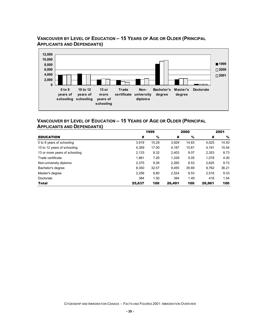

# **VANCOUVER BY LEVEL OF EDUCATION – 15 YEARS OF AGE OR OLDER (PRINCIPAL APPLICANTS AND DEPENDANTS)**

# **VANCOUVER BY LEVEL OF EDUCATION – 15 YEARS OF AGE OR OLDER (PRINCIPAL APPLICANTS AND DEPENDANTS)**

|                               |        | 1999  |        |       | 2001   |       |
|-------------------------------|--------|-------|--------|-------|--------|-------|
| <b>EDUCATION</b>              | #      | %     | #      | %     | #      | %     |
| 0 to 9 years of schooling     | 3,919  | 15.29 | 3,929  | 14.83 | 4,025  | 14.93 |
| 10 to 12 years of schooling   | 4,359  | 17.00 | 4,187  | 15.81 | 4,191  | 15.54 |
| 13 or more years of schooling | 2,133  | 8.32  | 2,403  | 9.07  | 2,353  | 8.73  |
| Trade certificate             | 1,861  | 7.26  | 1,339  | 5.05  | 1,078  | 4.00  |
| Non-university diploma        | 2.375  | 9.26  | 2,260  | 8.53  | 2,620  | 9.72  |
| Bachelor's degree             | 8,350  | 32.57 | 9,455  | 35.69 | 9,762  | 36.21 |
| Master's degree               | 2,256  | 8.80  | 2,524  | 9.53  | 2,516  | 9.33  |
| Doctorate                     | 384    | 1.50  | 394    | 1.49  | 416    | 1.54  |
| Total                         | 25,637 | 100   | 26.491 | 100   | 26,961 | 100   |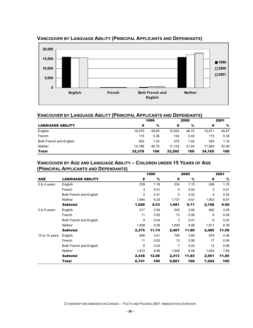

# **VANCOUVER BY LANGUAGE ABILITY (PRINCIPAL APPLICANTS AND DEPENDANTS)**

# **VANCOUVER BY LANGUAGE ABILITY (PRINCIPAL APPLICANTS AND DEPENDANTS)**

|                         | 1999   |       |        | 2000  |        | 2001  |  |
|-------------------------|--------|-------|--------|-------|--------|-------|--|
| <b>LANGUAGE ABILITY</b> | #      | %     | #      | %     | #      | %     |  |
| English                 | 16.075 | 49.65 | 15.554 | 46.72 | 15.671 | 45.87 |  |
| French                  | 115    | 0.36  | 134    | 0.40  | 115    | 0.34  |  |
| Both French and English | 402    | 1.24  | 479    | 1.44  | 455    | 1.33  |  |
| <b>Neither</b>          | 15.786 | 48.76 | 17.125 | 51.44 | 17.924 | 52.46 |  |
| Total                   | 32.378 | 100   | 33.292 | 100   | 34.165 | 100   |  |

# **VANCOUVER BY AGE AND LANGUAGE ABILITY – CHILDREN UNDER 15 YEARS OF AGE (PRINCIPAL APPLICANTS AND DEPENDANTS)**

|                |                         |       | 1999  |       |       | 2001  |       |  |
|----------------|-------------------------|-------|-------|-------|-------|-------|-------|--|
| <b>AGE</b>     | <b>LANGUAGE ABILITY</b> | #     | %     | #     | $\%$  | #     | %     |  |
| 0 to 4 years   | English                 | 239   | 1.18  | 234   | 1.15  | 248   | 1.15  |  |
|                | French                  | 3     | 0.01  | 5     | 0.02  | 3     | 0.01  |  |
|                | Both French and English | 2     | 0.01  | 5     | 0.02  | 4     | 0.02  |  |
|                | <b>Neither</b>          | 1,684 | 8.33  | 1,737 | 8.51  | 1,903 | 8.81  |  |
|                | <b>Subtotal</b>         | 1,928 | 9.53  | 1,981 | 9.71  | 2,158 | 9.99  |  |
| 5 to 9 years   | English                 | 517   | 2.56  | 542   | 2.66  | 660   | 3.05  |  |
|                | French                  | 11    | 0.05  | 13    | 0.06  | 8     | 0.04  |  |
|                | Both French and English | 9     | 0.04  | 3     | 0.01  | 6     | 0.03  |  |
|                | <b>Neither</b>          | 1,838 | 9.09  | 1,849 | 9.06  | 1,811 | 8.38  |  |
|                | <b>Subtotal</b>         | 2,375 | 11.74 | 2,407 | 11.80 | 2,485 | 11.50 |  |
| 10 to 14 years | English                 | 609   | 3.01  | 745   | 3.65  | 878   | 4.06  |  |
|                | French                  | 11    | 0.05  | 13    | 0.06  | 17    | 0.08  |  |
|                | Both French and English | 6     | 0.03  | 7     | 0.03  | 12    | 0.06  |  |
|                | <b>Neither</b>          | 1,812 | 8.96  | 1,648 | 8.08  | 1,654 | 7.65  |  |
|                | <b>Subtotal</b>         | 2,438 | 12.06 | 2,413 | 11.83 | 2,561 | 11.85 |  |
|                | Total                   | 6,741 | 100   | 6,801 | 100   | 7,204 | 100   |  |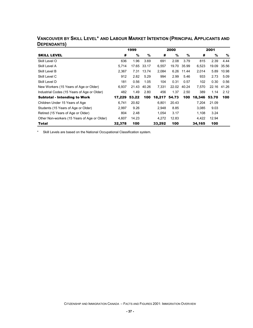|                                              | 1999   |       |       |        | 2000  |       |        | 2001  |       |  |
|----------------------------------------------|--------|-------|-------|--------|-------|-------|--------|-------|-------|--|
| <b>SKILL LEVEL</b>                           | #      | %     | %     | #      | %     | %     | #      | %     | %     |  |
| Skill Level O                                | 636    | 1.96  | 3.69  | 691    | 2.08  | 3.79  | 815    | 2.39  | 4.44  |  |
| Skill Level A                                | 5,714  | 17.65 | 33.17 | 6,557  | 19.70 | 35.99 | 6,523  | 19.09 | 35.56 |  |
| Skill Level B                                | 2,367  | 7.31  | 13.74 | 2,084  | 6.26  | 11.44 | 2,014  | 5.89  | 10.98 |  |
| Skill Level C                                | 912    | 2.82  | 5.29  | 994    | 2.99  | 5.46  | 933    | 2.73  | 5.09  |  |
| Skill Level D                                | 181    | 0.56  | 1.05  | 104    | 0.31  | 0.57  | 102    | 0.30  | 0.56  |  |
| New Workers (15 Years of Age or Older)       | 6,937  | 21.43 | 40.26 | 7,331  | 22.02 | 40.24 | 7,570  | 22.16 | 41.26 |  |
| Industrial Codes (15 Years of Age or Older)  | 482    | 1.49  | 2.80  | 456    | 1.37  | 2.50  | 389    | 1.14  | 2.12  |  |
| <b>Subtotal - Intending to Work</b>          | 17,229 | 53.22 | 100   | 18,217 | 54.73 | 100   | 18,346 | 53.70 | 100   |  |
| Children Under 15 Years of Age               | 6,741  | 20.82 |       | 6.801  | 20.43 |       | 7.204  | 21.09 |       |  |
| Students (15 Years of Age or Older)          | 2,997  | 9.26  |       | 2.948  | 8.85  |       | 3.085  | 9.03  |       |  |
| Retired (15 Years of Age or Older)           | 804    | 2.48  |       | 1,054  | 3.17  |       | 1,108  | 3.24  |       |  |
| Other Non-workers (15 Years of Age or Older) | 4,607  | 14.23 |       | 4,272  | 12.83 |       | 4,422  | 12.94 |       |  |
| Total                                        | 32,378 | 100   |       | 33,292 | 100   |       | 34,165 | 100   |       |  |

# **VANCOUVER BY SKILL LEVEL\* AND LABOUR MARKET INTENTION (PRINCIPAL APPLICANTS AND DEPENDANTS)**

\* Skill Levels are based on the National Occupational Classification system.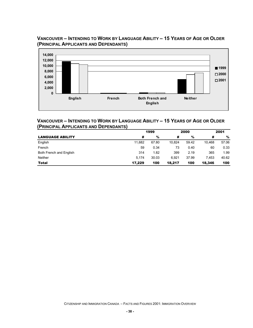# **VANCOUVER – INTENDING TO WORK BY LANGUAGE ABILITY – 15 YEARS OF AGE OR OLDER (PRINCIPAL APPLICANTS AND DEPENDANTS)**



# **VANCOUVER – INTENDING TO WORK BY LANGUAGE ABILITY – 15 YEARS OF AGE OR OLDER (PRINCIPAL APPLICANTS AND DEPENDANTS)**

|                         | 1999   |       |        | 2000  | 2001   |       |  |
|-------------------------|--------|-------|--------|-------|--------|-------|--|
| <b>LANGUAGE ABILITY</b> | #      | %     | #      | %     | #      | %     |  |
| English                 | 11.682 | 67.80 | 10.824 | 59.42 | 10.468 | 57.06 |  |
| French                  | 59     | 0.34  | 73     | 0.40  | 60     | 0.33  |  |
| Both French and English | 314    | 1.82  | 399    | 2.19  | 365    | 1.99  |  |
| Neither                 | 5.174  | 30.03 | 6.921  | 37.99 | 7.453  | 40.62 |  |
| Total                   | 17.229 | 100   | 18.217 | 100   | 18.346 | 100   |  |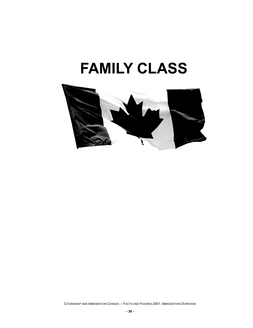# **FAMILY CLASS**



CITIZENSHIP AND IMMIGRATION CANADA – FACTS AND FIGURES 2001: IMMIGRATION OVERVIEW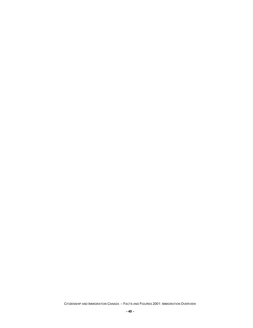CITIZENSHIP AND IMMIGRATION CANADA – FACTS AND FIGURES 2001: IMMIGRATION OVERVIEW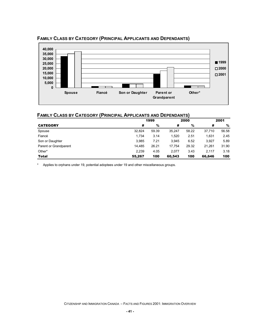

# **FAMILY CLASS BY CATEGORY (PRINCIPAL APPLICANTS AND DEPENDANTS)**

### **FAMILY CLASS BY CATEGORY (PRINCIPAL APPLICANTS AND DEPENDANTS)**

|                       | 1999   |       | 2000   |       | 2001   |       |
|-----------------------|--------|-------|--------|-------|--------|-------|
| <b>CATEGORY</b>       | #      | %     | #      | %     | #      | %     |
| Spouse                | 32,824 | 59.39 | 35.247 | 58.22 | 37.710 | 56.58 |
| Fiancé                | 1,734  | 3.14  | 1.520  | 2.51  | 1,631  | 2.45  |
| Son or Daughter       | 3,985  | 7.21  | 3.945  | 6.52  | 3,927  | 5.89  |
| Parent or Grandparent | 14.485 | 26.21 | 17.754 | 29.32 | 21.261 | 31.90 |
| Other*                | 2,239  | 4.05  | 2.077  | 3.43  | 2.117  | 3.18  |
| <b>Total</b>          | 55,267 | 100   | 60,543 | 100   | 66,646 | 100   |

\* Applies to orphans under 19, potential adoptees under 19 and other miscellaneous groups.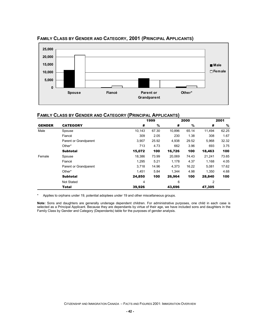

# **FAMILY CLASS BY GENDER AND CATEGORY, 2001 (PRINCIPAL APPLICANTS)**

#### **FAMILY CLASS BY GENDER AND CATEGORY (PRINCIPAL APPLICANTS)**

|               | <b>CATEGORY</b>       |        | 1999  |        |       | 2001   |       |
|---------------|-----------------------|--------|-------|--------|-------|--------|-------|
| <b>GENDER</b> |                       | #      | %     | #      | %     | #      | %     |
| Male          | Spouse                | 10,143 | 67.30 | 10,896 | 65.14 | 11.494 | 62.25 |
|               | Fiancé                | 309    | 2.05  | 230    | 1.38  | 308    | 1.67  |
|               | Parent or Grandparent | 3,907  | 25.92 | 4,938  | 29.52 | 5,968  | 32.32 |
|               | Other*                | 713    | 4.73  | 662    | 3.96  | 693    | 3.75  |
|               | <b>Subtotal</b>       | 15,072 | 100   | 16,726 | 100   | 18,463 | 100   |
| Female        | Spouse                | 18,386 | 73.99 | 20,069 | 74.43 | 21,241 | 73.65 |
|               | Fiancé                | 1,295  | 5.21  | 1,178  | 4.37  | 1,168  | 4.05  |
|               | Parent or Grandparent | 3,718  | 14.96 | 4,373  | 16.22 | 5,081  | 17.62 |
|               | Other*                | 1,451  | 5.84  | 1,344  | 4.98  | 1,350  | 4.68  |
|               | <b>Subtotal</b>       | 24,850 | 100   | 26,964 | 100   | 28,840 | 100   |
|               | Not Stated            | 4      |       | 6      |       | 2      |       |
|               | <b>Total</b>          | 39,926 |       | 43,696 |       | 47,305 |       |

\* Applies to orphans under 19, potential adoptees under 19 and other miscellaneous groups.

**Note:** Sons and daughters are generally underage dependent children. For administrative purposes, one child in each case is selected as a Principal Applicant. Because they are dependants by virtue of their age, we have included sons and daughters in the Family Class by Gender and Category (Dependants) table for the purposes of gender analysis.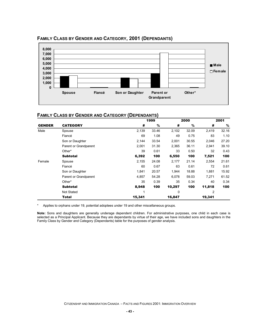

# **FAMILY CLASS BY GENDER AND CATEGORY, 2001 (DEPENDANTS)**

#### **FAMILY CLASS BY GENDER AND CATEGORY (DEPENDANTS)**

|               | <b>CATEGORY</b>       |        | 1999  |        | 2000  |        | 2001  |  |
|---------------|-----------------------|--------|-------|--------|-------|--------|-------|--|
| <b>GENDER</b> |                       | #      | %     | #      | %     | #      | %     |  |
| Male          | Spouse                | 2,139  | 33.46 | 2,102  | 32.09 | 2,419  | 32.16 |  |
|               | Fiancé                | 69     | 1.08  | 49     | 0.75  | 83     | 1.10  |  |
|               | Son or Daughter       | 2,144  | 33.54 | 2,001  | 30.55 | 2,046  | 27.20 |  |
|               | Parent or Grandparent | 2,001  | 31.30 | 2,365  | 36.11 | 2,941  | 39.10 |  |
|               | Other*                | 39     | 0.61  | 33     | 0.50  | 32     | 0.43  |  |
|               | <b>Subtotal</b>       | 6,392  | 100   | 6,550  | 100   | 7,521  | 100   |  |
| Female        | Spouse                | 2,155  | 24.08 | 2,177  | 21.14 | 2,554  | 21.61 |  |
|               | Fiancé                | 60     | 0.67  | 63     | 0.61  | 72     | 0.61  |  |
|               | Son or Daughter       | 1.841  | 20.57 | 1,944  | 18.88 | 1,881  | 15.92 |  |
|               | Parent or Grandparent | 4,857  | 54.28 | 6,078  | 59.03 | 7,271  | 61.52 |  |
|               | Other*                | 35     | 0.39  | 35     | 0.34  | 40     | 0.34  |  |
|               | <b>Subtotal</b>       | 8,948  | 100   | 10,297 | 100   | 11,818 | 100   |  |
|               | <b>Not Stated</b>     |        |       | 0      |       | 2      |       |  |
|               | Total                 | 15,341 |       | 16,847 |       | 19,341 |       |  |

\* Applies to orphans under 19, potential adoptees under 19 and other miscellaneous groups.

**Note:** Sons and daughters are generally underage dependent children. For administrative purposes, one child in each case is selected as a Principal Applicant. Because they are dependants by virtue of their age, we have included sons and daughters in the Family Class by Gender and Category (Dependants) table for the purposes of gender analysis.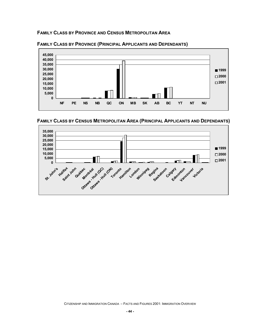**FAMILY CLASS BY PROVINCE AND CENSUS METROPOLITAN AREA**



**FAMILY CLASS BY PROVINCE (PRINCIPAL APPLICANTS AND DEPENDANTS)**

**FAMILY CLASS BY CENSUS METROPOLITAN AREA (PRINCIPAL APPLICANTS AND DEPENDANTS)**

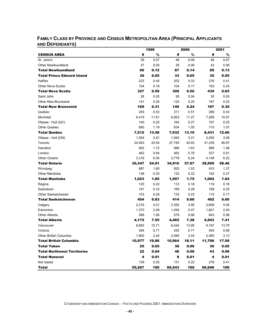|                                    | 1999   | 2000  |        | 2001  |        |       |
|------------------------------------|--------|-------|--------|-------|--------|-------|
| <b>CENSUS AREA</b>                 | #      | %     | #      | %     | #      | %     |
| St. John's                         | 39     | 0.07  | 48     | 0.08  | 46     | 0.07  |
| <b>Other Newfoundland</b>          | 27     | 0.05  | 39     | 0.06  | 43     | 0.06  |
| <b>Total Newfoundland</b>          | 66     | 0.12  | 87     | 0.14  | 89     | 0.13  |
| <b>Total Prince Edward Island</b>  | 30     | 0.05  | 33     | 0.05  | 35     | 0.05  |
| Halifax                            | 223    | 0.40  | 202    | 0.33  | 276    | 0.41  |
| <b>Other Nova Scotia</b>           | 104    | 0.19  | 104    | 0.17  | 163    | 0.24  |
| Total Nova Scotia                  | 327    | 0.59  | 306    | 0.50  | 439    | 0.65  |
| Saint John                         | 28     | 0.05  | 26     | 0.04  | 30     | 0.05  |
| <b>Other New Brunswick</b>         | 141    | 0.26  | 120    | 0.20  | 167    | 0.25  |
| <b>Total New Brunswick</b>         | 169    | 0.31  | 146    | 0.24  | 197    | 0.30  |
| Québec                             | 293    | 0.53  | 311    | 0.51  | 286    | 0.43  |
| Montréal                           | 6,419  | 11.61 | 6,823  | 11.27 | 7,268  | 10.91 |
| Ottawa - Hull (QC)                 | 140    | 0.25  | 164    | 0.27  | 167    | 0.25  |
| <b>Other Quebec</b>                | 660    | 1.19  | 634    | 1.05  | 710    | 1.07  |
| <b>Total Quebec</b>                | 7,512  | 13.58 | 7,932  | 13.10 | 8,431  | 12.66 |
| Ottawa - Hull (ON)                 | 1,554  | 2.81  | 1,945  | 3.21  | 2,050  | 3.08  |
| Toronto                            | 24,063 | 43.54 | 27,745 | 45.83 | 31,236 | 46.87 |
| Hamilton                           | 952    | 1.72  | 986    | 1.63  | 988    | 1.48  |
| London                             | 462    | 0.84  | 462    | 0.76  | 537    | 0.81  |
| <b>Other Ontario</b>               | 3,316  | 6.00  | 3,778  | 6.24  | 4,148  | 6.22  |
| <b>Total Ontario</b>               | 30,347 | 54.91 | 34,916 | 57.67 | 38,959 | 58.46 |
| Winnipeg                           | 887    | 1.60  | 925    | 1.53  | 910    | 1.37  |
| Other Manitoba                     | 136    | 0.25  | 132    | 0.22  | 182    | 0.27  |
| Total Manitoba                     | 1,023  | 1.85  | 1,057  | 1.75  | 1,092  | 1.64  |
| Regina                             | 120    | 0.22  | 112    | 0.18  | 119    | 0.18  |
| Saskatoon                          | 181    | 0.33  | 169    | 0.28  | 168    | 0.25  |
| Other Saskatchewan                 | 153    | 0.28  | 133    | 0.22  | 115    | 0.17  |
| <b>Total Saskatchewan</b>          | 454    | 0.83  | 414    | 0.68  | 402    | 0.60  |
| Calgary                            | 2,216  | 4.01  | 2,392  | 3.95  | 2,699  | 4.05  |
| Edmonton                           | 1,370  | 2.48  | 1,494  | 2.47  | 1,601  | 2.40  |
| Other Alberta                      | 586    | 1.06  | 579    | 0.96  | 643    | 0.96  |
| <b>Total Alberta</b>               | 4,172  | 7.55  | 4,465  | 7.38  | 4,943  | 7.41  |
| Vancouver                          | 8,683  | 15.71 | 8,444  | 13.95 | 9,167  | 13.75 |
| Victoria                           | 394    | 0.71  | 430    | 0.71  | 454    | 0.68  |
| Other British Columbia             | 1,900  | 3.44  | 2,090  | 3.45  | 2,085  | 3.13  |
| <b>Total British Columbia</b>      | 10,977 | 19.86 | 10,964 | 18.11 | 11,706 | 17.56 |
| <b>Total Yukon</b>                 | 25     | 0.05  | 38     | 0.06  | 30     | 0.05  |
| <b>Total Northwest Territories</b> | 22     | 0.04  | 46     | 0.08  | 43     | 0.06  |
| <b>Total Nunavut</b>               | 4      | 0.01  | 8      | 0.01  | 4      | 0.01  |
| Not stated                         | 139    | 0.25  | 131    | 0.22  | 276    | 0.41  |
| <b>Total</b>                       | 55,267 | 100   | 60,543 | 100   | 66,646 | 100   |

# **FAMILY CLASS BY PROVINCE AND CENSUS METROPOLITAN AREA (PRINCIPAL APPLICANTS AND DEPENDANTS)**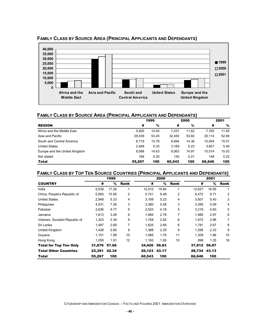

# **FAMILY CLASS BY SOURCE AREA (PRINCIPAL APPLICANTS AND DEPENDANTS)**

#### **FAMILY CLASS BY SOURCE AREA (PRINCIPAL APPLICANTS AND DEPENDANTS)**

|                               | 1999   |       |        | 2000  |        | 2001  |  |
|-------------------------------|--------|-------|--------|-------|--------|-------|--|
| <b>REGION</b>                 | #      | %     | #      | %     | #      | %     |  |
| Africa and the Middle East    | 5,805  | 10.50 | 7,037  | 11.62 | 7.765  | 11.65 |  |
| Asia and Pacific              | 29,539 | 53.45 | 32.450 | 53.60 | 35,114 | 52.69 |  |
| South and Central America     | 8,719  | 15.78 | 8,694  | 14.36 | 10.004 | 15.01 |  |
| <b>United States</b>          | 2,948  | 5.33  | 3,169  | 5.23  | 3.601  | 5.40  |  |
| Europe and the United Kingdom | 8,088  | 14.63 | 9,063  | 14.97 | 10.014 | 15.03 |  |
| Not stated                    | 168    | 0.30  | 130    | 0.21  | 148    | 0.22  |  |
| Total                         | 55,267 | 100   | 60.543 | 100   | 66,646 | 100   |  |

### **FAMILY CLASS BY TOP TEN SOURCE COUNTRIES (PRINCIPAL APPLICANTS AND DEPENDANTS)**

|                                |        | 1999  |                |        | 2000  |      |              | 2001  |      |
|--------------------------------|--------|-------|----------------|--------|-------|------|--------------|-------|------|
| <b>COUNTRY</b>                 | #      | %     | Rank           | #      | %     | Rank | #            | %     | Rank |
| India                          | 9,539  | 17.26 |                | 12,010 | 19.84 | 1    | 12,627       | 18.95 |      |
| China, People's Republic of    | 5,560  | 10.06 | $\overline{c}$ | 5,741  | 9.48  | 2    | 6.472        | 9.71  | 2    |
| <b>United States</b>           | 2.948  | 5.33  | 4              | 3,169  | 5.23  | 4    | 3,601        | 5.40  | 3    |
| Philippines                    | 4,031  | 7.29  | 3              | 3,380  | 5.58  | 3    | 3,395        | 5.09  | 4    |
| Pakistan                       | 2,636  | 4.77  | 5              | 2,533  | 4.18  | 5    | 3,219        | 4.83  | 5    |
| Jamaica                        | 1.813  | 3.28  | 6              | 1,684  | 2.78  | 7    | 1,980        | 2.97  | 6    |
| Vietnam, Socialist Republic of | 1,323  | 2.39  | 9              | 1,708  | 2.82  | 6    | 1,972        | 2.96  | 7    |
| Sri Lanka                      | 1,487  | 2.69  | 7              | 1,625  | 2.68  | 8    | 1,781        | 2.67  | 8    |
| United Kingdom                 | 1,438  | 2.60  | 8              | 1,388  | 2.29  | 9    | 1,556        | 2.33  | 9    |
| Guyana                         | 1,101  | 1.99  | 10             | 1.066  | 1.76  | 11   | 1,309        | 1.96  | 10   |
| Hong Kong                      | 1,058  | 1.91  | 12             | 1,182  | 1.95  | 10   | 898          | 1.35  | 16   |
| Total for Top Ten Only         | 31,876 | 57.66 |                | 34.420 | 56.83 |      | 37,912       | 56.87 |      |
| <b>Total Other Countries</b>   | 23,391 | 42.34 |                | 26,123 | 43.17 |      | 28,734 43.13 |       |      |
| Total                          | 55,267 | 100   |                | 60,543 | 100   |      | 66,646       | 100   |      |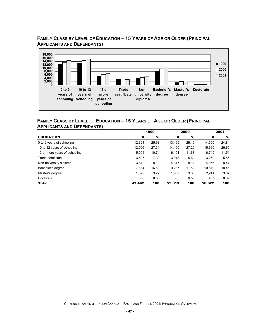# **FAMILY CLASS BY LEVEL OF EDUCATION – 15 YEARS OF AGE OR OLDER (PRINCIPAL APPLICANTS AND DEPENDANTS)**



## **FAMILY CLASS BY LEVEL OF EDUCATION – 15 YEARS OF AGE OR OLDER (PRINCIPAL APPLICANTS AND DEPENDANTS)**

|                               |        | 1999  |        |       | 2001   |       |
|-------------------------------|--------|-------|--------|-------|--------|-------|
| <b>EDUCATION</b>              | #      | %     | #      | %     | #      | %     |
| 0 to 9 years of schooling     | 12,324 | 25.98 | 13,499 | 25.46 | 14.560 | 24.84 |
| 10 to 12 years of schooling   | 12,956 | 27.31 | 14.450 | 27.25 | 15,620 | 26.65 |
| 13 or more years of schooling | 5,094  | 10.74 | 6,191  | 11.68 | 6,749  | 11.51 |
| Trade certificate             | 3,507  | 7.39  | 3,018  | 5.69  | 3,260  | 5.56  |
| Non-university diploma        | 3,842  | 8.10  | 4,317  | 8.14  | 4,966  | 8.47  |
| Bachelor's degree             | 7,884  | 16.62 | 9,287  | 17.52 | 10,819 | 18.46 |
| Master's degree               | 1,529  | 3.22  | 1,952  | 3.68  | 2,241  | 3.82  |
| Doctorate                     | 306    | 0.65  | 305    | 0.58  | 407    | 0.69  |
| Total                         | 47.442 | 100   | 53,019 | 100   | 58,622 | 100   |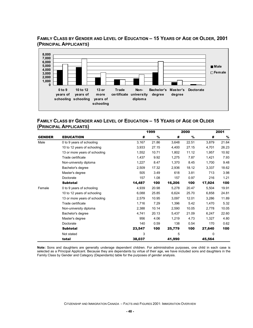



### **FAMILY CLASS BY GENDER AND LEVEL OF EDUCATION – 15 YEARS OF AGE OR OLDER (PRINCIPAL APPLICANTS)**

|               |                               | 1999   |       | 2000   | 2001  |        |       |
|---------------|-------------------------------|--------|-------|--------|-------|--------|-------|
| <b>GENDER</b> | <b>EDUCATION</b>              | #      | %     | #      | %     | #      | %     |
| Male          | 0 to 9 years of schooling     | 3,167  | 21.86 | 3,648  | 22.51 | 3,879  | 21.64 |
|               | 10 to 12 years of schooling   | 3,933  | 27.15 | 4,400  | 27.15 | 4,701  | 26.23 |
|               | 13 or more years of schooling | 1,552  | 10.71 | 1,802  | 11.12 | 1,957  | 10.92 |
|               | Trade certificate             | 1,437  | 9.92  | 1,275  | 7.87  | 1,421  | 7.93  |
|               | Non-university diploma        | 1,227  | 8.47  | 1,370  | 8.45  | 1,700  | 9.48  |
|               | Bachelor's degree             | 2,509  | 17.32 | 2,936  | 18.12 | 3,337  | 18.62 |
|               | Master's degree               | 505    | 3.49  | 618    | 3.81  | 713    | 3.98  |
|               | Doctorate                     | 157    | 1.08  | 157    | 0.97  | 216    | 1.21  |
|               | <b>Subtotal</b>               | 14,487 | 100   | 16,206 | 100   | 17,924 | 100   |
| Female        | 0 to 9 years of schooling     | 4,939  | 20.98 | 5,278  | 20.47 | 5,504  | 19.91 |
|               | 10 to 12 years of schooling   | 6,088  | 25.85 | 6,624  | 25.70 | 6,858  | 24.81 |
|               | 13 or more years of schooling | 2,579  | 10.95 | 3,097  | 12.01 | 3,286  | 11.89 |
|               | Trade certificate             | 1,716  | 7.29  | 1,396  | 5.42  | 1,470  | 5.32  |
|               | Non-university diploma        | 2,388  | 10.14 | 2,590  | 10.05 | 2,778  | 10.05 |
|               | Bachelor's degree             | 4,741  | 20.13 | 5,437  | 21.09 | 6,247  | 22.60 |
|               | Master's degree               | 956    | 4.06  | 1,219  | 4.73  | 1,327  | 4.80  |
|               | Doctorate                     | 140    | 0.59  | 138    | 0.54  | 170    | 0.62  |
|               | <b>Subtotal</b>               | 23,547 | 100   | 25,779 | 100   | 27,640 | 100   |
|               | Not stated                    | 3      |       | 5      |       | 0      |       |
|               | total                         | 38,037 |       | 41,990 |       | 45,564 |       |

**Note:** Sons and daughters are generally underage dependent children. For administrative purposes, one child in each case is selected as a Principal Applicant. Because they are dependants by virtue of their age, we have included sons and daughters in the Family Class by Gender and Category (Dependants) table for the purposes of gender analysis.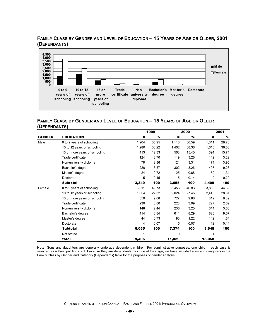



### **FAMILY CLASS BY GENDER AND LEVEL OF EDUCATION – 15 YEARS OF AGE OR OLDER (DEPENDANTS)**

|               |                               | 1999  |       | 2000   | 2001  |        |       |
|---------------|-------------------------------|-------|-------|--------|-------|--------|-------|
| <b>GENDER</b> | <b>EDUCATION</b>              | #     | $\%$  | #      | %     | #      | %     |
| Male          | 0 to 9 years of schooling     | 1,204 | 35.95 | 1,118  | 30.59 | 1,311  | 29.73 |
|               | 10 to 12 years of schooling   | 1,280 | 38.22 | 1,402  | 38.36 | 1,613  | 36.58 |
|               | 13 or more years of schooling | 413   | 12.33 | 563    | 15.40 | 694    | 15.74 |
|               | Trade certificate             | 124   | 3.70  | 119    | 3.26  | 142    | 3.22  |
|               | Non-university diploma        | 79    | 2.36  | 121    | 3.31  | 174    | 3.95  |
|               | Bachelor's degree             | 220   | 6.57  | 302    | 8.26  | 407    | 9.23  |
|               | Master's degree               | 24    | 0.72  | 25     | 0.68  | 59     | 1.34  |
|               | Doctorate                     | 5     | 0.15  | 5      | 0.14  | 9      | 0.20  |
|               | <b>Subtotal</b>               | 3,349 | 100   | 3,655  | 100   | 4,409  | 100   |
| Female        | 0 to 9 years of schooling     | 3,011 | 49.73 | 3,453  | 46.83 | 3,865  | 44.69 |
|               | 10 to 12 years of schooling   | 1,654 | 27.32 | 2,024  | 27.45 | 2,448  | 28.31 |
|               | 13 or more years of schooling | 550   | 9.08  | 727    | 9.86  | 812    | 9.39  |
|               | Trade certificate             | 230   | 3.80  | 228    | 3.09  | 227    | 2.62  |
|               | Non-university diploma        | 148   | 2.44  | 236    | 3.20  | 314    | 3.63  |
|               | Bachelor's degree             | 414   | 6.84  | 611    | 8.29  | 828    | 9.57  |
|               | Master's degree               | 44    | 0.73  | 90     | 1.22  | 142    | 1.64  |
|               | Doctorate                     | 4     | 0.07  | 5      | 0.07  | 12     | 0.14  |
|               | <b>Subtotal</b>               | 6,055 | 100   | 7,374  | 100   | 8,648  | 100   |
|               | Not stated                    | 1     |       | 0      |       | 1      |       |
|               | total                         | 9,405 |       | 11,029 |       | 13,058 |       |

**Note:** Sons and daughters are generally underage dependent children. For administrative purposes, one child in each case is selected as a Principal Applicant. Because they are dependants by virtue of their age, we have included sons and daughters in the Family Class by Gender and Category (Dependants) table for the purposes of gender analysis.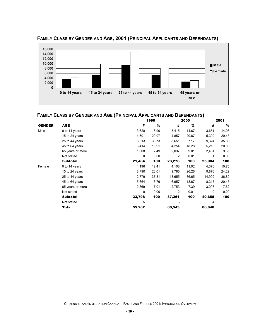

# **FAMILY CLASS BY GENDER AND AGE, 2001 (PRINCIPAL APPLICANTS AND DEPENDANTS)**

### **FAMILY CLASS BY GENDER AND AGE (PRINCIPAL APPLICANTS AND DEPENDANTS)**

|               |                  | 1999   |       | 2000   | 2001  |        |       |
|---------------|------------------|--------|-------|--------|-------|--------|-------|
| <b>GENDER</b> | AGE              | #      | %     | #      | %     | #      | $\%$  |
| Male          | 0 to 14 years    | 3,628  | 16.90 | 3,415  | 14.67 | 3,651  | 14.05 |
|               | 15 to 24 years   | 4,501  | 20.97 | 4,857  | 20.87 | 5,309  | 20.43 |
|               | 25 to 44 years   | 8,313  | 38.73 | 8,651  | 37.17 | 9,324  | 35.88 |
|               | 45 to 64 years   | 3,414  | 15.91 | 4,254  | 18.28 | 5,218  | 20.08 |
|               | 65 years or more | 1,608  | 7.49  | 2,097  | 9.01  | 2,481  | 9.55  |
|               | Not stated       | 0      | 0.00  | 2      | 0.01  | 1      | 0.00  |
|               | <b>Subtotal</b>  | 21,464 | 100   | 23,276 | 100   | 25,984 | 100   |
| Female        | 0 to 14 years    | 4,196  | 12.41 | 4,108  | 11.02 | 4,370  | 10.75 |
|               | 15 to 24 years   | 8,790  | 26.01 | 9,786  | 26.26 | 9,876  | 24.29 |
|               | 25 to 44 years   | 12,779 | 37.81 | 13,655 | 36.65 | 14,999 | 36.89 |
|               | 45 to 64 years   | 5,664  | 16.76 | 6,957  | 18.67 | 8,315  | 20.45 |
|               | 65 years or more | 2,369  | 7.01  | 2,753  | 7.39  | 3,098  | 7.62  |
|               | Not stated       | 0      | 0.00  | 2      | 0.01  | 0      | 0.00  |
|               | <b>Subtotal</b>  | 33,798 | 100   | 37,261 | 100   | 40,658 | 100   |
|               | Not stated       | 5      |       | 6      |       | 4      |       |
|               | Total            | 55,267 |       | 60,543 |       | 66,646 |       |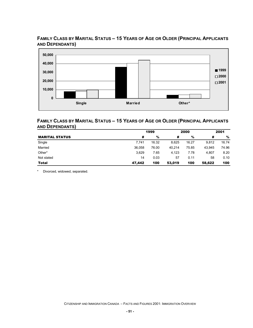# **FAMILY CLASS BY MARITAL STATUS – 15 YEARS OF AGE OR OLDER (PRINCIPAL APPLICANTS AND DEPENDANTS)**



# **FAMILY CLASS BY MARITAL STATUS – 15 YEARS OF AGE OR OLDER (PRINCIPAL APPLICANTS AND DEPENDANTS)**

|                       | 1999   |       | 2000   | 2001  |        |       |
|-----------------------|--------|-------|--------|-------|--------|-------|
| <b>MARITAL STATUS</b> | #      | %     | #      | %     | #      | %     |
| Single                | 7.741  | 16.32 | 8,625  | 16.27 | 9.812  | 16.74 |
| Married               | 36.058 | 76.00 | 40.214 | 75.85 | 43.945 | 74.96 |
| Other*                | 3,629  | 7.65  | 4,123  | 7.78  | 4,807  | 8.20  |
| Not stated            | 14     | 0.03  | 57     | 0.11  | 58     | 0.10  |
| Total                 | 47.442 | 100   | 53,019 | 100   | 58,622 | 100   |

\* Divorced, widowed, separated.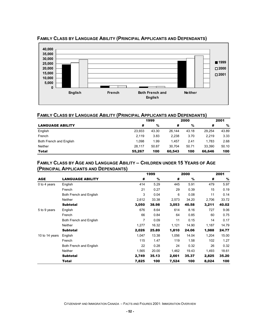

# **FAMILY CLASS BY LANGUAGE ABILITY (PRINCIPAL APPLICANTS AND DEPENDANTS)**

### **FAMILY CLASS BY LANGUAGE ABILITY (PRINCIPAL APPLICANTS AND DEPENDANTS)**

|                         | 1999   |       |        | 2000  |        | 2001  |  |
|-------------------------|--------|-------|--------|-------|--------|-------|--|
| <b>LANGUAGE ABILITY</b> | #      | %     | #      | %     | #      | %     |  |
| English                 | 23,933 | 43.30 | 26.144 | 43.18 | 29.254 | 43.89 |  |
| French                  | 2,119  | 3.83  | 2.238  | 3.70  | 2.219  | 3.33  |  |
| Both French and English | 1.098  | 1.99  | 1.457  | 2.41  | 1.783  | 2.68  |  |
| <b>Neither</b>          | 28.117 | 50.87 | 30.704 | 50.71 | 33.390 | 50.10 |  |
| Total                   | 55.267 | 100   | 60.543 | 100   | 66.646 | 100   |  |

### **FAMILY CLASS BY AGE AND LANGUAGE ABILITY – CHILDREN UNDER 15 YEARS OF AGE (PRINCIPAL APPLICANTS AND DEPENDANTS)**

|                |                         | 1999  |       | 2000  | 2001  |       |       |
|----------------|-------------------------|-------|-------|-------|-------|-------|-------|
| <b>AGE</b>     | <b>LANGUAGE ABILITY</b> | #     | %     | #     | $\%$  | #     | %     |
| 0 to 4 years   | English                 | 414   | 5.29  | 445   | 5.91  | 479   | 5.97  |
|                | French                  | 21    | 0.27  | 29    | 0.39  | 15    | 0.19  |
|                | Both French and English | 3     | 0.04  | 6     | 0.08  | 11    | 0.14  |
|                | <b>Neither</b>          | 2,612 | 33.38 | 2,573 | 34.20 | 2,706 | 33.72 |
|                | <b>Subtotal</b>         | 3,050 | 38.98 | 3,053 | 40.58 | 3,211 | 40.02 |
| 5 to 9 years   | English                 | 676   | 8.64  | 614   | 8.16  | 727   | 9.06  |
|                | French                  | 66    | 0.84  | 64    | 0.85  | 60    | 0.75  |
|                | Both French and English | 7     | 0.09  | 11    | 0.15  | 14    | 0.17  |
|                | <b>Neither</b>          | 1,277 | 16.32 | 1,121 | 14.90 | 1,187 | 14.79 |
|                | <b>Subtotal</b>         | 2,026 | 25.89 | 1,810 | 24.06 | 1,988 | 24.77 |
| 10 to 14 years | English                 | 1,047 | 13.38 | 1,056 | 14.04 | 1,204 | 15.00 |
|                | French                  | 115   | 1.47  | 119   | 1.58  | 102   | 1.27  |
|                | Both French and English | 22    | 0.28  | 24    | 0.32  | 26    | 0.32  |
|                | <b>Neither</b>          | 1,565 | 20.00 | 1,462 | 19.43 | 1,493 | 18.61 |
|                | <b>Subtotal</b>         | 2,749 | 35.13 | 2,661 | 35.37 | 2,825 | 35.20 |
|                | Total                   | 7,825 | 100   | 7,524 | 100   | 8,024 | 100   |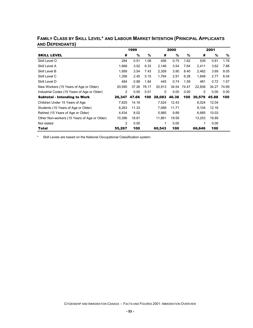|                                              |                | 1999  |       |        | 2000  |       |          | 2001  |       |  |
|----------------------------------------------|----------------|-------|-------|--------|-------|-------|----------|-------|-------|--|
| <b>SKILL LEVEL</b>                           | #              | %     | %     | #      | %     | %     | #        | %     | %     |  |
| Skill Level O                                | 284            | 0.51  | 1.08  | 456    | 0.75  | 1.62  | 539      | 0.81  | 1.76  |  |
| Skill Level A                                | 1,668          | 3.02  | 6.33  | 2,146  | 3.54  | 7.64  | 2,411    | 3.62  | 7.88  |  |
| Skill Level B                                | 1,958          | 3.54  | 7.43  | 2,359  | 3.90  | 8.40  | 2,462    | 3.69  | 8.05  |  |
| Skill Level C                                | 1,356          | 2.45  | 5.15  | 1,764  | 2.91  | 6.28  | 1,848    | 2.77  | 6.04  |  |
| Skill Level D                                | 484            | 0.88  | 1.84  | 445    | 0.74  | 1.58  | 481      | 0.72  | 1.57  |  |
| New Workers (15 Years of Age or Older)       | 20,595         | 37.26 | 78.17 | 20,913 | 34.54 | 74.47 | 22,838   | 34.27 | 74.69 |  |
| Industrial Codes (15 Years of Age or Older)  | $\overline{2}$ | 0.00  | 0.01  | 0      | 0.00  | 0.00  | $\Omega$ | 0.00  | 0.00  |  |
| <b>Subtotal - Intending to Work</b>          | 26,347         | 47.66 | 100   | 28,083 | 46.38 | 100   | 30,579   | 45.88 | 100   |  |
| Children Under 15 Years of Age               | 7,825          | 14.16 |       | 7,524  | 12.43 |       | 8.024    | 12.04 |       |  |
| Students (15 Years of Age or Older)          | 6,263          | 11.33 |       | 7,089  | 11.71 |       | 8,104    | 12.16 |       |  |
| Retired (15 Years of Age or Older)           | 4.434          | 8.02  |       | 5.985  | 9.89  |       | 6.685    | 10.03 |       |  |
| Other Non-workers (15 Years of Age or Older) | 10,396         | 18.81 |       | 11,861 | 19.59 |       | 13,253   | 19.89 |       |  |
| Not stated                                   | 2              | 0.00  |       | 1      | 0.00  |       | 1        | 0.00  |       |  |
| Total                                        | 55,267         | 100   |       | 60,543 | 100   |       | 66,646   | 100   |       |  |

# **FAMILY CLASS BY SKILL LEVEL\* AND LABOUR MARKET INTENTION (PRINCIPAL APPLICANTS AND DEPENDANTS)**

\* Skill Levels are based on the National Occupational Classification system.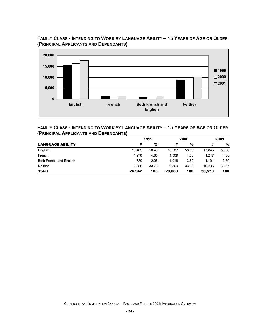# **FAMILY CLASS - INTENDING TO WORK BY LANGUAGE ABILITY – 15 YEARS OF AGE OR OLDER (PRINCIPAL APPLICANTS AND DEPENDANTS)**



## **FAMILY CLASS - INTENDING TO WORK BY LANGUAGE ABILITY – 15 YEARS OF AGE OR OLDER (PRINCIPAL APPLICANTS AND DEPENDANTS)**

|                         | 1999   |       |        | 2000  | 2001   |       |
|-------------------------|--------|-------|--------|-------|--------|-------|
| <b>LANGUAGE ABILITY</b> | #      | %     | #      | %     | #      | %     |
| English                 | 15.403 | 58.46 | 16.387 | 58.35 | 17.845 | 58.36 |
| French                  | 1.278  | 4.85  | 1,309  | 4.66  | 1.247  | 4.08  |
| Both French and English | 780    | 2.96  | 1.018  | 3.62  | 1.191  | 3.89  |
| <b>Neither</b>          | 8.886  | 33.73 | 9.369  | 33.36 | 10.296 | 33.67 |
| <b>Total</b>            | 26.347 | 100   | 28,083 | 100   | 30,579 | 100   |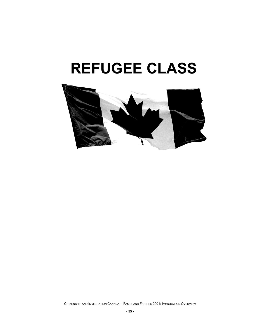# **REFUGEE CLASS**



CITIZENSHIP AND IMMIGRATION CANADA – FACTS AND FIGURES 2001: IMMIGRATION OVERVIEW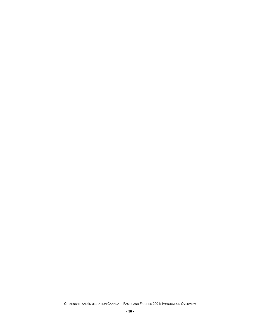CITIZENSHIP AND IMMIGRATION CANADA – FACTS AND FIGURES 2001: IMMIGRATION OVERVIEW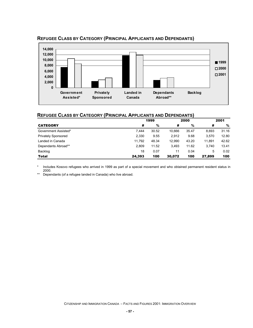

# **REFUGEE CLASS BY CATEGORY (PRINCIPAL APPLICANTS AND DEPENDANTS)**

#### **REFUGEE CLASS BY CATEGORY (PRINCIPAL APPLICANTS AND DEPENDANTS)**

|                            | 1999   |       |        | 2000  | 2001   |       |
|----------------------------|--------|-------|--------|-------|--------|-------|
| <b>CATEGORY</b>            | #      | %     | #      | %     | #      | %     |
| Government Assisted*       | 7.444  | 30.52 | 10.666 | 35.47 | 8,693  | 31.16 |
| <b>Privately Sponsored</b> | 2,330  | 9.55  | 2.912  | 9.68  | 3.570  | 12.80 |
| Landed in Canada           | 11.792 | 48.34 | 12.990 | 43.20 | 11.891 | 42.62 |
| Dependants Abroad**        | 2,809  | 11.52 | 3.493  | 11.62 | 3.740  | 13.41 |
| Backlog                    | 18     | 0.07  | 11     | 0.04  | 5      | 0.02  |
| <b>Total</b>               | 24.393 | 100   | 30,072 | 100   | 27,899 | 100   |

\* Includes Kosovo refugees who arrived in 1999 as part of a special movement and who obtained permanent resident status in 2000.

\*\* Dependants (of a refugee landed in Canada) who live abroad.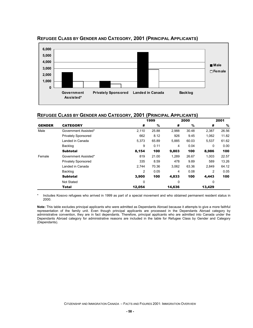

#### **REFUGEE CLASS BY GENDER AND CATEGORY, 2001 (PRINCIPAL APPLICANTS)**

#### **REFUGEE CLASS BY GENDER AND CATEGORY, 2001 (PRINCIPAL APPLICANTS)**

|               | <b>CATEGORY</b>            |        | 1999  |        | 2000  |        | 2001  |
|---------------|----------------------------|--------|-------|--------|-------|--------|-------|
| <b>GENDER</b> |                            | #      | %     | #      | %     | #      | %     |
| Male          | Government Assisted*       | 2,110  | 25.88 | 2,988  | 30.48 | 2,387  | 26.56 |
|               | <b>Privately Sponsored</b> | 662    | 8.12  | 926    | 9.45  | 1,062  | 11.82 |
|               | Landed in Canada           | 5,373  | 65.89 | 5,885  | 60.03 | 5,537  | 61.62 |
|               | Backlog                    | 9      | 0.11  | 4      | 0.04  | 0      | 0.00  |
|               | <b>Subtotal</b>            | 8,154  | 100   | 9,803  | 100   | 8,986  | 100   |
| Female        | Government Assisted*       | 819    | 21.00 | 1.289  | 26.67 | 1,003  | 22.57 |
|               | <b>Privately Sponsored</b> | 335    | 8.59  | 478    | 9.89  | 589    | 13.26 |
|               | Landed in Canada           | 2.744  | 70.36 | 3,062  | 63.36 | 2,849  | 64.12 |
|               | Backlog                    | 2      | 0.05  | 4      | 0.08  | 2      | 0.05  |
|               | <b>Subtotal</b>            | 3,900  | 100   | 4,833  | 100   | 4,443  | 100   |
|               | Not Stated                 | 0      |       | 0      |       | 0      |       |
|               | <b>Total</b>               | 12,054 |       | 14,636 |       | 13,429 |       |

Includes Kosovo refugees who arrived in 1999 as part of a special movement and who obtained permanent resident status in 2000.

**Note:** This table excludes principal applicants who were admitted as Dependants Abroad because it attempts to give a more faithful representation of the family unit. Even though principal applicants are processed in the Dependants Abroad category by administrative convention, they are in fact dependants. Therefore, principal applicants who are admitted into Canada under the Dependants Abroad category for administrative reasons are included in the table for Refugee Class by Gender and Category (Dependants).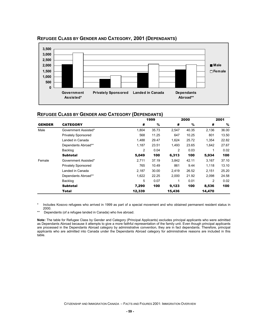

#### **REFUGEE CLASS BY GENDER AND CATEGORY, 2001 (DEPENDANTS)**

#### **REFUGEE CLASS BY GENDER AND CATEGORY (DEPENDANTS)**

|               | <b>CATEGORY</b>            |        | 1999  |        | 2000  |        | 2001  |
|---------------|----------------------------|--------|-------|--------|-------|--------|-------|
| <b>GENDER</b> |                            | #      | %     | #      | %     | #      | %     |
| Male          | Government Assisted*       | 1,804  | 35.73 | 2,547  | 40.35 | 2,136  | 36.00 |
|               | <b>Privately Sponsored</b> | 568    | 11.25 | 647    | 10.25 | 801    | 13.50 |
|               | Landed in Canada           | 1,488  | 29.47 | 1,624  | 25.72 | 1,354  | 22.82 |
|               | Dependants Abroad**        | 1,187  | 23.51 | 1,493  | 23.65 | 1,642  | 27.67 |
|               | Backlog                    | 2      | 0.04  | 2      | 0.03  | 1      | 0.02  |
|               | <b>Subtotal</b>            | 5,049  | 100   | 6,313  | 100   | 5,934  | 100   |
| Female        | Government Assisted*       | 2,711  | 37.19 | 3,842  | 42.11 | 3,167  | 37.10 |
|               | <b>Privately Sponsored</b> | 765    | 10.49 | 861    | 9.44  | 1,118  | 13.10 |
|               | Landed in Canada           | 2,187  | 30.00 | 2,419  | 26.52 | 2,151  | 25.20 |
|               | Dependants Abroad**        | 1,622  | 22.25 | 2,000  | 21.92 | 2,098  | 24.58 |
|               | Backlog                    | 5      | 0.07  |        | 0.01  | 2      | 0.02  |
|               | <b>Subtotal</b>            | 7,290  | 100   | 9,123  | 100   | 8,536  | 100   |
|               | Total                      | 12,339 |       | 15,436 |       | 14,470 |       |

\* Includes Kosovo refugees who arrived in 1999 as part of a special movement and who obtained permanent resident status in 2000.

\*\* Dependants (of a refugee landed in Canada) who live abroad.

**Note:** The table for Refugee Class by Gender and Category (Principal Applicants) excludes principal applicants who were admitted as Dependants Abroad because it attempts to give a more faithful representation of the family unit. Even though principal applicants are processed in the Dependants Abroad category by administrative convention, they are in fact dependants. Therefore, principal applicants who are admitted into Canada under the Dependants Abroad category for administrative reasons are included in this table.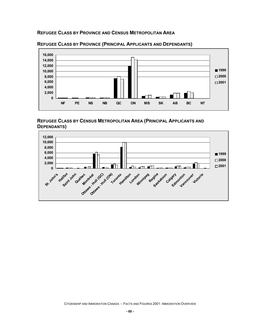### **REFUGEE CLASS BY PROVINCE AND CENSUS METROPOLITAN AREA**



#### **REFUGEE CLASS BY PROVINCE (PRINCIPAL APPLICANTS AND DEPENDANTS)**

# **REFUGEE CLASS BY CENSUS METROPOLITAN AREA (PRINCIPAL APPLICANTS AND DEPENDANTS)**

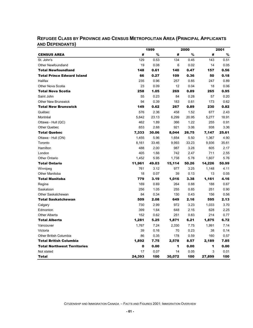|                                    | 1999   | 2000  |        | 2001  |        |       |
|------------------------------------|--------|-------|--------|-------|--------|-------|
| <b>CENSUS AREA</b>                 | #      | %     | #      | %     | #      | %     |
| St. John's                         | 129    | 0.53  | 134    | 0.45  | 143    | 0.51  |
| <b>Other Newfoundland</b>          | 19     | 0.08  | 6      | 0.02  | 14     | 0.05  |
| <b>Total Newfoundland</b>          | 148    | 0.61  | 140    | 0.47  | 157    | 0.56  |
| <b>Total Prince Edward Island</b>  | 66     | 0.27  | 109    | 0.36  | 50     | 0.18  |
| Halifax                            | 235    | 0.96  | 257    | 0.85  | 247    | 0.89  |
| Other Nova Scotia                  | 23     | 0.09  | 12     | 0.04  | 18     | 0.06  |
| <b>Total Nova Scotia</b>           | 258    | 1.05  | 269    | 0.89  | 265    | 0.95  |
| Saint John                         | 55     | 0.23  | 84     | 0.28  | 57     | 0.20  |
| <b>Other New Brunswick</b>         | 94     | 0.39  | 183    | 0.61  | 173    | 0.62  |
| <b>Total New Brunswick</b>         | 149    | 0.62  | 267    | 0.89  | 230    | 0.82  |
| Québec                             | 576    | 2.36  | 458    | 1.52  | 677    | 2.43  |
| Montréal                           | 5,642  | 23.13 | 6,299  | 20.95 | 5,277  | 18.91 |
| Ottawa - Hull (QC)                 | 462    | 1.89  | 366    | 1.22  | 255    | 0.91  |
| <b>Other Quebec</b>                | 653    | 2.68  | 921    | 3.06  | 938    | 3.36  |
| <b>Total Quebec</b>                | 7,333  | 30.06 | 8,044  | 26.75 | 7,147  | 25.61 |
| Ottawa - Hull (ON)                 | 1,455  | 5.96  | 1,654  | 5.50  | 1,367  | 4.90  |
| Toronto                            | 8,161  | 33.46 | 9,993  | 33.23 | 9,936  | 35.61 |
| Hamilton                           | 488    | 2.00  | 987    | 3.28  | 605    | 2.17  |
| London                             | 405    | 1.66  | 742    | 2.47  | 711    | 2.55  |
| <b>Other Ontario</b>               | 1,452  | 5.95  | 1,738  | 5.78  | 1,607  | 5.76  |
| <b>Total Ontario</b>               | 11,961 | 49.03 | 15,114 | 50.26 | 14,226 | 50.99 |
| Winnipeg                           | 761    | 3.12  | 977    | 3.25  | 1,148  | 4.11  |
| Other Manitoba                     | 18     | 0.07  | 39     | 0.13  | 13     | 0.05  |
| <b>Total Manitoba</b>              | 779    | 3.19  | 1,016  | 3.38  | 1,161  | 4.16  |
| Regina                             | 169    | 0.69  | 264    | 0.88  | 188    | 0.67  |
| Saskatoon                          | 256    | 1.05  | 255    | 0.85  | 251    | 0.90  |
| Other Saskatchewan                 | 84     | 0.34  | 130    | 0.43  | 156    | 0.56  |
| <b>Total Saskatchewan</b>          | 509    | 2.08  | 649    | 2.16  | 595    | 2.13  |
| Calgary                            | 730    | 2.99  | 972    | 3.23  | 1,033  | 3.70  |
| Edmonton                           | 399    | 1.64  | 648    | 2.15  | 628    | 2.25  |
| <b>Other Alberta</b>               | 152    | 0.62  | 251    | 0.83  | 214    | 0.77  |
| <b>Total Alberta</b>               | 1,281  | 5.25  | 1,871  | 6.21  | 1,875  | 6.72  |
| Vancouver                          | 1,767  | 7.24  | 2,330  | 7.75  | 1,991  | 7.14  |
| Victoria                           | 39     | 0.16  | 70     | 0.23  | 38     | 0.14  |
| Other British Columbia             | 86     | 0.35  | 178    | 0.59  | 160    | 0.57  |
| <b>Total British Columbia</b>      | 1,892  | 7.75  | 2,578  | 8.57  | 2,189  | 7.85  |
| <b>Total Northwest Territories</b> | 0      | 0.00  | 1      | 0.00  | 1      | 0.00  |
| Not stated                         | 17     | 0.07  | 14     | 0.05  | 3      | 0.01  |
| Total                              | 24,393 | 100   | 30,072 | 100   | 27,899 | 100   |

#### **REFUGEE CLASS BY PROVINCE AND CENSUS METROPOLITAN AREA (PRINCIPAL APPLICANTS AND DEPENDANTS)**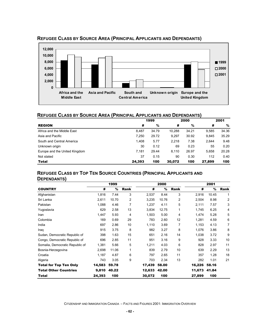

# **REFUGEE CLASS BY SOURCE AREA (PRINCIPAL APPLICANTS AND DEPENDANTS)**

#### **REFUGEE CLASS BY SOURCE AREA (PRINCIPAL APPLICANTS AND DEPENDANTS)**

|                               | 1999   |       | 2000   |       | 2001   |       |
|-------------------------------|--------|-------|--------|-------|--------|-------|
| <b>REGION</b>                 | #      | %     | #      | %     | #      | %     |
| Africa and the Middle East    | 8,487  | 34.79 | 10.288 | 34.21 | 9,585  | 34.36 |
| Asia and Pacific              | 7,250  | 29.72 | 9,297  | 30.92 | 9,845  | 35.29 |
| South and Central America     | 1,408  | 5.77  | 2,218  | 7.38  | 2.644  | 9.48  |
| Unknown origin                | 30     | 0.12  | 69     | 0.23  | 55     | 0.20  |
| Europe and the United Kingdom | 7.181  | 29.44 | 8.110  | 26.97 | 5,658  | 20.28 |
| Not stated                    | 37     | 0.15  | 90     | 0.30  | 112    | 0.40  |
| Total                         | 24.393 | 100   | 30.072 | 100   | 27,899 | 100   |

# **REFUGEE CLASS BY TOP TEN SOURCE COUNTRIES (PRINCIPAL APPLICANTS AND DEPENDANTS)**

|                                 |        | 1999  |      |        | 2000  |             |        | 2001  |      |
|---------------------------------|--------|-------|------|--------|-------|-------------|--------|-------|------|
| <b>COUNTRY</b>                  | #      | %     | Rank | #      | %     | <b>Rank</b> | #      | %     | Rank |
| Afghanistan                     | 1,816  | 7.44  | 3    | 2,537  | 8.44  | 3           | 2,916  | 10.45 | 1    |
| Sri Lanka                       | 2,611  | 10.70 | 2    | 3,235  | 10.76 | 2           | 2,504  | 8.98  | 2    |
| Pakistan                        | 1,088  | 4.46  | 7    | 1,237  | 4.11  | 5           | 2,111  | 7.57  | 3    |
| Yugoslavia                      | 629    | 2.58  | 13   | 3,834  | 12.75 |             | 1,745  | 6.25  | 4    |
| Iran                            | 1,447  | 5.93  | 4    | 1,503  | 5.00  | 4           | 1,474  | 5.28  | 5    |
| Colombia                        | 169    | 0.69  | 29   | 783    | 2.60  | 12          | 1,281  | 4.59  | 6    |
| India                           | 697    | 2.86  | 10   | 1,110  | 3.69  | 7           | 1,153  | 4.13  | 7    |
| Iraq                            | 915    | 3.75  | 8    | 982    | 3.27  | 8           | 1,076  | 3.86  | 8    |
| Sudan, Democratic Republic of   | 398    | 1.63  | 15   | 651    | 2.16  | 14          | 1,038  | 3.72  | 9    |
| Congo, Democratic Republic of   | 696    | 2.85  | 11   | 951    | 3.16  | 9           | 928    | 3.33  | 10   |
| Somalia, Democratic Republic of | 1,381  | 5.66  | 5    | 1,211  | 4.03  | 6           | 828    | 2.97  | 11   |
| Bosnia-Herzegovina              | 2,698  | 11.06 |      | 839    | 2.79  | 10          | 639    | 2.29  | 13   |
| Croatia                         | 1,187  | 4.87  | 6    | 797    | 2.65  | 11          | 357    | 1.28  | 18   |
| Algeria                         | 743    | 3.05  | 9    | 703    | 2.34  | 13          | 282    | 1.01  | 21   |
| <b>Total for Top Ten Only</b>   | 14,583 | 59.78 |      | 17,439 | 58.00 |             | 16,226 | 58.16 |      |
| <b>Total Other Countries</b>    | 9,810  | 40.22 |      | 12,633 | 42.00 |             | 11,673 | 41.84 |      |
| Total                           | 24,393 | 100   |      | 30,072 | 100   |             | 27,899 | 100   |      |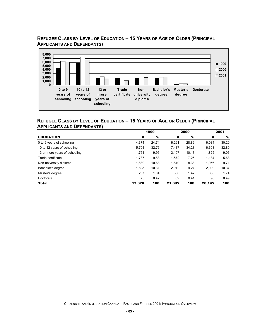# **REFUGEE CLASS BY LEVEL OF EDUCATION – 15 YEARS OF AGE OR OLDER (PRINCIPAL APPLICANTS AND DEPENDANTS)**



## **REFUGEE CLASS BY LEVEL OF EDUCATION – 15 YEARS OF AGE OR OLDER (PRINCIPAL APPLICANTS AND DEPENDANTS)**

|                               |        | 1999  |        | 2000  |        | 2001  |
|-------------------------------|--------|-------|--------|-------|--------|-------|
| <b>EDUCATION</b>              | #      | %     | #      | %     | #      | %     |
| 0 to 9 years of schooling     | 4,374  | 24.74 | 6,261  | 28.86 | 6.084  | 30.20 |
| 10 to 12 years of schooling   | 5,791  | 32.76 | 7,437  | 34.28 | 6,608  | 32.80 |
| 13 or more years of schooling | 1,761  | 9.96  | 2,197  | 10.13 | 1,825  | 9.06  |
| Trade certificate             | 1,737  | 9.83  | 1,572  | 7.25  | 1,134  | 5.63  |
| Non-university diploma        | 1.880  | 10.63 | 1.819  | 8.38  | 1,956  | 9.71  |
| Bachelor's degree             | 1,823  | 10.31 | 2,012  | 9.27  | 2,090  | 10.37 |
| Master's degree               | 237    | 1.34  | 308    | 1.42  | 350    | 1.74  |
| Doctorate                     | 75     | 0.42  | 89     | 0.41  | 98     | 0.49  |
| Total                         | 17,678 | 100   | 21,695 | 100   | 20.145 | 100   |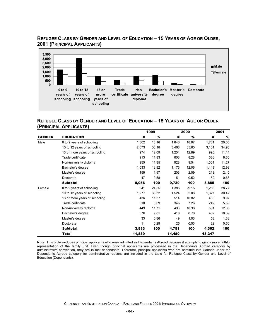

# **REFUGEE CLASS BY GENDER AND LEVEL OF EDUCATION – 15 YEARS OF AGE OR OLDER, 2001 (PRINCIPAL APPLICANTS)**

# **REFUGEE CLASS BY GENDER AND LEVEL OF EDUCATION – 15 YEARS OF AGE OR OLDER (PRINCIPAL APPLICANTS)**

|               |                               | 1999   |       | 2000   | 2001  |        |       |
|---------------|-------------------------------|--------|-------|--------|-------|--------|-------|
| <b>GENDER</b> | <b>EDUCATION</b>              | #      | $\%$  | #      | %     | #      | %     |
| Male          | 0 to 9 years of schooling     | 1,302  | 16.16 | 1,846  | 18.97 | 1,781  | 20.05 |
|               | 10 to 12 years of schooling   | 2,673  | 33.18 | 3,468  | 35.65 | 3,101  | 34.90 |
|               | 13 or more years of schooling | 974    | 12.09 | 1,254  | 12.89 | 990    | 11.14 |
|               | Trade certificate             | 913    | 11.33 | 806    | 8.28  | 586    | 6.60  |
|               | Non-university diploma        | 955    | 11.85 | 928    | 9.54  | 1,001  | 11.27 |
|               | Bachelor's degree             | 1,033  | 12.82 | 1,173  | 12.06 | 1,149  | 12.93 |
|               | Master's degree               | 159    | 1.97  | 203    | 2.09  | 218    | 2.45  |
|               | Doctorate                     | 47     | 0.58  | 51     | 0.52  | 59     | 0.66  |
|               | <b>Subtotal</b>               | 8,056  | 100   | 9,729  | 100   | 8,885  | 100   |
| Female        | 0 to 9 years of schooling     | 941    | 24.55 | 1,385  | 29.15 | 1,255  | 28.77 |
|               | 10 to 12 years of schooling   | 1,277  | 33.32 | 1,524  | 32.08 | 1,327  | 30.42 |
|               | 13 or more years of schooling | 436    | 11.37 | 514    | 10.82 | 435    | 9.97  |
|               | Trade certificate             | 310    | 8.09  | 345    | 7.26  | 242    | 5.55  |
|               | Non-university diploma        | 449    | 11.71 | 493    | 10.38 | 561    | 12.86 |
|               | Bachelor's degree             | 376    | 9.81  | 416    | 8.76  | 462    | 10.59 |
|               | Master's degree               | 33     | 0.86  | 49     | 1.03  | 58     | 1.33  |
|               | Doctorate                     | 11     | 0.29  | 25     | 0.53  | 22     | 0.50  |
|               | <b>Subtotal</b>               | 3,833  | 100   | 4,751  | 100   | 4,362  | 100   |
|               | Total                         | 11,889 |       | 14,480 |       | 13,247 |       |

**Note:** This table excludes principal applicants who were admitted as Dependants Abroad because it attempts to give a more faithful representation of the family unit. Even though principal applicants are processed in the Dependants Abroad category by administrative convention, they are in fact dependants. Therefore, principal applicants who are admitted into Canada under the Dependants Abroad category for administrative reasons are included in the table for Refugee Class by Gender and Level of Education (Dependants).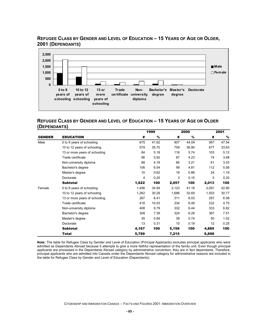# **REFUGEE CLASS BY GENDER AND LEVEL OF EDUCATION – 15 YEARS OF AGE OR OLDER, 2001 (DEPENDANTS)**



# **REFUGEE CLASS BY GENDER AND LEVEL OF EDUCATION – 15 YEARS OF AGE OR OLDER (DEPENDANTS)**

|               |                               | 1999  |       | 2000  |       | 2001  |       |
|---------------|-------------------------------|-------|-------|-------|-------|-------|-------|
| <b>GENDER</b> | <b>EDUCATION</b>              | #     | %     | #     | %     | #     | %     |
| Male          | 0 to 9 years of schooling     | 675   | 41.62 | 907   | 44.09 | 957   | 47.54 |
|               | 10 to 12 years of schooling   | 579   | 35.70 | 759   | 36.90 | 677   | 33.63 |
|               | 13 or more years of schooling | 84    | 5.18  | 118   | 5.74  | 103   | 5.12  |
|               | Trade certificate             | 96    | 5.92  | 87    | 4.23  | 74    | 3.68  |
|               | Non-university diploma        | 68    | 4.19  | 66    | 3.21  | 61    | 3.03  |
|               | Bachelor's degree             | 106   | 6.54  | 99    | 4.81  | 112   | 5.56  |
|               | Master's degree               | 10    | 0.62  | 18    | 0.88  | 24    | 1.19  |
|               | Doctorate                     | 4     | 0.25  | 3     | 0.15  | 5     | 0.25  |
|               | <b>Subtotal</b>               | 1,622 | 100   | 2,057 | 100   | 2,013 | 100   |
| Female        | 0 to 9 years of schooling     | 1,456 | 34.94 | 2,123 | 41.16 | 2,091 | 42.80 |
|               | 10 to 12 years of schooling   | 1,262 | 30.29 | 1,686 | 32.69 | 1,503 | 30.77 |
|               | 13 or more years of schooling | 267   | 6.41  | 311   | 6.03  | 297   | 6.08  |
|               | Trade certificate             | 418   | 10.03 | 334   | 6.48  | 232   | 4.75  |
|               | Non-university diploma        | 408   | 9.79  | 332   | 6.44  | 333   | 6.82  |
|               | Bachelor's degree             | 308   | 7.39  | 324   | 6.28  | 367   | 7.51  |
|               | Master's degree               | 35    | 0.84  | 38    | 0.74  | 50    | 1.02  |
|               | Doctorate                     | 13    | 0.31  | 10    | 0.19  | 12    | 0.25  |
|               | <b>Subtotal</b>               | 4,167 | 100   | 5,158 | 100   | 4,885 | 100   |
|               | Total                         | 5,789 |       | 7,215 |       | 6,898 |       |

**Note:** The table for Refugee Class by Gender and Level of Education (Principal Applicants) excludes principal applicants who were admitted as Dependants Abroad because it attempts to give a more faithful representation of the family unit. Even though principal applicants are processed in the Dependants Abroad category by administrative convention, they are in fact dependants. Therefore, principal applicants who are admitted into Canada under the Dependants Abroad category for administrative reasons are included in the table for Refugee Class by Gender and Level of Education (Dependants).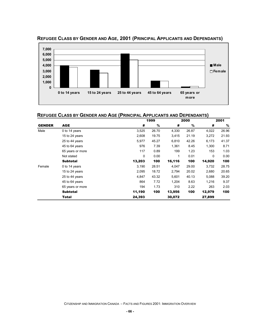

**REFUGEE CLASS BY GENDER AND AGE, 2001 (PRINCIPAL APPLICANTS AND DEPENDANTS)**

# **REFUGEE CLASS BY GENDER AND AGE (PRINCIPAL APPLICANTS AND DEPENDANTS)**

|               |                  |              | 1999  |        | 2000  |        | 2001  |
|---------------|------------------|--------------|-------|--------|-------|--------|-------|
| <b>GENDER</b> | <b>AGE</b>       | #            | %     | #      | %     | #      | %     |
| Male          | 0 to 14 years    | 3,525        | 26.70 | 4,330  | 26.87 | 4,022  | 26.96 |
|               | 15 to 24 years   | 2,608        | 19.75 | 3,415  | 21.19 | 3,272  | 21.93 |
|               | 25 to 44 years   | 5,977        | 45.27 | 6,810  | 42.26 | 6,173  | 41.37 |
|               | 45 to 64 years   | 976          | 7.39  | 1,361  | 8.45  | 1,300  | 8.71  |
|               | 65 years or more | 117          | 0.89  | 199    | 1.23  | 153    | 1.03  |
|               | Not stated       | $\mathbf{0}$ | 0.00  | 1      | 0.01  | 0      | 0.00  |
|               | <b>Subtotal</b>  | 13,203       | 100   | 16,116 | 100   | 14,920 | 100   |
| Female        | 0 to 14 years    | 3,190        | 28.51 | 4,047  | 29.00 | 3,732  | 28.75 |
|               | 15 to 24 years   | 2,095        | 18.72 | 2,794  | 20.02 | 2,680  | 20.65 |
|               | 25 to 44 years   | 4,847        | 43.32 | 5,601  | 40.13 | 5,088  | 39.20 |
|               | 45 to 64 years   | 864          | 7.72  | 1,204  | 8.63  | 1,216  | 9.37  |
|               | 65 years or more | 194          | 1.73  | 310    | 2.22  | 263    | 2.03  |
|               | <b>Subtotal</b>  | 11,190       | 100   | 13,956 | 100   | 12,979 | 100   |
|               | Total            | 24,393       |       | 30,072 |       | 27,899 |       |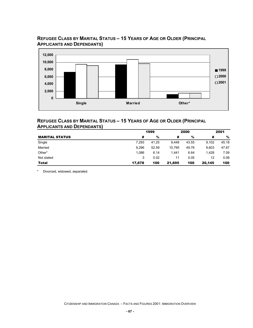# **REFUGEE CLASS BY MARITAL STATUS – 15 YEARS OF AGE OR OLDER (PRINCIPAL APPLICANTS AND DEPENDANTS)**



## **REFUGEE CLASS BY MARITAL STATUS – 15 YEARS OF AGE OR OLDER (PRINCIPAL APPLICANTS AND DEPENDANTS)**

|                       | 1999   |       |        | 2000  | 2001   |       |
|-----------------------|--------|-------|--------|-------|--------|-------|
| <b>MARITAL STATUS</b> | #      | %     | #      | %     | #      | %     |
| Single                | 7,293  | 41.25 | 9.448  | 43.55 | 9.102  | 45.18 |
| Married               | 9,296  | 52.59 | 10.795 | 49.76 | 9,603  | 47.67 |
| Other*                | 1.086  | 6.14  | 1.441  | 6.64  | 1,428  | 7.09  |
| Not stated            | 3      | 0.02  | 11     | 0.05  | 12     | 0.06  |
| Total                 | 17.678 | 100   | 21,695 | 100   | 20,145 | 100   |

\* Divorced, widowed, separated.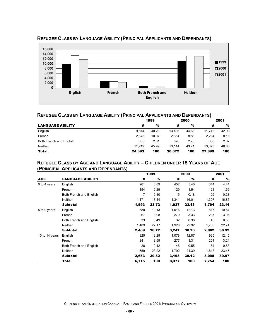

# **REFUGEE CLASS BY LANGUAGE ABILITY (PRINCIPAL APPLICANTS AND DEPENDANTS)**

# **REFUGEE CLASS BY LANGUAGE ABILITY (PRINCIPAL APPLICANTS AND DEPENDANTS)**

|                         | 1999   |       | 2000   |       | 2001   |       |
|-------------------------|--------|-------|--------|-------|--------|-------|
| <b>LANGUAGE ABILITY</b> | #      | %     | #      | %     | #      | %     |
| English                 | 9.814  | 40.23 | 13.436 | 44.68 | 11.742 | 42.09 |
| French                  | 2.675  | 10.97 | 2.664  | 8.86  | 2,284  | 8.19  |
| Both French and English | 685    | 2.81  | 828    | 2.75  | 800    | 2.87  |
| Neither                 | 11.219 | 45.99 | 13.144 | 43.71 | 13.073 | 46.86 |
| Total                   | 24.393 | 100   | 30.072 | 100   | 27.899 | 100   |

### **REFUGEE CLASS BY AGE AND LANGUAGE ABILITY – CHILDREN UNDER 15 YEARS OF AGE (PRINCIPAL APPLICANTS AND DEPENDANTS)**

|                |                         |       | 1999  |       |       | 2001  |       |
|----------------|-------------------------|-------|-------|-------|-------|-------|-------|
| <b>AGE</b>     | <b>LANGUAGE ABILITY</b> | #     | $\%$  | #     | %     | #     | %     |
| 0 to 4 years   | English                 | 261   | 3.89  | 452   | 5.40  | 344   | 4.44  |
|                | French                  | 154   | 2.29  | 129   | 1.54  | 121   | 1.56  |
|                | Both French and English | 7     | 0.10  | 15    | 0.18  | 22    | 0.28  |
|                | <b>Neither</b>          | 1,171 | 17.44 | 1,341 | 16.01 | 1,307 | 16.86 |
|                | <b>Subtotal</b>         | 1,593 | 23.72 | 1,937 | 23.13 | 1,794 | 23.14 |
| 5 to 9 years   | English                 | 680   | 10.13 | 1,016 | 12.13 | 817   | 10.54 |
|                | French                  | 267   | 3.98  | 279   | 3.33  | 237   | 3.06  |
|                | Both French and English | 33    | 0.49  | 32    | 0.38  | 45    | 0.58  |
|                | <b>Neither</b>          | 1,489 | 22.17 | 1,920 | 22.92 | 1,763 | 22.74 |
|                | <b>Subtotal</b>         | 2,469 | 36.77 | 3,247 | 38.76 | 2,862 | 36.92 |
| 10 to 14 years | English                 | 825   | 12.29 | 1,078 | 12.87 | 965   | 12.45 |
|                | French                  | 241   | 3.59  | 277   | 3.31  | 251   | 3.24  |
|                | Both French and English | 28    | 0.42  | 46    | 0.55  | 64    | 0.83  |
|                | Neither                 | 1,559 | 23.22 | 1,792 | 21.39 | 1,818 | 23.45 |
|                | <b>Subtotal</b>         | 2,653 | 39.52 | 3,193 | 38.12 | 3,098 | 39.97 |
|                | Total                   | 6,715 | 100   | 8,377 | 100   | 7,754 | 100   |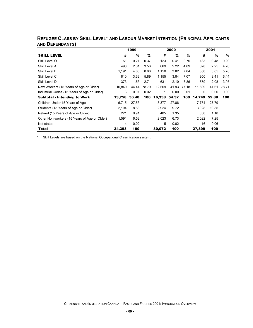|                                              | 1999   |       |       | 2000   |       |       | 2001   |       |       |
|----------------------------------------------|--------|-------|-------|--------|-------|-------|--------|-------|-------|
| <b>SKILL LEVEL</b>                           | #      | %     | %     | #      | %     | %     | #      | %     | %     |
| Skill Level O                                | 51     | 0.21  | 0.37  | 123    | 0.41  | 0.75  | 133    | 0.48  | 0.90  |
| Skill Level A                                | 490    | 2.01  | 3.56  | 669    | 2.22  | 4.09  | 628    | 2.25  | 4.26  |
| Skill Level B                                | 1,191  | 4.88  | 8.66  | 1,150  | 3.82  | 7.04  | 850    | 3.05  | 5.76  |
| Skill Level C                                | 810    | 3.32  | 5.89  | 1.155  | 3.84  | 7.07  | 950    | 3.41  | 6.44  |
| Skill Level D                                | 373    | 1.53  | 2.71  | 631    | 2.10  | 3.86  | 579    | 2.08  | 3.93  |
| New Workers (15 Years of Age or Older)       | 10,840 | 44.44 | 78.79 | 12,609 | 41.93 | 77.18 | 11,609 | 41.61 | 78.71 |
| Industrial Codes (15 Years of Age or Older)  | 3      | 0.01  | 0.02  | 1      | 0.00  | 0.01  | 0      | 0.00  | 0.00  |
| <b>Subtotal - Intending to Work</b>          | 13,758 | 56.40 | 100   | 16,338 | 54.32 | 100   | 14,749 | 52.88 | 100   |
| Children Under 15 Years of Age               | 6,715  | 27.53 |       | 8,377  | 27.86 |       | 7,754  | 27.79 |       |
| Students (15 Years of Age or Older)          | 2,104  | 8.63  |       | 2.924  | 9.72  |       | 3,028  | 10.85 |       |
| Retired (15 Years of Age or Older)           | 221    | 0.91  |       | 405    | 1.35  |       | 330    | 1.18  |       |
| Other Non-workers (15 Years of Age or Older) | 1,591  | 6.52  |       | 2,023  | 6.73  |       | 2,022  | 7.25  |       |
| Not stated                                   | 4      | 0.02  |       | 5      | 0.02  |       | 16     | 0.06  |       |
| Total                                        | 24,393 | 100   |       | 30,072 | 100   |       | 27,899 | 100   |       |

# **REFUGEE CLASS BY SKILL LEVEL\* AND LABOUR MARKET INTENTION (PRINCIPAL APPLICANTS AND DEPENDANTS)**

\* Skill Levels are based on the National Occupational Classification system.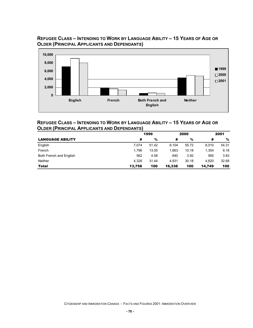## **REFUGEE CLASS – INTENDING TO WORK BY LANGUAGE ABILITY – 15 YEARS OF AGE OR OLDER (PRINCIPAL APPLICANTS AND DEPENDANTS)**



### **REFUGEE CLASS – INTENDING TO WORK BY LANGUAGE ABILITY – 15 YEARS OF AGE OR OLDER (PRINCIPAL APPLICANTS AND DEPENDANTS)**

|                         | 1999   |       |        | 2000  | 2001   |       |  |
|-------------------------|--------|-------|--------|-------|--------|-------|--|
| <b>LANGUAGE ABILITY</b> | #      | %     | #      | %     | #      | %     |  |
| English                 | 7.074  | 51.42 | 9.104  | 55.72 | 8.010  | 54.31 |  |
| French                  | 1.796  | 13.05 | 1,663  | 10.18 | 1.354  | 9.18  |  |
| Both French and English | 562    | 4.08  | 640    | 3.92  | 565    | 3.83  |  |
| Neither                 | 4.326  | 31.44 | 4.931  | 30.18 | 4.820  | 32.68 |  |
| <b>Total</b>            | 13.758 | 100   | 16,338 | 100   | 14.749 | 100   |  |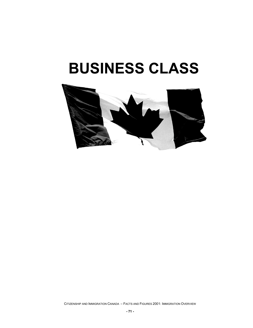# **BUSINESS CLASS**

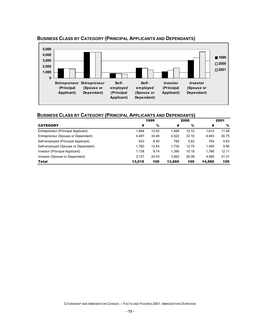

# **BUSINESS CLASS BY CATEGORY (PRINCIPAL APPLICANTS AND DEPENDANTS)**

### **BUSINESS CLASS BY CATEGORY (PRINCIPAL APPLICANTS AND DEPENDANTS)**

|                                     | 1999   | 2000  |        | 2001  |        |       |
|-------------------------------------|--------|-------|--------|-------|--------|-------|
| <b>CATEGORY</b>                     | #      | %     | #      | %     | #      | %     |
| Entrepreneur (Principal Applicant)  | 1,668  | 12.82 | 1.656  | 12.12 | 1,612  | 11.06 |
| Entrepreneur (Spouse or Dependant)  | 4,487  | 34.48 | 4.522  | 33.10 | 4,483  | 30.75 |
| Self-employed (Principal Applicant) | 833    | 6.40  | 795    | 5.82  | 704    | 4.83  |
| Self-employed (Spouse or Dependant) | 1,762  | 13.54 | 1.735  | 12.70 | 1,450  | 9.95  |
| Investor (Principal Applicant)      | 1,138  | 8.74  | 1.390  | 10.18 | 1,766  | 12.11 |
| Investor (Spouse or Dependant)      | 3,127  | 24.03 | 3.562  | 26.08 | 4,565  | 31.31 |
| Total                               | 13,015 | 100   | 13,660 | 100   | 14,580 | 100   |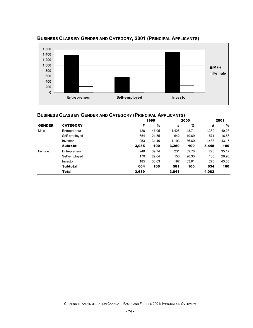

## **BUSINESS CLASS BY GENDER AND CATEGORY, 2001 (PRINCIPAL APPLICANTS)**

## **BUSINESS CLASS BY GENDER AND CATEGORY (PRINCIPAL APPLICANTS)**

|               |                 |       | 1999  |       | 2000  | 2001  |       |
|---------------|-----------------|-------|-------|-------|-------|-------|-------|
| <b>GENDER</b> | <b>CATEGORY</b> | #     | %     | #     | $\%$  | #     | %     |
| Male          | Entrepreneur    | 1,428 | 47.05 | 1,425 | 43.71 | 1,389 | 40.28 |
|               | Self-employed   | 654   | 21.55 | 642   | 19.69 | 571   | 16.56 |
|               | Investor        | 953   | 31.40 | 1,193 | 36.60 | 1,488 | 43.16 |
|               | <b>Subtotal</b> | 3.035 | 100   | 3,260 | 100   | 3,448 | 100   |
| Female        | Entrepreneur    | 240   | 39.74 | 231   | 39.76 | 223   | 35.17 |
|               | Self-employed   | 179   | 29.64 | 153   | 26.33 | 133   | 20.98 |
|               | Investor        | 185   | 30.63 | 197   | 33.91 | 278   | 43.85 |
|               | <b>Subtotal</b> | 604   | 100   | 581   | 100   | 634   | 100   |
|               | Total           | 3,639 |       | 3,841 |       | 4,082 |       |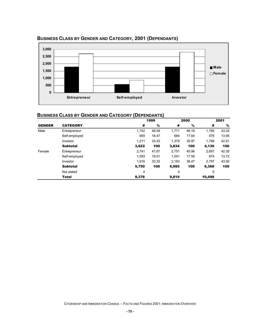

# **BUSINESS CLASS BY GENDER AND CATEGORY, 2001 (DEPENDANTS)**

## **BUSINESS CLASS BY GENDER AND CATEGORY (DEPENDANTS)**

|               |                 |       | 1999  |       |       | 2001   |       |
|---------------|-----------------|-------|-------|-------|-------|--------|-------|
| <b>GENDER</b> | <b>CATEGORY</b> | #     | %     | #     | %     | #      | %     |
| Male          | Entrepreneur    | 1,742 | 48.09 | 1,771 | 46.19 | 1,786  | 43.24 |
|               | Self-employed   | 669   | 18.47 | 684   | 17.84 | 576    | 13.95 |
|               | Investor        | 1,211 | 33.43 | 1,379 | 35.97 | 1,768  | 42.81 |
|               | <b>Subtotal</b> | 3,622 | 100   | 3,834 | 100   | 4,130  | 100   |
| Female        | Entrepreneur    | 2,741 | 47.67 | 2,751 | 45.96 | 2,697  | 42.35 |
|               | Self-employed   | 1,093 | 19.01 | 1,051 | 17.56 | 874    | 13.72 |
|               | Investor        | 1,916 | 33.32 | 2,183 | 36.47 | 2,797  | 43.92 |
|               | <b>Subtotal</b> | 5,750 | 100   | 5,985 | 100   | 6,368  | 100   |
|               | Not stated      | 4     |       | 0     |       | 0      |       |
|               | <b>Total</b>    | 9,376 |       | 9,819 |       | 10,498 |       |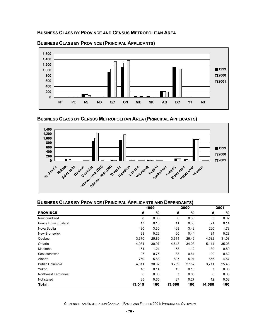### **BUSINESS CLASS BY PROVINCE AND CENSUS METROPOLITAN AREA**



### **BUSINESS CLASS BY PROVINCE (PRINCIPAL APPLICANTS)**

## **BUSINESS CLASS BY CENSUS METROPOLITAN AREA (PRINCIPAL APPLICANTS)**



### **BUSINESS CLASS BY PROVINCE (PRINCIPAL APPLICANTS AND DEPENDANTS)**

|                              | 1999   |       |        | 2000  | 2001   |       |
|------------------------------|--------|-------|--------|-------|--------|-------|
| <b>PROVINCE</b>              | #      | %     | #      | %     | #      | %     |
| Newfoundland                 | 8      | 0.06  | 0      | 0.00  | 3      | 0.02  |
| Prince Edward Island         | 17     | 0.13  | 11     | 0.08  | 21     | 0.14  |
| Nova Scotia                  | 430    | 3.30  | 468    | 3.43  | 260    | 1.78  |
| <b>New Brunswick</b>         | 28     | 0.22  | 60     | 0.44  | 34     | 0.23  |
| Quebec                       | 3,370  | 25.89 | 3,614  | 26.46 | 4,532  | 31.08 |
| Ontario                      | 4,031  | 30.97 | 4,648  | 34.03 | 5,114  | 35.08 |
| Manitoba                     | 161    | 1.24  | 153    | 1.12  | 130    | 0.89  |
| Saskatchewan                 | 97     | 0.75  | 83     | 0.61  | 90     | 0.62  |
| Alberta                      | 759    | 5.83  | 807    | 5.91  | 666    | 4.57  |
| <b>British Columbia</b>      | 4,011  | 30.82 | 3,759  | 27.52 | 3,711  | 25.45 |
| Yukon                        | 18     | 0.14  | 13     | 0.10  | 7      | 0.05  |
| <b>Northwest Territories</b> | 0      | 0.00  | 7      | 0.05  | 0      | 0.00  |
| Not stated                   | 85     | 0.65  | 37     | 0.27  | 12     | 0.08  |
| Total                        | 13,015 | 100   | 13,660 | 100   | 14,580 | 100   |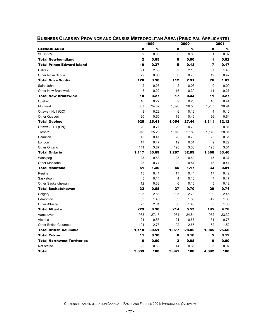| BUSINESS CLASS BY PROVINCE AND CENSUS METROPOLITAN AREA (PRINCIPAL APPLICANTS) |                | 1999  |                | 2000  |                | 2001  |
|--------------------------------------------------------------------------------|----------------|-------|----------------|-------|----------------|-------|
| <b>CENSUS AREA</b>                                                             | #              | %     | #              | %     | #              | %     |
| St. John's                                                                     | $\overline{2}$ | 0.05  | $\Omega$       | 0.00  | 1              | 0.02  |
| <b>Total Newfoundland</b>                                                      | $\mathbf{2}$   | 0.05  | 0              | 0.00  | 1              | 0.02  |
| <b>Total Prince Edward Island</b>                                              | 10             | 0.27  | 5              | 0.13  | 7              | 0.17  |
| Halifax                                                                        | 91             | 2.50  | 82             | 2.13  | 57             | 1.40  |
| <b>Other Nova Scotia</b>                                                       | 29             | 0.80  | 30             | 0.78  | 19             | 0.47  |
| <b>Total Nova Scotia</b>                                                       | 120            | 3.30  | 112            | 2.91  | 76             | 1.87  |
| Saint John                                                                     | 2              | 0.05  | $\overline{2}$ | 0.05  | 0              | 0.00  |
| <b>Other New Brunswick</b>                                                     | 8              | 0.22  | 15             | 0.39  | 11             | 0.27  |
| <b>Total New Brunswick</b>                                                     | 10             | 0.27  | 17             | 0.44  | 11             | 0.27  |
| Québec                                                                         | 10             | 0.27  | 9              | 0.23  | 18             | 0.44  |
| Montréal                                                                       | 887            | 24.37 | 1,020          | 26.56 | 1,263          | 30.94 |
| Ottawa - Hull (QC)                                                             | 8              | 0.22  | 6              | 0.16  | 4              | 0.10  |
| <b>Other Quebec</b>                                                            | 20             | 0.55  | 19             | 0.49  | 26             | 0.64  |
| <b>Total Quebec</b>                                                            | 925            | 25.41 | 1,054          | 27.44 | 1,311          | 32.12 |
| Ottawa - Hull (ON)                                                             | 26             | 0.71  | 29             | 0.76  | 33             | 0.81  |
| Toronto                                                                        | 918            | 25.23 | 1,070          | 27.86 | 1,176          | 28.81 |
| Hamilton                                                                       | 15             | 0.41  | 28             | 0.73  | 25             | 0.61  |
| London                                                                         | 17             | 0.47  | 12             | 0.31  | 9              | 0.22  |
| <b>Other Ontario</b>                                                           | 141            | 3.87  | 128            | 3.33  | 123            | 3.01  |
| <b>Total Ontario</b>                                                           | 1,117          | 30.69 | 1,267          | 32.99 | 1,366          | 33.46 |
| Winnipeg                                                                       | 23             | 0.63  | 23             | 0.60  | 15             | 0.37  |
| Other Manitoba                                                                 | 28             | 0.77  | 22             | 0.57  | 18             | 0.44  |
| <b>Total Manitoba</b>                                                          | 51             | 1.40  | 45             | 1.17  | 33             | 0.81  |
| Regina                                                                         | 15             | 0.41  | 17             | 0.44  | 17             | 0.42  |
| Saskatoon                                                                      | 5              | 0.14  | 4              | 0.10  | $\overline{7}$ | 0.17  |
| Other Saskatchewan                                                             | 12             | 0.33  | 6              | 0.16  | 5              | 0.12  |
| Total Saskatchewan                                                             | 32             | 0.88  | 27             | 0.70  | 29             | 0.71  |
| Calgary                                                                        | 103            | 2.83  | 105            | 2.73  | 100            | 2.45  |
| Edmonton                                                                       | 53             | 1.46  | 53             | 1.38  | 42             | 1.03  |
| Other Alberta                                                                  | 73             | 2.01  | 56             | 1.46  | 53             | 1.30  |
| <b>Total Alberta</b>                                                           | 229            | 6.30  | 214            | 5.57  | 195            | 4.78  |
| Vancouver                                                                      | 988            | 27.15 | 954            | 24.84 | 952            | 23.32 |
| Victoria                                                                       | 21             | 0.58  | 21             | 0.55  | 31             | 0.76  |
| Other British Columbia                                                         | 101            | 2.78  | 102            | 2.66  | 62             | 1.52  |
| <b>Total British Columbia</b>                                                  | 1,110          | 30.51 | 1,077          | 28.05 | 1,045          | 25.60 |
| <b>Total Yukon</b>                                                             | 11             | 0.30  | 6              | 0.16  | 5              | 0.12  |
| <b>Total Northwest Territories</b>                                             | $\mathbf 0$    | 0.00  | 3              | 0.08  | 0              | 0.00  |
| Not stated                                                                     | 22             | 0.60  | 14             | 0.36  | 3              | 0.07  |
| Total                                                                          | 3,639          | 100   | 3,841          | 100   | 4,082          | 100   |
|                                                                                |                |       |                |       |                |       |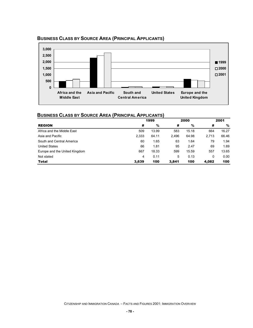

## **BUSINESS CLASS BY SOURCE AREA (PRINCIPAL APPLICANTS)**

### **BUSINESS CLASS BY SOURCE AREA (PRINCIPAL APPLICANTS)**

|                               | 1999  |       |       | 2000  | 2001  |       |
|-------------------------------|-------|-------|-------|-------|-------|-------|
| <b>REGION</b>                 | #     | %     | #     | %     | #     | %     |
| Africa and the Middle East    | 509   | 13.99 | 583   | 15.18 | 664   | 16.27 |
| Asia and Pacific              | 2,333 | 64.11 | 2,496 | 64.98 | 2,713 | 66.46 |
| South and Central America     | 60    | 1.65  | 63    | 1.64  | 79    | 1.94  |
| United States                 | 66    | 1.81  | 95    | 2.47  | 69    | 1.69  |
| Europe and the United Kingdom | 667   | 18.33 | 599   | 15.59 | 557   | 13.65 |
| Not stated                    | 4     | 0.11  | 5     | 0.13  | 0     | 0.00  |
| Total                         | 3,639 | 100   | 3.841 | 100   | 4.082 | 100   |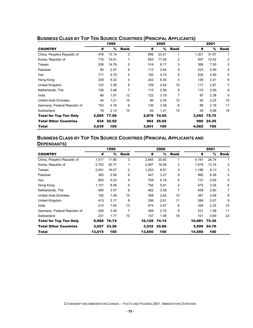|                               |       | 1999  |                |       | 2000  |             | 2001  |       |             |
|-------------------------------|-------|-------|----------------|-------|-------|-------------|-------|-------|-------------|
| <b>COUNTRY</b>                | #     | %     | Rank           | #     | %     | <b>Rank</b> | #     | %     | <b>Rank</b> |
| China, People's Republic of   | 478   | 13.14 | 3              | 899   | 23.41 | 1           | 1,301 | 31.87 | 1           |
| Korea, Republic of            | 710   | 19.51 | 1              | 653   | 17.00 | 2           | 507   | 12.42 | 2           |
| Taiwan                        | 538   | 14.78 | $\overline{2}$ | 314   | 8.17  | 3           | 306   | 7.50  | 3           |
| Pakistan                      | 90    | 2.47  | 9              | 113   | 2.94  | 9           | 223   | 5.46  | 4           |
| Iran                          | 171   | 4.70  | 5              | 182   | 4.74  | 5           | 200   | 4.90  | 5           |
| Hong Kong                     | 339   | 9.32  | 4              | 242   | 6.30  | 4           | 139   | 3.41  | 6           |
| United Kingdom                | 123   | 3.38  | 8              | 109   | 2.84  | 10          | 117   | 2.87  | 7           |
| Netherlands, The              | 126   | 3.46  | 7              | 115   | 2.99  | 8           | 110   | 2.69  | 8           |
| India                         | 66    | 1.81  | 12             | 122   | 3.18  | 7           | 97    | 2.38  | 9           |
| <b>United Arab Emirates</b>   | 44    | 1.21  | 15             | 90    | 2.34  | 12          | 92    | 2.25  | 10          |
| Germany, Federal Republic of  | 152   | 4.18  | 6              | 130   | 3.38  | 6           | 89    | 2.18  | 11          |
| Switzerland                   | 78    | 2.14  | 10             | 54    | 1.41  | 14          | 36    | 0.88  | 18          |
| <b>Total for Top Ten Only</b> | 2,805 | 77.08 |                | 2,879 | 74.95 |             | 3,092 | 75.75 |             |
| <b>Total Other Countries</b>  | 834   | 22.92 |                | 962   | 25.05 |             | 990   | 24.25 |             |
| Total                         | 3,639 | 100   |                | 3,841 | 100   |             | 4,082 | 100   |             |

## **BUSINESS CLASS BY TOP TEN SOURCE COUNTRIES (PRINCIPAL APPLICANTS)**

# **BUSINESS CLASS BY TOP TEN SOURCE COUNTRIES (PRINCIPAL APPLICANTS AND DEPENDANTS)**

|                               |        | 1999  |                |        | 2000  |             |        | 2001  |      |
|-------------------------------|--------|-------|----------------|--------|-------|-------------|--------|-------|------|
| <b>COUNTRY</b>                | #      | %     | <b>Rank</b>    | #      | %     | <b>Rank</b> | #      | %     | Rank |
| China, People's Republic of   | 1,517  | 11.66 | 3              | 2,845  | 20.83 | 1           | 4,191  | 28.74 |      |
| Korea, Republic of            | 2,703  | 20.77 |                | 2,467  | 18.06 | 2           | 1,918  | 13.16 | 2    |
| Taiwan                        | 2,091  | 16.07 | $\overline{2}$ | 1,203  | 8.81  | 3           | 1,186  | 8.13  | 3    |
| Pakistan                      | 383    | 2.94  | 9              | 447    | 3.27  | 8           | 960    | 6.58  | 4    |
| Iran                          | 655    | 5.03  | 5              | 709    | 5.19  | 5           | 737    | 5.05  | 5    |
| Hong Kong                     | 1,101  | 8.46  | 4              | 794    | 5.81  | 4           | 473    | 3.24  | 6    |
| Netherlands, The              | 465    | 3.57  | 6              | 462    | 3.38  | 7           | 408    | 2.80  | 7    |
| <b>United Arab Emirates</b>   | 192    | 1.48  | 15             | 358    | 2.62  | 10          | 391    | 2.68  | 8    |
| United Kingdom                | 413    | 3.17  | 8              | 356    | 2.61  | 11          | 389    | 2.67  | 9    |
| India                         | 214    | 1.64  | 13             | 474    | 3.47  | 6           | 328    | 2.25  | 10   |
| Germany, Federal Republic of  | 429    | 3.30  | 7              | 369    | 2.70  | 9           | 231    | 1.58  | 11   |
| Switzerland                   | 231    | 1.77  | 10             | 147    | 1.08  | 18          | 101    | 0.69  | 23   |
| <b>Total for Top Ten Only</b> | 9,988  | 76.74 |                | 10,128 | 74.14 |             | 10,981 | 75.30 |      |
| <b>Total Other Countries</b>  | 3,027  | 23.26 |                | 3,532  | 25.86 |             | 3,599  | 24.70 |      |
| Total                         | 13,015 | 100   |                | 13,660 | 100   |             | 14,580 | 100   |      |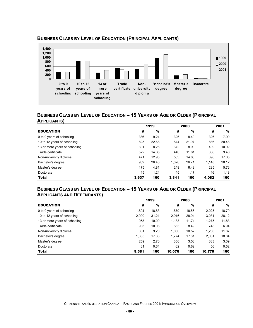

# **BUSINESS CLASS BY LEVEL OF EDUCATION (PRINCIPAL APPLICANTS)**

# **BUSINESS CLASS BY LEVEL OF EDUCATION – 15 YEARS OF AGE OR OLDER (PRINCIPAL APPLICANTS)**

|                               | 1999  |       | 2000  | 2001  |       |       |
|-------------------------------|-------|-------|-------|-------|-------|-------|
| <b>EDUCATION</b>              | #     | %     | #     | %     | #     | %     |
| 0 to 9 years of schooling     | 336   | 9.24  | 326   | 8.49  | 326   | 7.99  |
| 10 to 12 years of schooling   | 825   | 22.68 | 844   | 21.97 | 836   | 20.48 |
| 13 or more years of schooling | 301   | 8.28  | 342   | 8.90  | 409   | 10.02 |
| Trade certificate             | 522   | 14.35 | 446   | 11.61 | 386   | 9.46  |
| Non-university diploma        | 471   | 12.95 | 563   | 14.66 | 696   | 17.05 |
| Bachelor's degree             | 962   | 26.45 | 1,026 | 26.71 | 1,148 | 28.12 |
| Master's degree               | 175   | 4.81  | 249   | 6.48  | 235   | 5.76  |
| Doctorate                     | 45    | 1.24  | 45    | 1.17  | 46    | 1.13  |
| <b>Total</b>                  | 3,637 | 100   | 3,841 | 100   | 4,082 | 100   |

## **BUSINESS CLASS BY LEVEL OF EDUCATION – 15 YEARS OF AGE OR OLDER (PRINCIPAL APPLICANTS AND DEPENDANTS)**

|                               |       | 1999  |        | 2000  | 2001   |       |
|-------------------------------|-------|-------|--------|-------|--------|-------|
| <b>EDUCATION</b>              | #     | %     | #      | %     | #      | %     |
| 0 to 9 years of schooling     | 1,804 | 18.83 | 1,870  | 18.56 | 2,025  | 18.79 |
| 10 to 12 years of schooling   | 2,990 | 31.21 | 2,916  | 28.94 | 3.031  | 28.12 |
| 13 or more years of schooling | 958   | 10.00 | 1,183  | 11.74 | 1,275  | 11.83 |
| Trade certificate             | 963   | 10.05 | 855    | 8.49  | 748    | 6.94  |
| Non-university diploma        | 881   | 9.20  | 1,060  | 10.52 | 1,280  | 11.87 |
| Bachelor's degree             | 1,665 | 17.38 | 1,774  | 17.61 | 2,031  | 18.84 |
| Master's degree               | 259   | 2.70  | 356    | 3.53  | 333    | 3.09  |
| Doctorate                     | 61    | 0.64  | 62     | 0.62  | 56     | 0.52  |
| Total                         | 9.581 | 100   | 10,076 | 100   | 10.779 | 100   |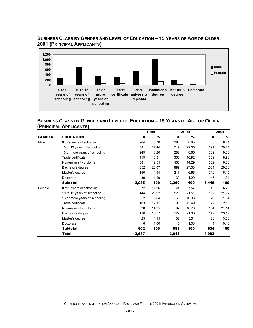

# **BUSINESS CLASS BY GENDER AND LEVEL OF EDUCATION – 15 YEARS OF AGE OR OLDER, 2001 (PRINCIPAL APPLICANTS)**

### **BUSINESS CLASS BY GENDER AND LEVEL OF EDUCATION – 15 YEARS OF AGE OR OLDER (PRINCIPAL APPLICANTS)**

|               |                               | 1999  |       | 2000  |       | 2001  |       |
|---------------|-------------------------------|-------|-------|-------|-------|-------|-------|
| <b>GENDER</b> | <b>EDUCATION</b>              | #     | $\%$  | #     | $\%$  | #     | %     |
| Male          | 0 to 9 years of schooling     | 264   | 8.70  | 282   | 8.65  | 283   | 8.21  |
|               | 10 to 12 years of schooling   | 681   | 22.44 | 719   | 22.06 | 697   | 20.21 |
|               | 13 or more years of schooling | 249   | 8.20  | 282   | 8.65  | 339   | 9.83  |
|               | Trade certificate             | 419   | 13.81 | 356   | 10.92 | 309   | 8.96  |
|               | Non-university diploma        | 381   | 12.55 | 466   | 14.29 | 562   | 16.30 |
|               | Bachelor's degree             | 852   | 28.07 | 899   | 27.58 | 1,001 | 29.03 |
|               | Master's degree               | 150   | 4.94  | 217   | 6.66  | 212   | 6.15  |
|               | Doctorate                     | 39    | 1.29  | 39    | 1.20  | 45    | 1.31  |
|               | <b>Subtotal</b>               | 3,035 | 100   | 3,260 | 100   | 3,448 | 100   |
| Female        | 0 to 9 years of schooling     | 72    | 11.96 | 44    | 7.57  | 43    | 6.78  |
|               | 10 to 12 years of schooling   | 144   | 23.92 | 125   | 21.51 | 139   | 21.92 |
|               | 13 or more years of schooling | 52    | 8.64  | 60    | 10.33 | 70    | 11.04 |
|               | Trade certificate             | 103   | 17.11 | 90    | 15.49 | 77    | 12.15 |
|               | Non-university diploma        | 90    | 14.95 | 97    | 16.70 | 134   | 21.14 |
|               | Bachelor's degree             | 110   | 18.27 | 127   | 21.86 | 147   | 23.19 |
|               | Master's degree               | 25    | 4.15  | 32    | 5.51  | 23    | 3.63  |
|               | Doctorate                     | 6     | 1.00  | 6     | 1.03  | 1     | 0.16  |
|               | <b>Subtotal</b>               | 602   | 100   | 581   | 100   | 634   | 100   |
|               | <b>Total</b>                  | 3,637 |       | 3,841 |       | 4,082 |       |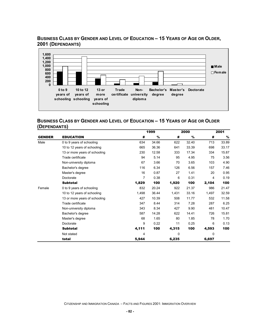# **BUSINESS CLASS BY GENDER AND LEVEL OF EDUCATION – 15 YEARS OF AGE OR OLDER, 2001 (DEPENDANTS)**



### **BUSINESS CLASS BY GENDER AND LEVEL OF EDUCATION – 15 YEARS OF AGE OR OLDER (DEPENDANTS)**

|               |                               | 1999           |       | 2000  |       | 2001  |       |
|---------------|-------------------------------|----------------|-------|-------|-------|-------|-------|
| <b>GENDER</b> | <b>EDUCATION</b>              | #              | %     | #     | %     | #     | %     |
| Male          | 0 to 9 years of schooling     | 634            | 34.66 | 622   | 32.40 | 713   | 33.89 |
|               | 10 to 12 years of schooling   | 665            | 36.36 | 641   | 33.39 | 698   | 33.17 |
|               | 13 or more years of schooling | 230            | 12.58 | 333   | 17.34 | 334   | 15.87 |
|               | Trade certificate             | 94             | 5.14  | 95    | 4.95  | 75    | 3.56  |
|               | Non-university diploma        | 67             | 3.66  | 70    | 3.65  | 103   | 4.90  |
|               | Bachelor's degree             | 116            | 6.34  | 126   | 6.56  | 157   | 7.46  |
|               | Master's degree               | 16             | 0.87  | 27    | 1.41  | 20    | 0.95  |
|               | Doctorate                     | $\overline{7}$ | 0.38  | 6     | 0.31  | 4     | 0.19  |
|               | <b>Subtotal</b>               | 1,829          | 100   | 1,920 | 100   | 2,104 | 100   |
| Female        | 0 to 9 years of schooling     | 832            | 20.24 | 922   | 21.37 | 986   | 21.47 |
|               | 10 to 12 years of schooling   | 1,498          | 36.44 | 1,431 | 33.16 | 1,497 | 32.59 |
|               | 13 or more years of schooling | 427            | 10.39 | 508   | 11.77 | 532   | 11.58 |
|               | Trade certificate             | 347            | 8.44  | 314   | 7.28  | 287   | 6.25  |
|               | Non-university diploma        | 343            | 8.34  | 427   | 9.90  | 481   | 10.47 |
|               | Bachelor's degree             | 587            | 14.28 | 622   | 14.41 | 726   | 15.81 |
|               | Master's degree               | 68             | 1.65  | 80    | 1.85  | 78    | 1.70  |
|               | Doctorate                     | 9              | 0.22  | 11    | 0.25  | 6     | 0.13  |
|               | <b>Subtotal</b>               | 4,111          | 100   | 4,315 | 100   | 4,593 | 100   |
|               | Not stated                    | 4              |       | 0     |       | 0     |       |
|               | total                         | 5,944          |       | 6,235 |       | 6,697 |       |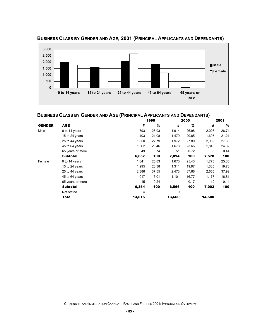

**BUSINESS CLASS BY GENDER AND AGE, 2001 (PRINCIPAL APPLICANTS AND DEPENDANTS)**

### **BUSINESS CLASS BY GENDER AND AGE (PRINCIPAL APPLICANTS AND DEPENDANTS)**

|               | <b>AGE</b>       |        | 1999  |        | 2000  |        | 2001  |
|---------------|------------------|--------|-------|--------|-------|--------|-------|
| <b>GENDER</b> |                  | #      | %     | #      | $\%$  | #      | %     |
| Male          | 0 to 14 years    | 1,793  | 26.93 | 1,914  | 26.98 | 2,026  | 26.74 |
|               | 15 to 24 years   | 1,403  | 21.08 | 1,479  | 20.85 | 1,607  | 21.21 |
|               | 25 to 44 years   | 1,850  | 27.79 | 1,972  | 27.80 | 2,069  | 27.30 |
|               | 45 to 64 years   | 1,562  | 23.46 | 1,678  | 23.65 | 1,843  | 24.32 |
|               | 65 years or more | 49     | 0.74  | 51     | 0.72  | 33     | 0.44  |
|               | <b>Subtotal</b>  | 6,657  | 100   | 7,094  | 100   | 7,578  | 100   |
| Female        | 0 to 14 years    | 1,641  | 25.83 | 1,670  | 25.43 | 1,775  | 25.35 |
|               | 15 to 24 years   | 1,295  | 20.38 | 1,311  | 19.97 | 1,385  | 19.78 |
|               | 25 to 44 years   | 2,386  | 37.55 | 2,473  | 37.66 | 2,655  | 37.92 |
|               | 45 to 64 years   | 1,017  | 16.01 | 1,101  | 16.77 | 1,177  | 16.81 |
|               | 65 years or more | 15     | 0.24  | 11     | 0.17  | 10     | 0.14  |
|               | <b>Subtotal</b>  | 6,354  | 100   | 6,566  | 100   | 7,002  | 100   |
|               | Not stated       | 4      |       | 0      |       | 0      |       |
|               | Total            | 13,015 |       | 13,660 |       | 14,580 |       |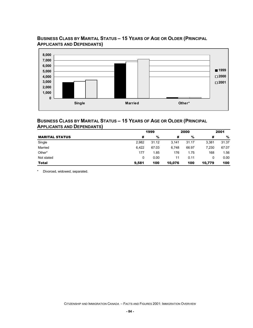# **BUSINESS CLASS BY MARITAL STATUS – 15 YEARS OF AGE OR OLDER (PRINCIPAL APPLICANTS AND DEPENDANTS)**



### **BUSINESS CLASS BY MARITAL STATUS – 15 YEARS OF AGE OR OLDER (PRINCIPAL APPLICANTS AND DEPENDANTS)**

|                       | 1999  |       | 2000   |       | 2001   |       |
|-----------------------|-------|-------|--------|-------|--------|-------|
| <b>MARITAL STATUS</b> | #     | %     | #      | %     | #      | %     |
| Single                | 2,982 | 31.12 | 3.141  | 31.17 | 3.381  | 31.37 |
| Married               | 6,422 | 67.03 | 6.748  | 66.97 | 7,230  | 67.07 |
| Other*                | 177   | 1.85  | 176    | 1.75  | 168    | 1.56  |
| Not stated            | 0     | 0.00  | 11     | 0.11  | 0      | 0.00  |
| Total                 | 9,581 | 100   | 10.076 | 100   | 10.779 | 100   |

\* Divorced, widowed, separated.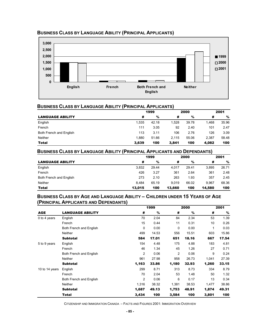

# **BUSINESS CLASS BY LANGUAGE ABILITY (PRINCIPAL APPLICANTS)**

### **BUSINESS CLASS BY LANGUAGE ABILITY (PRINCIPAL APPLICANTS)**

|                         | 1999  |       | 2000  |       | 2001  |       |
|-------------------------|-------|-------|-------|-------|-------|-------|
| <b>LANGUAGE ABILITY</b> | #     | %     | #     | %     | #     | %     |
| English                 | 1.535 | 42.18 | 1.528 | 39.78 | 1.468 | 35.96 |
| French                  | 111   | 3.05  | 92    | 2.40  | 101   | 2.47  |
| Both French and English | 113   | 3.11  | 106   | 2.76  | 126   | 3.09  |
| Neither                 | 1.880 | 51.66 | 2.115 | 55.06 | 2.387 | 58.48 |
| Total                   | 3,639 | 100   | 3.841 | 100   | 4.082 | 100   |

### **BUSINESS CLASS BY LANGUAGE ABILITY (PRINCIPAL APPLICANTS AND DEPENDANTS)**

|                         | 1999   |       | 2000   |       | 2001   |       |
|-------------------------|--------|-------|--------|-------|--------|-------|
| <b>LANGUAGE ABILITY</b> | #      | %     | #      | %     | #      | %     |
| English                 | 3,832  | 29.44 | 4,017  | 29.41 | 3,895  | 26.71 |
| French                  | 426    | 3.27  | 361    | 2.64  | 361    | 2.48  |
| Both French and English | 273    | 2.10  | 263    | 1.93  | 357    | 2.45  |
| <b>Neither</b>          | 8.484  | 65.19 | 9.019  | 66.02 | 9.967  | 68.36 |
| Total                   | 13.015 | 100   | 13,660 | 100   | 14.580 | 100   |

### **BUSINESS CLASS BY AGE AND LANGUAGE ABILITY – CHILDREN UNDER 15 YEARS OF AGE (PRINCIPAL APPLICANTS AND DEPENDANTS)**

|                |                         |                | 1999  |       | 2000  |       | 2001  |
|----------------|-------------------------|----------------|-------|-------|-------|-------|-------|
| <b>AGE</b>     | <b>LANGUAGE ABILITY</b> | #              | %     | #     | ℅     | #     | %     |
| 0 to 4 years   | English                 | 70             | 2.04  | 84    | 2.34  | 53    | 1.39  |
|                | French                  | 15             | 0.44  | 11    | 0.31  | 10    | 0.26  |
|                | Both French and English | 0              | 0.00  | 0     | 0.00  | 1     | 0.03  |
|                | <b>Neither</b>          | 499            | 14.53 | 556   | 15.51 | 603   | 15.86 |
|                | <b>Subtotal</b>         | 584            | 17.01 | 651   | 18.16 | 667   | 17.54 |
| 5 to 9 years   | English                 | 154            | 4.48  | 175   | 4.88  | 183   | 4.81  |
|                | French                  | 46             | 1.34  | 45    | 1.26  | 27    | 0.71  |
|                | Both French and English | $\overline{2}$ | 0.06  | 2     | 0.06  | 9     | 0.24  |
|                | <b>Neither</b>          | 961            | 27.98 | 958   | 26.73 | 1,041 | 27.39 |
|                | <b>Subtotal</b>         | 1,163          | 33.86 | 1,180 | 32.93 | 1,260 | 33.15 |
| 10 to 14 years | English                 | 299            | 8.71  | 313   | 8.73  | 334   | 8.79  |
|                | French                  | 70             | 2.04  | 53    | 1.48  | 50    | 1.32  |
|                | Both French and English | 2              | 0.06  | 6     | 0.17  | 13    | 0.34  |
|                | Neither                 | 1,316          | 38.32 | 1,381 | 38.53 | 1,477 | 38.86 |
|                | <b>Subtotal</b>         | 1,687          | 49.13 | 1,753 | 48.91 | 1,874 | 49.31 |
|                | Total                   | 3,434          | 100   | 3,584 | 100   | 3,801 | 100   |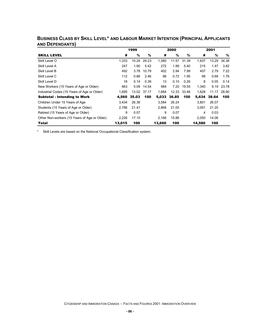|                                              | 1999   |       |       |        | 2000  |       |        | 2001  |       |  |
|----------------------------------------------|--------|-------|-------|--------|-------|-------|--------|-------|-------|--|
| <b>SKILL LEVEL</b>                           | #      | %     | %     | #      | %     | %     | #      | %     | %     |  |
| Skill Level O                                | 1,333  | 10.24 | 29.23 | 1,580  | 11.57 | 31.39 | 1,937  | 13.29 | 34.38 |  |
| Skill Level A                                | 247    | 1.90  | 5.42  | 272    | 1.99  | 5.40  | 215    | 1.47  | 3.82  |  |
| Skill Level B                                | 492    | 3.78  | 10.79 | 402    | 2.94  | 7.99  | 407    | 2.79  | 7.22  |  |
| Skill Level C                                | 112    | 0.86  | 2.46  | 98     | 0.72  | 1.95  | 99     | 0.68  | 1.76  |  |
| Skill Level D                                | 18     | 0.14  | 0.39  | 13     | 0.10  | 0.26  | 8      | 0.05  | 0.14  |  |
| New Workers (15 Years of Age or Older)       | 663    | 5.09  | 14.54 | 984    | 7.20  | 19.55 | 1.340  | 9.19  | 23.78 |  |
| Industrial Codes (15 Years of Age or Older)  | 1,695  | 13.02 | 37.17 | 1.684  | 12.33 | 33.46 | 1,628  | 11.17 | 28.90 |  |
| <b>Subtotal - Intending to Work</b>          | 4,560  | 35.03 | 100   | 5,033  | 36.85 | 100   | 5,634  | 38.64 | 100   |  |
| Children Under 15 Years of Age               | 3.434  | 26.38 |       | 3.584  | 26.24 |       | 3.801  | 26.07 |       |  |
| Students (15 Years of Age or Older)          | 2,786  | 21.41 |       | 2,868  | 21.00 |       | 3,091  | 21.20 |       |  |
| Retired (15 Years of Age or Older)           | 9      | 0.07  |       | 9      | 0.07  |       | 4      | 0.03  |       |  |
| Other Non-workers (15 Years of Age or Older) | 2,226  | 17.10 |       | 2.166  | 15.86 |       | 2,050  | 14.06 |       |  |
| Total                                        | 13,015 | 100   |       | 13,660 | 100   |       | 14,580 | 100   |       |  |

# **BUSINESS CLASS BY SKILL LEVEL\* AND LABOUR MARKET INTENTION (PRINCIPAL APPLICANTS AND DEPENDANTS)**

\* Skill Levels are based on the National Occupational Classification system.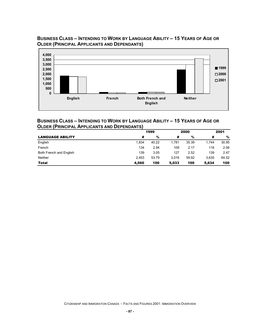## **BUSINESS CLASS – INTENDING TO WORK BY LANGUAGE ABILITY – 15 YEARS OF AGE OR OLDER (PRINCIPAL APPLICANTS AND DEPENDANTS)**



### **BUSINESS CLASS – INTENDING TO WORK BY LANGUAGE ABILITY – 15 YEARS OF AGE OR OLDER (PRINCIPAL APPLICANTS AND DEPENDANTS)**

|                         | 1999  |       | 2000  |       | 2001  |       |
|-------------------------|-------|-------|-------|-------|-------|-------|
| <b>LANGUAGE ABILITY</b> | #     | %     | #     | %     | #     | %     |
| English                 | 1.834 | 40.22 | 1.781 | 35.39 | 1.744 | 30.95 |
| French                  | 134   | 2.94  | 109   | 2.17  | 116   | 2.06  |
| Both French and English | 139   | 3.05  | 127   | 2.52  | 139   | 2.47  |
| <b>Neither</b>          | 2.453 | 53.79 | 3.016 | 59.92 | 3.635 | 64.52 |
| Total                   | 4.560 | 100   | 5,033 | 100   | 5,634 | 100   |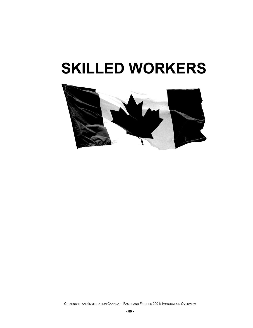# **SKILLED WORKERS**

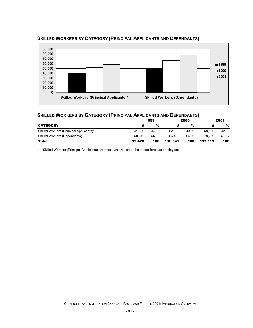

# **SKILLED WORKERS BY CATEGORY (PRINCIPAL APPLICANTS AND DEPENDANTS)**

### **SKILLED WORKERS BY CATEGORY (PRINCIPAL APPLICANTS AND DEPENDANTS)**

|                                         | 1999   |       |         | 2000  |         | 2001  |  |
|-----------------------------------------|--------|-------|---------|-------|---------|-------|--|
| <b>CATEGORY</b>                         |        | %     | #       | %     | #       | %     |  |
| Skilled Workers (Principal Applicants)* | 41.536 | 44.91 | 52.102  | 43.95 | 58.860  | 42.93 |  |
| Skilled Workers (Dependants)            | 50.942 | 55.09 | 66.439  | 56.05 | 78.259  | 57.07 |  |
| Total                                   | 92.478 | 100   | 118.541 | 100   | 137.119 | 100   |  |

\* Skilled Workers (Principal Applicants) are those who will enter the labour force as employees.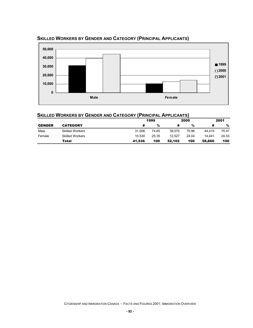

# **SKILLED WORKERS BY GENDER AND CATEGORY (PRINCIPAL APPLICANTS)**

# **SKILLED WORKERS BY GENDER AND CATEGORY (PRINCIPAL APPLICANTS)**

| <b>GENDER</b> | <b>CATEGORY</b>        | 1999   |       | 2000   |       | 2001   |       |
|---------------|------------------------|--------|-------|--------|-------|--------|-------|
|               |                        | #      | %     | #      | %     | #      | %     |
| Male          | <b>Skilled Workers</b> | 31.006 | 74.65 | 39.575 | 75.96 | 44.419 | 75.47 |
| Female        | <b>Skilled Workers</b> | 10.530 | 25.35 | 12.527 | 24.04 | 14.441 | 24.53 |
|               | Total                  | 41.536 | 100   | 52.102 | 100   | 58.860 | 100   |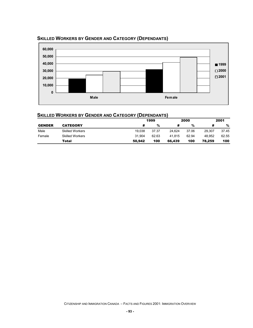

# **SKILLED WORKERS BY GENDER AND CATEGORY (DEPENDANTS)**

## **SKILLED WORKERS BY GENDER AND CATEGORY (DEPENDANTS)**

| <b>GENDER</b> | <b>CATEGORY</b>        | 1999   |       | 2000   |       | 2001   |       |
|---------------|------------------------|--------|-------|--------|-------|--------|-------|
|               |                        |        | %     | #      | %     | #      | %     |
| Male          | <b>Skilled Workers</b> | 19.038 | 37.37 | 24.624 | 37.06 | 29.307 | 37.45 |
| Female        | <b>Skilled Workers</b> | 31.904 | 62.63 | 41.815 | 62.94 | 48.952 | 62.55 |
|               | Total                  | 50.942 | 100   | 66.439 | 100   | 78,259 | 100   |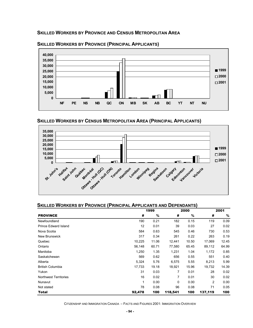## **SKILLED WORKERS BY PROVINCE AND CENSUS METROPOLITAN AREA**



### **SKILLED WORKERS BY PROVINCE (PRINCIPAL APPLICANTS)**

### **SKILLED WORKERS BY CENSUS METROPOLITAN AREA (PRINCIPAL APPLICANTS)**



### **SKILLED WORKERS BY PROVINCE (PRINCIPAL APPLICANTS AND DEPENDANTS)**

|                              | 1999   |       |         | 2000  | 2001           |       |
|------------------------------|--------|-------|---------|-------|----------------|-------|
| <b>PROVINCE</b>              | #      | $\%$  | #       | %     | #              | %     |
| Newfoundland                 | 190    | 0.21  | 182     | 0.15  | 119            | 0.09  |
| <b>Prince Edward Island</b>  | 12     | 0.01  | 39      | 0.03  | 27             | 0.02  |
| Nova Scotia                  | 584    | 0.63  | 545     | 0.46  | 730            | 0.53  |
| <b>New Brunswick</b>         | 317    | 0.34  | 261     | 0.22  | 263            | 0.19  |
| Quebec                       | 10,225 | 11.06 | 12,441  | 10.50 | 17,069         | 12.45 |
| Ontario                      | 56,148 | 60.71 | 77,580  | 65.45 | 89,112         | 64.99 |
| Manitoba                     | 1,250  | 1.35  | 1,231   | 1.04  | 1,172          | 0.85  |
| Saskatchewan                 | 569    | 0.62  | 656     | 0.55  | 551            | 0.40  |
| Alberta                      | 5,324  | 5.76  | 6,575   | 5.55  | 8,213          | 5.99  |
| <b>British Columbia</b>      | 17,733 | 19.18 | 18,921  | 15.96 | 19,732         | 14.39 |
| Yukon                        | 31     | 0.03  | 7       | 0.01  | 28             | 0.02  |
| <b>Northwest Territories</b> | 16     | 0.02  | 7       | 0.01  | 30             | 0.02  |
| Nunavut                      | 1      | 0.00  | 0       | 0.00  | $\overline{2}$ | 0.00  |
| Not stated                   | 78     | 0.08  | 96      | 0.08  | 71             | 0.05  |
| Total                        | 92,478 | 100   | 118,541 | 100   | 137,119        | 100   |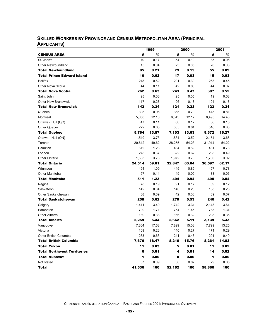# **SKILLED WORKERS BY PROVINCE AND CENSUS METROPOLITAN AREA (PRINCIPAL APPLICANTS)**

|                                    |        | 1999  |        | 2000  |        | 2001  |
|------------------------------------|--------|-------|--------|-------|--------|-------|
| <b>CENSUS AREA</b>                 | #      | %     | #      | %     | #      | $\%$  |
| St. John's                         | 70     | 0.17  | 54     | 0.10  | 35     | 0.06  |
| <b>Other Newfoundland</b>          | 15     | 0.04  | 25     | 0.05  | 20     | 0.03  |
| <b>Total Newfoundland</b>          | 85     | 0.21  | 79     | 0.15  | 55     | 0.09  |
| <b>Total Prince Edward Island</b>  | 10     | 0.02  | 17     | 0.03  | 15     | 0.03  |
| Halifax                            | 218    | 0.52  | 201    | 0.39  | 263    | 0.45  |
| <b>Other Nova Scotia</b>           | 44     | 0.11  | 42     | 0.08  | 44     | 0.07  |
| <b>Total Nova Scotia</b>           | 262    | 0.63  | 243    | 0.47  | 307    | 0.52  |
| Saint John                         | 25     | 0.06  | 25     | 0.05  | 19     | 0.03  |
| <b>Other New Brunswick</b>         | 117    | 0.28  | 96     | 0.18  | 104    | 0.18  |
| <b>Total New Brunswick</b>         | 142    | 0.34  | 121    | 0.23  | 123    | 0.21  |
| Québec                             | 395    | 0.95  | 365    | 0.70  | 475    | 0.81  |
| Montréal                           | 5,050  | 12.16 | 6,343  | 12.17 | 8,495  | 14.43 |
| Ottawa - Hull (QC)                 | 47     | 0.11  | 60     | 0.12  | 86     | 0.15  |
| <b>Other Quebec</b>                | 272    | 0.65  | 335    | 0.64  | 516    | 0.88  |
| <b>Total Quebec</b>                | 5,764  | 13.87 | 7,103  | 13.63 | 9,572  | 16.27 |
| Ottawa - Hull (ON)                 | 1,549  | 3.73  | 1,834  | 3.52  | 2,154  | 3.66  |
| Toronto                            | 20,612 | 49.62 | 28,255 | 54.23 | 31,914 | 54.22 |
| Hamilton                           | 512    | 1.23  | 464    | 0.89  | 461    | 0.78  |
| London                             | 278    | 0.67  | 322    | 0.62  | 288    | 0.49  |
| <b>Other Ontario</b>               | 1,563  | 3.76  | 1,972  | 3.78  | 1,780  | 3.02  |
| <b>Total Ontario</b>               | 24,514 | 59.01 | 32,847 | 63.04 | 36,597 | 62.17 |
| Winnipeg                           | 454    | 1.09  | 445    | 0.85  | 457    | 0.78  |
| Other Manitoba                     | 57     | 0.14  | 49     | 0.09  | 33     | 0.06  |
| Total Manitoba                     | 511    | 1.23  | 494    | 0.94  | 490    | 0.84  |
| Regina                             | 78     | 0.19  | 91     | 0.17  | 69     | 0.12  |
| Saskatoon                          | 142    | 0.34  | 146    | 0.28  | 138    | 0.23  |
| Other Saskatchewan                 | 38     | 0.09  | 42     | 0.08  | 39     | 0.07  |
| Total Saskatchewan                 | 258    | 0.62  | 279    | 0.53  | 246    | 0.42  |
| Calgary                            | 1,411  | 3.40  | 1,742  | 3.34  | 2,143  | 3.64  |
| Edmonton                           | 709    | 1.71  | 754    | 1.45  | 788    | 1.34  |
| Other Alberta                      | 139    | 0.33  | 166    | 0.32  | 208    | 0.35  |
| <b>Total Alberta</b>               | 2,259  | 5.44  | 2,662  | 5.11  | 3,139  | 5.33  |
| Vancouver                          | 7,304  | 17.58 | 7,829  | 15.03 | 7,799  | 13.25 |
| Victoria                           | 109    | 0.26  | 140    | 0.27  | 171    | 0.29  |
| Other British Columbia             | 263    | 0.63  | 241    | 0.46  | 291    | 0.49  |
| Total British Columbia             | 7,676  | 18.47 | 8,210  | 15.76 | 8,261  | 14.03 |
| <b>Total Yukon</b>                 | 11     | 0.03  | 5      | 0.01  | 11     | 0.02  |
| <b>Total Northwest Territories</b> | 6      | 0.01  | 4      | 0.01  | 14     | 0.02  |
| <b>Total Nunavut</b>               | 1      | 0.00  | 0      | 0.00  | 1      | 0.00  |
| Not stated                         | 37     | 0.09  | 38     | 0.07  | 29     | 0.05  |
| <b>Total</b>                       | 41,536 | 100   | 52,102 | 100   | 58,860 | 100   |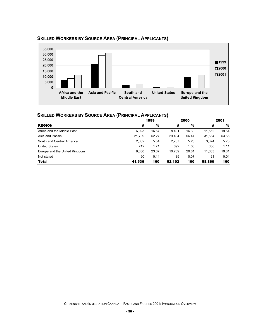

## **SKILLED WORKERS BY SOURCE AREA (PRINCIPAL APPLICANTS)**

### **SKILLED WORKERS BY SOURCE AREA (PRINCIPAL APPLICANTS)**

|                               | 1999   |       | 2000   |       | 2001   |       |
|-------------------------------|--------|-------|--------|-------|--------|-------|
| <b>REGION</b>                 | #      | %     | #      | %     | #      | %     |
| Africa and the Middle East    | 6.923  | 16.67 | 8.491  | 16.30 | 11.562 | 19.64 |
| Asia and Pacific              | 21,709 | 52.27 | 29.404 | 56.44 | 31.584 | 53.66 |
| South and Central America     | 2,302  | 5.54  | 2,737  | 5.25  | 3.374  | 5.73  |
| <b>United States</b>          | 712    | 1.71  | 692    | 1.33  | 656    | 1.11  |
| Europe and the United Kingdom | 9,830  | 23.67 | 10.739 | 20.61 | 11.663 | 19.81 |
| Not stated                    | 60     | 0.14  | 39     | 0.07  | 21     | 0.04  |
| Total                         | 41.536 | 100   | 52.102 | 100   | 58,860 | 100   |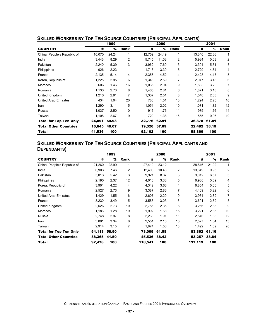|                               |        | 1999  |                |        | 2000  |                |        | 2001  |      |
|-------------------------------|--------|-------|----------------|--------|-------|----------------|--------|-------|------|
| <b>COUNTRY</b>                | #      | %     | Rank           | #      | %     | Rank           | #      | %     | Rank |
| China, People's Republic of   | 10,070 | 24.24 | 1              | 12,759 | 24.49 | 1              | 13,340 | 22.66 | 1    |
| India                         | 3,443  | 8.29  | $\overline{c}$ | 5,745  | 11.03 | $\overline{c}$ | 5,934  | 10.08 | 2    |
| Pakistan                      | 2,240  | 5.39  | 3              | 3,962  | 7.60  | 3              | 3,304  | 5.61  | 3    |
| Philippines                   | 926    | 2.23  | 11             | 1,718  | 3.30  | 5              | 2,729  | 4.64  | 4    |
| France                        | 2,135  | 5.14  | 4              | 2,356  | 4.52  | 4              | 2,428  | 4.13  | 5    |
| Korea, Republic of            | 1,225  | 2.95  | 6              | 1,348  | 2.59  | 7              | 2,047  | 3.48  | 6    |
| Morocco                       | 606    | 1.46  | 16             | 1,065  | 2.04  | 9              | 1,883  | 3.20  | 7    |
| Romania                       | 1,133  | 2.73  | 8              | 1,465  | 2.81  | 6              | 1,871  | 3.18  | 8    |
| United Kingdom                | 1,210  | 2.91  | 7              | 1,307  | 2.51  | 8              | 1,548  | 2.63  | 9    |
| United Arab Emirates          | 434    | 1.04  | 20             | 786    | 1.51  | 13             | 1,294  | 2.20  | 10   |
| Iran                          | 1,290  | 3.11  | 5              | 1,051  | 2.02  | 10             | 1,071  | 1.82  | 12   |
| Russia                        | 1,037  | 2.50  | 10             | 916    | 1.76  | 11             | 975    | 1.66  | 14   |
| Taiwan                        | 1,108  | 2.67  | 9              | 720    | 1.38  | 16             | 565    | 0.96  | 19   |
| <b>Total for Top Ten Only</b> | 24,891 | 59.93 |                | 32,776 | 62.91 |                | 36,378 | 61.81 |      |
| <b>Total Other Countries</b>  | 16,645 | 40.07 |                | 19,326 | 37.09 |                | 22,482 | 38.19 |      |
| Total                         | 41,536 | 100   |                | 52,102 | 100   |                | 58,860 | 100   |      |

# **SKILLED WORKERS BY TOP TEN SOURCE COUNTRIES (PRINCIPAL APPLICANTS)**

# **SKILLED WORKERS BY TOP TEN SOURCE COUNTRIES (PRINCIPAL APPLICANTS AND DEPENDANTS)**

|                               | 1999<br>2000 |       |                |         |       |                | 2001    |       |      |
|-------------------------------|--------------|-------|----------------|---------|-------|----------------|---------|-------|------|
| <b>COUNTRY</b>                | #            | $\%$  | Rank           | #       | %     | Rank           | #       | %     | Rank |
| China, People's Republic of   | 21,260       | 22.99 | 1              | 27,410  | 23.12 | 1              | 28,816  | 21.02 |      |
| India                         | 6,903        | 7.46  | $\overline{2}$ | 12,403  | 10.46 | $\overline{c}$ | 13,649  | 9.95  | 2    |
| Pakistan                      | 5,013        | 5.42  | 3              | 9,921   | 8.37  | 3              | 9,012   | 6.57  | 3    |
| Philippines                   | 2,190        | 2.37  | 12             | 4,010   | 3.38  | 5              | 6,980   | 5.09  | 4    |
| Korea, Republic of            | 3,901        | 4.22  | 4              | 4,342   | 3.66  | 4              | 6,854   | 5.00  | 5    |
| Romania                       | 2,527        | 2.73  | 9              | 3,387   | 2.86  | 7              | 4,409   | 3.22  | 6    |
| United Arab Emirates          | 1,429        | 1.55  | 16             | 2,607   | 2.20  | 9              | 3,964   | 2.89  | 7    |
| France                        | 3,230        | 3.49  | 5              | 3,588   | 3.03  | 6              | 3,691   | 2.69  | 8    |
| United Kingdom                | 2,526        | 2.73  | 10             | 2,786   | 2.35  | 8              | 3,266   | 2.38  | 9    |
| Morocco                       | 1,186        | 1.28  | 19             | 1,992   | 1.68  | 15             | 3,221   | 2.35  | 10   |
| Russia                        | 2,748        | 2.97  | 8              | 2,268   | 1.91  | 11             | 2,546   | 1.86  | 12   |
| Iran                          | 3,091        | 3.34  | 6              | 2,551   | 2.15  | 10             | 2,527   | 1.84  | 13   |
| Taiwan                        | 2,914        | 3.15  | 7              | 1,874   | 1.58  | 16             | 1,492   | 1.09  | 20   |
| <b>Total for Top Ten Only</b> | 54,113       | 58.50 |                | 73,005  | 61.58 |                | 83,862  | 61.16 |      |
| <b>Total Other Countries</b>  | 38,365       | 41.50 |                | 45,536  | 38.42 |                | 53,257  | 38.84 |      |
| Total                         | 92,478       | 100   |                | 118,541 | 100   |                | 137,119 | 100   |      |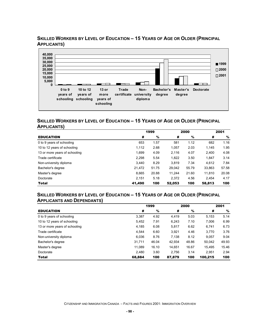# **SKILLED WORKERS BY LEVEL OF EDUCATION – 15 YEARS OF AGE OR OLDER (PRINCIPAL APPLICANTS)**



### **SKILLED WORKERS BY LEVEL OF EDUCATION – 15 YEARS OF AGE OR OLDER (PRINCIPAL APPLICANTS)**

|                               |        | 1999  |        |       | 2001   |       |
|-------------------------------|--------|-------|--------|-------|--------|-------|
| <b>EDUCATION</b>              | #      | %     | #      | %     | #      | %     |
| 0 to 9 years of schooling     | 653    | 1.57  | 581    | 1.12  | 682    | 1.16  |
| 10 to 12 years of schooling   | 1,112  | 2.68  | 1,057  | 2.03  | 1,145  | 1.95  |
| 13 or more years of schooling | 1,699  | 4.09  | 2,116  | 4.07  | 2,400  | 4.08  |
| Trade certificate             | 2,298  | 5.54  | 1,822  | 3.50  | 1,847  | 3.14  |
| Non-university diploma        | 3,440  | 8.29  | 3,819  | 7.34  | 4,612  | 7.84  |
| Bachelor's degree             | 21,472 | 51.75 | 29,042 | 55.79 | 33,863 | 57.58 |
| Master's degree               | 8,665  | 20.88 | 11,244 | 21.60 | 11,810 | 20.08 |
| Doctorate                     | 2,151  | 5.18  | 2,372  | 4.56  | 2.454  | 4.17  |
| Total                         | 41.490 | 100   | 52,053 | 100   | 58,813 | 100   |

### **SKILLED WORKERS BY LEVEL OF EDUCATION – 15 YEARS OF AGE OR OLDER (PRINCIPAL APPLICANTS AND DEPENDANTS)**

|                               | 1999   |       | 2000   | 2001  |         |       |
|-------------------------------|--------|-------|--------|-------|---------|-------|
| <b>EDUCATION</b>              | #      | %     | #      | %     | #       | %     |
| 0 to 9 years of schooling     | 3,387  | 4.92  | 4,419  | 5.03  | 5,153   | 5.14  |
| 10 to 12 years of schooling   | 5,452  | 7.91  | 6,243  | 7.10  | 7,006   | 6.99  |
| 13 or more years of schooling | 4,185  | 6.08  | 5,817  | 6.62  | 6,741   | 6.73  |
| Trade certificate             | 4,544  | 6.60  | 3,921  | 4.46  | 3,770   | 3.76  |
| Non-university diploma        | 6,036  | 8.76  | 7,138  | 8.12  | 9,057   | 9.04  |
| Bachelor's degree             | 31,711 | 46.04 | 42.934 | 48.86 | 50,042  | 49.93 |
| Master's degree               | 11,089 | 16.10 | 14,651 | 16.67 | 15,495  | 15.46 |
| Doctorate                     | 2.480  | 3.60  | 2,756  | 3.14  | 2,951   | 2.94  |
| Total                         | 68,884 | 100   | 87,879 | 100   | 100,215 | 100   |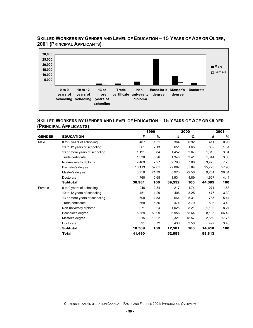# **SKILLED WORKERS BY GENDER AND LEVEL OF EDUCATION – 15 YEARS OF AGE OR OLDER, 2001 (PRINCIPAL APPLICANTS)**



### **SKILLED WORKERS BY GENDER AND LEVEL OF EDUCATION – 15 YEARS OF AGE OR OLDER (PRINCIPAL APPLICANTS)**

|               |                               | 1999   |       | 2000   | 2001  |        |       |
|---------------|-------------------------------|--------|-------|--------|-------|--------|-------|
| <b>GENDER</b> | <b>EDUCATION</b>              | #      | %     | #      | $\%$  | #      | $\%$  |
| Male          | 0 to 9 years of schooling     | 407    | 1.31  | 364    | 0.92  | 411    | 0.93  |
|               | 10 to 12 years of schooling   | 661    | 2.13  | 651    | 1.65  | 669    | 1.51  |
|               | 13 or more years of schooling | 1,191  | 3.84  | 1,452  | 3.67  | 1,615  | 3.64  |
|               | Trade certificate             | 1,630  | 5.26  | 1,348  | 3.41  | 1,344  | 3.03  |
|               | Non-university diploma        | 2,469  | 7.97  | 2,793  | 7.06  | 3,420  | 7.70  |
|               | Bachelor's degree             | 16,113 | 52.01 | 22,087 | 55.84 | 25,728 | 57.95 |
|               | Master's degree               | 6,750  | 21.79 | 8,923  | 22.56 | 9,251  | 20.84 |
|               | Doctorate                     | 1,760  | 5.68  | 1,934  | 4.89  | 1,957  | 4.41  |
|               | <b>Subtotal</b>               | 30,981 | 100   | 39,552 | 100   | 44,395 | 100   |
| Female        | 0 to 9 years of schooling     | 246    | 2.34  | 217    | 1.74  | 271    | 1.88  |
|               | 10 to 12 years of schooling   | 451    | 4.29  | 406    | 3.25  | 476    | 3.30  |
|               | 13 or more years of schooling | 508    | 4.83  | 664    | 5.31  | 785    | 5.44  |
|               | Trade certificate             | 668    | 6.36  | 474    | 3.79  | 503    | 3.49  |
|               | Non-university diploma        | 971    | 9.24  | 1,026  | 8.21  | 1,192  | 8.27  |
|               | Bachelor's degree             | 5,359  | 50.99 | 6,955  | 55.64 | 8,135  | 56.42 |
|               | Master's degree               | 1,915  | 18.22 | 2,321  | 18.57 | 2,559  | 17.75 |
|               | Doctorate                     | 391    | 3.72  | 438    | 3.50  | 497    | 3.45  |
|               | <b>Subtotal</b>               | 10,509 | 100   | 12,501 | 100   | 14,418 | 100   |
|               | Total                         | 41,490 |       | 52,053 |       | 58,813 |       |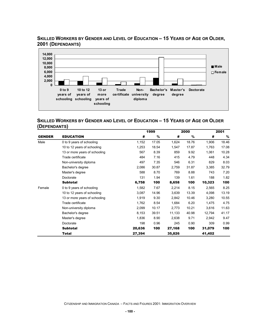# **SKILLED WORKERS BY GENDER AND LEVEL OF EDUCATION – 15 YEARS OF AGE OR OLDER, 2001 (DEPENDANTS)**



### **SKILLED WORKERS BY GENDER AND LEVEL OF EDUCATION – 15 YEARS OF AGE OR OLDER (DEPENDANTS)**

|               |                               | 1999   |       | 2000   | 2001  |        |       |
|---------------|-------------------------------|--------|-------|--------|-------|--------|-------|
| <b>GENDER</b> | <b>EDUCATION</b>              | #      | %     | #      | $\%$  | #      | %     |
| Male          | 0 to 9 years of schooling     | 1,152  | 17.05 | 1,624  | 18.76 | 1,906  | 18.46 |
|               | 10 to 12 years of schooling   | 1,253  | 18.54 | 1,547  | 17.87 | 1,763  | 17.08 |
|               | 13 or more years of schooling | 567    | 8.39  | 859    | 9.92  | 1,061  | 10.28 |
|               | Trade certificate             | 484    | 7.16  | 415    | 4.79  | 448    | 4.34  |
|               | Non-university diploma        | 497    | 7.35  | 546    | 6.31  | 829    | 8.03  |
|               | Bachelor's degree             | 2,086  | 30.87 | 2,759  | 31.87 | 3,385  | 32.79 |
|               | Master's degree               | 588    | 8.70  | 769    | 8.88  | 743    | 7.20  |
|               | Doctorate                     | 131    | 1.94  | 139    | 1.61  | 188    | 1.82  |
|               | <b>Subtotal</b>               | 6,758  | 100   | 8,658  | 100   | 10,323 | 100   |
| Female        | 0 to 9 years of schooling     | 1,582  | 7.67  | 2,214  | 8.15  | 2,565  | 8.25  |
|               | 10 to 12 years of schooling   | 3,087  | 14.96 | 3,639  | 13.39 | 4,098  | 13.19 |
|               | 13 or more years of schooling | 1,919  | 9.30  | 2,842  | 10.46 | 3,280  | 10.55 |
|               | Trade certificate             | 1,762  | 8.54  | 1,684  | 6.20  | 1,475  | 4.75  |
|               | Non-university diploma        | 2,099  | 10.17 | 2,773  | 10.21 | 3,616  | 11.63 |
|               | Bachelor's degree             | 8,153  | 39.51 | 11,133 | 40.98 | 12,794 | 41.17 |
|               | Master's degree               | 1,836  | 8.90  | 2,638  | 9.71  | 2,942  | 9.47  |
|               | Doctorate                     | 198    | 0.96  | 245    | 0.90  | 309    | 0.99  |
|               | <b>Subtotal</b>               | 20,636 | 100   | 27,168 | 100   | 31,079 | 100   |
|               | Total                         | 27,394 |       | 35,826 |       | 41,402 |       |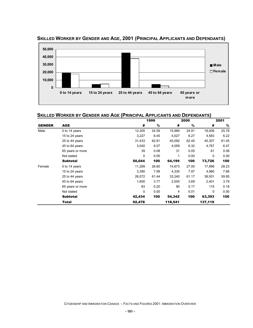

**SKILLED WORKER BY GENDER AND AGE, 2001 (PRINCIPAL APPLICANTS AND DEPENDANTS)**

## **SKILLED WORKER BY GENDER AND AGE (PRINCIPAL APPLICANTS AND DEPENDANTS)**

|               |                  |        | 1999  |         | 2000  |         | 2001  |
|---------------|------------------|--------|-------|---------|-------|---------|-------|
| <b>GENDER</b> | AGE              | #      | %     | #       | %     | #       | %     |
| Male          | 0 to 14 years    | 12,305 | 24.59 | 15,989  | 24.91 | 19,008  | 25.78 |
|               | 15 to 24 years   | 3,227  | 6.45  | 4,027   | 6.27  | 4,583   | 6.22  |
|               | 25 to 44 years   | 31,433 | 62.81 | 40,092  | 62.45 | 45,307  | 61.45 |
|               | 45 to 64 years   | 3,040  | 6.07  | 4,059   | 6.32  | 4,767   | 6.47  |
|               | 65 years or more | 39     | 0.08  | 31      | 0.05  | 61      | 0.08  |
|               | Not stated       | 0      | 0.00  | 1       | 0.00  | 0       | 0.00  |
|               | <b>Subtotal</b>  | 50,044 | 100   | 64,199  | 100   | 73,726  | 100   |
| Female        | 0 to 14 years    | 11,289 | 26.60 | 14,673  | 27.00 | 17,896  | 28.23 |
|               | 15 to 24 years   | 3,390  | 7.99  | 4,330   | 7.97  | 4,980   | 7.86  |
|               | 25 to 44 years   | 26,072 | 61.44 | 33,240  | 61.17 | 38,001  | 59.95 |
|               | 45 to 64 years   | 1,600  | 3.77  | 2,005   | 3.69  | 2,401   | 3.79  |
|               | 65 years or more | 83     | 0.20  | 90      | 0.17  | 115     | 0.18  |
|               | Not stated       | 0      | 0.00  | 4       | 0.01  | 0       | 0.00  |
|               | <b>Subtotal</b>  | 42,434 | 100   | 54,342  | 100   | 63,393  | 100   |
|               | Total            | 92,478 |       | 118,541 |       | 137,119 |       |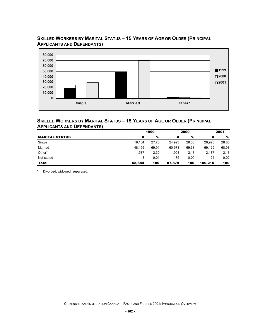# **SKILLED WORKERS BY MARITAL STATUS – 15 YEARS OF AGE OR OLDER (PRINCIPAL APPLICANTS AND DEPENDANTS)**



### **SKILLED WORKERS BY MARITAL STATUS – 15 YEARS OF AGE OR OLDER (PRINCIPAL APPLICANTS AND DEPENDANTS)**

|                       | 1999   |       | 2000   | 2001  |         |       |
|-----------------------|--------|-------|--------|-------|---------|-------|
| <b>MARITAL STATUS</b> | #      | %     | #      | %     | #       | %     |
| Single                | 19.134 | 27.78 | 24.923 | 28.36 | 28.925  | 28.86 |
| Married               | 48.155 | 69.91 | 60.973 | 69.38 | 69.129  | 68.98 |
| Other*                | 1.587  | 2.30  | 1.908  | 2.17  | 2.137   | 2.13  |
| Not stated            | 8      | 0.01  | 75     | 0.09  | 24      | 0.02  |
| Total                 | 68.884 | 100   | 87.879 | 100   | 100.215 | 100   |

\* Divorced, widowed, separated.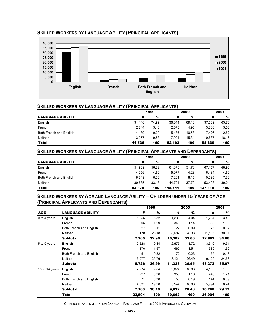



### **SKILLED WORKERS BY LANGUAGE ABILITY (PRINCIPAL APPLICANTS)**

|                         | 1999   |       |        | 2000  |        | 2001  |
|-------------------------|--------|-------|--------|-------|--------|-------|
| <b>LANGUAGE ABILITY</b> | #      | %     | #      | %     | #      | %     |
| English                 | 31.146 | 74.99 | 36.044 | 69.18 | 37.509 | 63.73 |
| French                  | 2.244  | 5.40  | 2,578  | 4.95  | 3.238  | 5.50  |
| Both French and English | 4,189  | 10.09 | 5.486  | 10.53 | 7.426  | 12.62 |
| Neither                 | 3.957  | 9.53  | 7.994  | 15.34 | 10.687 | 18.16 |
| Total                   | 41.536 | 100   | 52.102 | 100   | 58,860 | 100   |

### **SKILLED WORKERS BY LANGUAGE ABILITY (PRINCIPAL APPLICANTS AND DEPENDANTS)**

|                         |        | 1999  |         | 2000  | 2001    |       |  |
|-------------------------|--------|-------|---------|-------|---------|-------|--|
| <b>LANGUAGE ABILITY</b> | #      | %     | #       | %     | #       | %     |  |
| English                 | 51.989 | 56.22 | 61.376  | 51.78 | 67.157  | 48.98 |  |
| French                  | 4.256  | 4.60  | 5.077   | 4.28  | 6.434   | 4.69  |  |
| Both French and English | 5.548  | 6.00  | 7.294   | 6.15  | 10.035  | 7.32  |  |
| Neither                 | 30.685 | 33.18 | 44.794  | 37.79 | 53.493  | 39.01 |  |
| Total                   | 92.478 | 100   | 118.541 | 100   | 137.119 | 100   |  |

### **SKILLED WORKERS BY AGE AND LANGUAGE ABILITY – CHILDREN UNDER 15 YEARS OF AGE (PRINCIPAL APPLICANTS AND DEPENDANTS)**

|                | <b>LANGUAGE ABILITY</b> |        | 1999  |        |       | 2001   |       |  |
|----------------|-------------------------|--------|-------|--------|-------|--------|-------|--|
| <b>AGE</b>     |                         | #      | %     | #      | %     | #      | %     |  |
| 0 to 4 years   | English                 | 1,255  | 5.32  | 1,239  | 4.04  | 1,284  | 3.48  |  |
|                | French                  | 305    | 1.29  | 349    | 1.14  | 368    | 1.00  |  |
|                | Both French and English | 27     | 0.11  | 27     | 0.09  | 25     | 0.07  |  |
|                | <b>Neither</b>          | 6,178  | 26.18 | 8,687  | 28.33 | 11,185 | 30.31 |  |
|                | <b>Subtotal</b>         | 7,765  | 32.90 | 10,302 | 33.60 | 12,862 | 34.86 |  |
| 5 to 9 years   | English                 | 2,228  | 9.44  | 2,675  | 8.72  | 3,510  | 9.51  |  |
|                | French                  | 370    | 1.57  | 462    | 1.51  | 589    | 1.60  |  |
|                | Both French and English | 51     | 0.22  | 70     | 0.23  | 65     | 0.18  |  |
|                | <b>Neither</b>          | 6,077  | 25.76 | 8,121  | 26.49 | 9,109  | 24.68 |  |
|                | <b>Subtotal</b>         | 8,726  | 36.99 | 11,328 | 36.95 | 13,273 | 35.97 |  |
| 10 to 14 years | English                 | 2,274  | 9.64  | 3,074  | 10.03 | 4,183  | 11.33 |  |
|                | French                  | 227    | 0.96  | 356    | 1.16  | 448    | 1.21  |  |
|                | Both French and English | 71     | 0.30  | 58     | 0.19  | 144    | 0.39  |  |
|                | <b>Neither</b>          | 4,531  | 19.20 | 5,544  | 18.08 | 5,994  | 16.24 |  |
|                | <b>Subtotal</b>         | 7,103  | 30.10 | 9,032  | 29.46 | 10,769 | 29.17 |  |
|                | Total                   | 23,594 | 100   | 30,662 | 100   | 36,904 | 100   |  |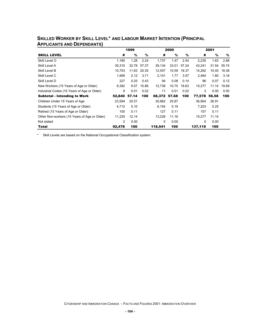|                                              | 1999   |       |       | 2000    |       |       | 2001         |       |       |  |
|----------------------------------------------|--------|-------|-------|---------|-------|-------|--------------|-------|-------|--|
| <b>SKILL LEVEL</b>                           | #      | %     | %     | #       | %     | %     | #            | %     | %     |  |
| Skill Level O                                | 1.185  | 1.28  | 2.24  | 1.737   | 1.47  | 2.54  | 2,235        | 1.63  | 2.88  |  |
| Skill Level A                                | 30,315 | 32.78 | 57.37 | 39,134  | 33.01 | 57.24 | 43,241       | 31.54 | 55.74 |  |
| Skill Level B                                | 10,753 | 11.63 | 20.35 | 12,557  | 10.59 | 18.37 | 14,262       | 10.40 | 18.38 |  |
| Skill Level C                                | 1,959  | 2.12  | 3.71  | 2,101   | 1.77  | 3.07  | 2,464        | 1.80  | 3.18  |  |
| Skill Level D                                | 227    | 0.25  | 0.43  | 94      | 0.08  | 0.14  | 96           | 0.07  | 0.12  |  |
| New Workers (15 Years of Age or Older)       | 8,392  | 9.07  | 15.88 | 12,738  | 10.75 | 18.63 | 15,277       | 11.14 | 19.69 |  |
| Industrial Codes (15 Years of Age or Older)  | 9      | 0.01  | 0.02  | 11      | 0.01  | 0.02  | 3            | 0.00  | 0.00  |  |
| <b>Subtotal - Intending to Work</b>          | 52,840 | 57.14 | 100   | 68,372  | 57.68 | 100   | 77,578       | 56.58 | 100   |  |
| Children Under 15 Years of Age               | 23,594 | 25.51 |       | 30,662  | 25.87 |       | 36,904       | 26.91 |       |  |
| Students (15 Years of Age or Older)          | 4.712  | 5.10  |       | 6.154   | 5.19  |       | 7.203        | 5.25  |       |  |
| Retired (15 Years of Age or Older)           | 100    | 0.11  |       | 127     | 0.11  |       | 157          | 0.11  |       |  |
| Other Non-workers (15 Years of Age or Older) | 11,230 | 12.14 |       | 13,226  | 11.16 |       | 15,277       | 11.14 |       |  |
| Not stated                                   | 2      | 0.00  |       | 0       | 0.00  |       | $\mathbf{0}$ | 0.00  |       |  |
| Total                                        | 92,478 | 100   |       | 118,541 | 100   |       | 137,119      | 100   |       |  |

# **SKILLED WORKER BY SKILL LEVEL\* AND LABOUR MARKET INTENTION (PRINCIPAL APPLICANTS AND DEPENDANTS)**

\* Skill Levels are based on the National Occupational Classification system.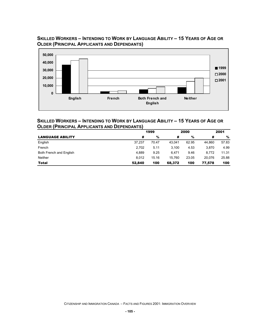## **SKILLED WORKERS – INTENDING TO WORK BY LANGUAGE ABILITY – 15 YEARS OF AGE OR OLDER (PRINCIPAL APPLICANTS AND DEPENDANTS)**



#### **SKILLED WORKERS – INTENDING TO WORK BY LANGUAGE ABILITY – 15 YEARS OF AGE OR OLDER (PRINCIPAL APPLICANTS AND DEPENDANTS)**

|                         | 1999   |       | 2000   |       | 2001   |       |
|-------------------------|--------|-------|--------|-------|--------|-------|
| <b>LANGUAGE ABILITY</b> | #      | %     | #      | %     | #      | %     |
| English                 | 37.237 | 70.47 | 43.041 | 62.95 | 44.860 | 57.83 |
| French                  | 2,702  | 5.11  | 3.100  | 4.53  | 3.870  | 4.99  |
| Both French and English | 4.889  | 9.25  | 6.471  | 9.46  | 8.772  | 11.31 |
| Neither                 | 8.012  | 15.16 | 15.760 | 23.05 | 20.076 | 25.88 |
| Total                   | 52,840 | 100   | 68.372 | 100   | 77.578 | 100   |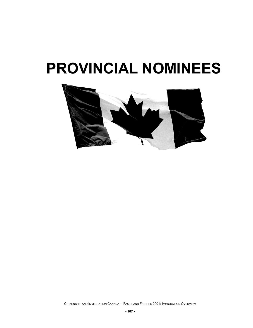# **PROVINCIAL NOMINEES**

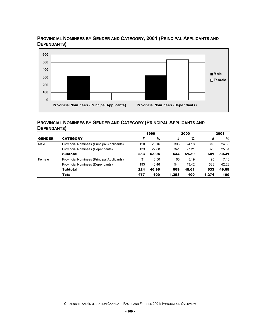## **PROVINCIAL NOMINEES BY GENDER AND CATEGORY, 2001 (PRINCIPAL APPLICANTS AND DEPENDANTS)**



#### **PROVINCIAL NOMINEES BY GENDER AND CATEGORY (PRINCIPAL APPLICANTS AND DEPENDANTS)**

|               | <b>CATEGORY</b>                            | 1999 |       | 2000  |       | 2001  |       |
|---------------|--------------------------------------------|------|-------|-------|-------|-------|-------|
| <b>GENDER</b> |                                            | #    | %     | #     | %     | #     | $\%$  |
| Male          | Provincial Nominees (Principal Applicants) | 120  | 25.16 | 303   | 24.18 | 316   | 24.80 |
|               | Provincial Nominees (Dependants)           | 133  | 27.88 | 341   | 27.21 | 325   | 25.51 |
|               | <b>Subtotal</b>                            | 253  | 53.04 | 644   | 51.39 | 641   | 50.31 |
| Female        | Provincial Nominees (Principal Applicants) | 31   | 6.50  | 65    | 5.19  | 95    | 7.46  |
|               | Provincial Nominees (Dependants)           | 193  | 40.46 | 544   | 43.42 | 538   | 42.23 |
|               | <b>Subtotal</b>                            | 224  | 46.96 | 609   | 48.61 | 633   | 49.69 |
|               | Total                                      | 477  | 100   | 1,253 | 100   | 1.274 | 100   |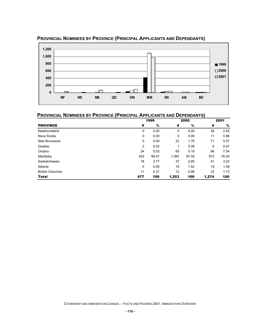

# **PROVINCIAL NOMINEES BY PROVINCE (PRINCIPAL APPLICANTS AND DEPENDANTS)**

### **PROVINCIAL NOMINEES BY PROVINCE (PRINCIPAL APPLICANTS AND DEPENDANTS)**

|                         | 1999           |       |       | 2000  | 2001  |       |
|-------------------------|----------------|-------|-------|-------|-------|-------|
| <b>PROVINCE</b>         | #              | %     | #     | %     | #     | %     |
| Newfoundland            | 0              | 0.00  | 0     | 0.00  | 36    | 2.83  |
| Nova Scotia             | 0              | 0.00  | 0     | 0.00  | 11    | 0.86  |
| New Brunswick           | 0              | 0.00  | 22    | 1.76  | 71    | 5.57  |
| Quebec                  | $\overline{2}$ | 0.42  | 1     | 0.08  | 6     | 0.47  |
| Ontario                 | 24             | 5.03  | 65    | 5.19  | 96    | 7.54  |
| Manitoba                | 422            | 88.47 | 1,097 | 87.55 | 972   | 76.30 |
| Saskatchewan            | 18             | 3.77  | 37    | 2.95  | 41    | 3.22  |
| Alberta                 | 0              | 0.00  | 19    | 1.52  | 19    | 1.49  |
| <b>British Columbia</b> | 11             | 2.31  | 12    | 0.96  | 22    | 1.73  |
| <b>Total</b>            | 477            | 100   | 1,253 | 100   | 1,274 | 100   |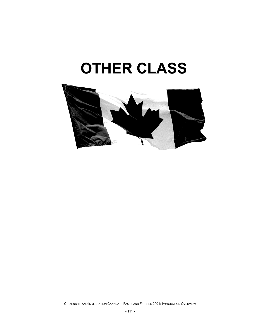# **OTHER CLASS**

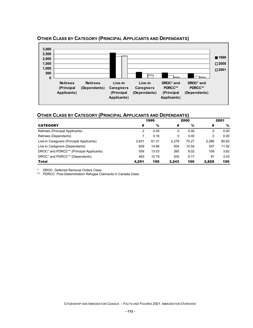

#### **OTHER CLASS BY CATEGORY (PRINCIPAL APPLICANTS AND DEPENDANTS)**

#### **OTHER CLASS BY CATEGORY (PRINCIPAL APPLICANTS AND DEPENDANTS)**

|                                           |       | 1999  |       | 2000  |       | 2001  |  |
|-------------------------------------------|-------|-------|-------|-------|-------|-------|--|
| <b>CATEGORY</b>                           | #     | %     | #     | %     | #     | %     |  |
| Retirees (Principal Applicants)           | 2     | 0.05  | 0     | 0.00  | 0     | 0.00  |  |
| Retirees (Dependants)                     |       | 0.16  | 0     | 0.00  | 0     | 0.00  |  |
| Live-in Caregivers (Principal Applicants) | 2.631 | 61.31 | 2.279 | 70.27 | 2,286 | 80.83 |  |
| Live-in Caregivers (Dependants)           | 629   | 14.66 | 504   | 15.54 | 337   | 11.92 |  |
| DROC* and PDRCC** (Principal Applicants)  | 559   | 13.03 | 260   | 8.02  | 108   | 3.82  |  |
| DROC* and PDRCC** (Dependants)            | 463   | 10.79 | 200   | 6.17  | 97    | 3.43  |  |
| Total                                     | 4.291 | 100   | 3,243 | 100   | 2,828 | 100   |  |

DROC: Deferred Removal Orders Class

\*\* PDRCC: Post-Determination Refugee Claimants in Canada Class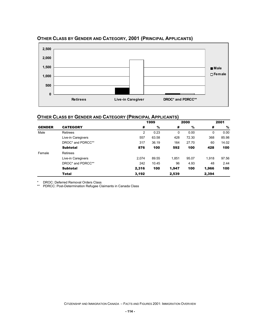

## **OTHER CLASS BY GENDER AND CATEGORY, 2001 (PRINCIPAL APPLICANTS)**

# **OTHER CLASS BY GENDER AND CATEGORY (PRINCIPAL APPLICANTS)**

|               |                    |       | 1999  |       | 2000  |       | 2001  |  |
|---------------|--------------------|-------|-------|-------|-------|-------|-------|--|
| <b>GENDER</b> | <b>CATEGORY</b>    | #     | %     | #     | $\%$  | #     | %     |  |
| Male          | Retirees           | 2     | 0.23  | 0     | 0.00  | 0     | 0.00  |  |
|               | Live-in Caregivers | 557   | 63.58 | 428   | 72.30 | 368   | 85.98 |  |
|               | DROC* and PDRCC**  | 317   | 36.19 | 164   | 27.70 | 60    | 14.02 |  |
|               | <b>Subtotal</b>    | 876   | 100   | 592   | 100   | 428   | 100   |  |
| Female        | Retirees           |       |       |       |       |       |       |  |
|               | Live-in Caregivers | 2,074 | 89.55 | 1,851 | 95.07 | 1,918 | 97.56 |  |
|               | DROC* and PDRCC**  | 242   | 10.45 | 96    | 4.93  | 48    | 2.44  |  |
|               | <b>Subtotal</b>    | 2,316 | 100   | 1,947 | 100   | 1,966 | 100   |  |
|               | <b>Total</b>       | 3,192 |       | 2,539 |       | 2,394 |       |  |

\* DROC: Deferred Removal Orders Class

\*\* PDRCC: Post-Determination Refugee Claimants in Canada Class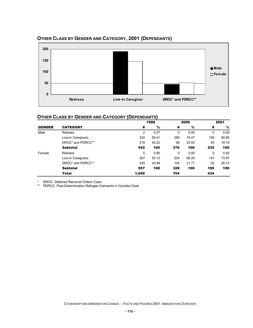

## **OTHER CLASS BY GENDER AND CATEGORY, 2001 (DEPENDANTS)**

# **OTHER CLASS BY GENDER AND CATEGORY (DEPENDANTS)**

|               |                    |       | 1999  |     | 2000  |     | 2001  |  |
|---------------|--------------------|-------|-------|-----|-------|-----|-------|--|
| <b>GENDER</b> | <b>CATEGORY</b>    | #     | %     | #   | $\%$  | #   | %     |  |
| Male          | Retirees           | 2     | 0.37  | 0   | 0.00  | 0   | 0.00  |  |
|               | Live-in Caregivers | 322   | 59.41 | 280 | 74.47 | 190 | 80.85 |  |
|               | DROC* and PDRCC**  | 218   | 40.22 | 96  | 25.53 | 45  | 19.15 |  |
|               | <b>Subtotal</b>    | 542   | 100   | 376 | 100   | 235 | 100   |  |
| Female        | Retirees           | 5     | 0.90  | 0   | 0.00  | 0   | 0.00  |  |
|               | Live-in Caregivers | 307   | 55.12 | 224 | 68.29 | 147 | 73.87 |  |
|               | DROC* and PDRCC**  | 245   | 43.99 | 104 | 31.71 | 52  | 26.13 |  |
|               | <b>Subtotal</b>    | 557   | 100   | 328 | 100   | 199 | 100   |  |
|               | <b>Total</b>       | 1,099 |       | 704 |       | 434 |       |  |

\* DROC: Deferred Removal Orders Class

\*\* PDRCC: Post-Determination Refugee Claimants in Canada Class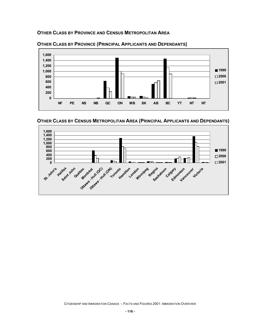#### **OTHER CLASS BY PROVINCE AND CENSUS METROPOLITAN AREA**



#### **OTHER CLASS BY PROVINCE (PRINCIPAL APPLICANTS AND DEPENDANTS)**

#### **OTHER CLASS BY CENSUS METROPOLITAN AREA (PRINCIPAL APPLICANTS AND DEPENDANTS)**

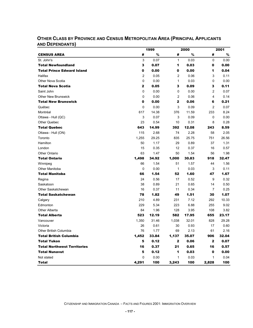|                                    | 1999  | 2000  |              | 2001  |                |       |
|------------------------------------|-------|-------|--------------|-------|----------------|-------|
| <b>CENSUS AREA</b>                 | #     | %     | #            | %     | #              | %     |
| St. John's                         | 3     | 0.07  | $\mathbf{1}$ | 0.03  | 0              | 0.00  |
| <b>Total Newfoundland</b>          | 3     | 0.07  | 1            | 0.03  | 0              | 0.00  |
| <b>Total Prince Edward Island</b>  | 0     | 0.00  | 0            | 0.00  | 1              | 0.04  |
| Halifax                            | 2     | 0.05  | 2            | 0.06  | 3              | 0.11  |
| <b>Other Nova Scotia</b>           | 0     | 0.00  | 1            | 0.03  | 0              | 0.00  |
| <b>Total Nova Scotia</b>           | 2     | 0.05  | 3            | 0.09  | 3              | 0.11  |
| Saint John                         | 0     | 0.00  | 0            | 0.00  | $\overline{c}$ | 0.07  |
| <b>Other New Brunswick</b>         | 0     | 0.00  | 2            | 0.06  | 4              | 0.14  |
| <b>Total New Brunswick</b>         | 0     | 0.00  | $\mathbf{2}$ | 0.06  | 6              | 0.21  |
| Québec                             | 0     | 0.00  | 3            | 0.09  | 2              | 0.07  |
| Montréal                           | 617   | 14.38 | 376          | 11.59 | 233            | 8.24  |
| Ottawa - Hull (QC)                 | 3     | 0.07  | 3            | 0.09  | 0              | 0.00  |
| <b>Other Quebec</b>                | 23    | 0.54  | 10           | 0.31  | 8              | 0.28  |
| <b>Total Quebec</b>                | 643   | 14.99 | 392          | 12.08 | 243            | 8.59  |
| Ottawa - Hull (ON)                 | 115   | 2.68  | 74           | 2.28  | 58             | 2.05  |
| Toronto                            | 1,255 | 29.25 | 835          | 25.75 | 751            | 26.56 |
| Hamilton                           | 50    | 1.17  | 29           | 0.89  | 37             | 1.31  |
| London                             | 15    | 0.35  | 12           | 0.37  | 16             | 0.57  |
| Other Ontario                      | 63    | 1.47  | 50           | 1.54  | 56             | 1.98  |
| <b>Total Ontario</b>               | 1,498 | 34.92 | 1,000        | 30.83 | 918            | 32.47 |
| Winnipeg                           | 66    | 1.54  | 51           | 1.57  | 44             | 1.56  |
| Other Manitoba                     | 0     | 0.00  | 1            | 0.03  | 3              | 0.11  |
| <b>Total Manitoba</b>              | 66    | 1.54  | 52           | 1.60  | 47             | 1.67  |
| Regina                             | 24    | 0.56  | 17           | 0.52  | 9              | 0.32  |
| Saskatoon                          | 38    | 0.89  | 21           | 0.65  | 14             | 0.50  |
| Other Saskatchewan                 | 16    | 0.37  | 11           | 0.34  | 7              | 0.25  |
| Total Saskatchewan                 | 78    | 1.82  | 49           | 1.51  | 30             | 1.07  |
| Calgary                            | 210   | 4.89  | 231          | 7.12  | 292            | 10.33 |
| Edmonton                           | 229   | 5.34  | 223          | 6.88  | 255            | 9.02  |
| Other Alberta                      | 84    | 1.96  | 128          | 3.95  | 108            | 3.82  |
| Total Alberta                      | 523   | 12.19 | 582          | 17.95 | 655            | 23.17 |
| Vancouver                          | 1,350 | 31.46 | 1,038        | 32.01 | 828            | 29.28 |
| Victoria                           | 26    | 0.61  | 30           | 0.93  | 17             | 0.60  |
| Other British Columbia             | 76    | 1.77  | 69           | 2.13  | 61             | 2.16  |
| <b>Total British Columbia</b>      | 1,452 | 33.84 | 1,137        | 35.07 | 906            | 32.04 |
| <b>Total Yukon</b>                 | 5     | 0.12  | $\mathbf{2}$ | 0.06  | $\mathbf{2}$   | 0.07  |
| <b>Total Northwest Territories</b> | 16    | 0.37  | 21           | 0.65  | 16             | 0.57  |
| <b>Total Nunavut</b>               | 5     | 0.12  | 1            | 0.03  | $\mathbf 0$    | 0.00  |
| Not stated                         | 0     | 0.00  | 1            | 0.03  | $\mathbf{1}$   | 0.04  |
| <b>Total</b>                       | 4,291 | 100   | 3,243        | 100   | 2,828          | 100   |

# **OTHER CLASS BY PROVINCE AND CENSUS METROPOLITAN AREA (PRINCIPAL APPLICANTS AND DEPENDANTS)**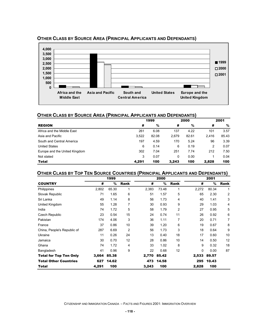

#### **OTHER CLASS BY SOURCE AREA (PRINCIPAL APPLICANTS AND DEPENDANTS)**

#### **OTHER CLASS BY SOURCE AREA (PRINCIPAL APPLICANTS AND DEPENDANTS)**

|                               | 1999  |       | 2000  |       | 2001  |       |
|-------------------------------|-------|-------|-------|-------|-------|-------|
| <b>REGION</b>                 | #     | %     | #     | %     | #     | %     |
| Africa and the Middle East    | 261   | 6.08  | 137   | 4.22  | 101   | 3.57  |
| Asia and Pacific              | 3,522 | 82.08 | 2,679 | 82.61 | 2.416 | 85.43 |
| South and Central America     | 197   | 4.59  | 170   | 5.24  | 96    | 3.39  |
| <b>United States</b>          | 6     | 0.14  | 6     | 0.19  | 2     | 0.07  |
| Europe and the United Kingdom | 302   | 7.04  | 251   | 7.74  | 212   | 7.50  |
| Not stated                    | 3     | 0.07  | 0     | 0.00  |       | 0.04  |
| Total                         | 4.291 | 100   | 3.243 | 100   | 2,828 | 100   |

#### **OTHER CLASS BY TOP TEN SOURCE COUNTRIES (PRINCIPAL APPLICANTS AND DEPENDANTS)**

|                               |       | 1999  |                |       | 2000  |                |       | 2001  |                |
|-------------------------------|-------|-------|----------------|-------|-------|----------------|-------|-------|----------------|
| <b>COUNTRY</b>                | #     | %     | Rank           | #     | %     | Rank           | #     | %     | Rank           |
| Philippines                   | 2,802 | 65.30 | 1              | 2,383 | 73.48 | 1              | 2,272 | 80.34 |                |
| Slovak Republic               | 71    | 1.65  | 6              | 51    | 1.57  | 5              | 65    | 2.30  | $\overline{2}$ |
| Sri Lanka                     | 49    | 1.14  | 8              | 56    | 1.73  | 4              | 40    | 1.41  | 3              |
| United Kingdom                | 55    | 1.28  | 7              | 30    | 0.93  | 9              | 29    | 1.03  | 4              |
| India                         | 74    | 1.72  | 5              | 58    | 1.79  | $\overline{2}$ | 27    | 0.95  | 5              |
| Czech Republic                | 23    | 0.54  | 15             | 24    | 0.74  | 11             | 26    | 0.92  | 6              |
| Pakistan                      | 174   | 4.06  | 3              | 36    | 1.11  | 7              | 20    | 0.71  | 7              |
| France                        | 37    | 0.86  | 10             | 39    | 1.20  | 6              | 19    | 0.67  | 8              |
| China, People's Republic of   | 287   | 6.69  | $\overline{2}$ | 56    | 1.73  | 3              | 18    | 0.64  | 9              |
| Ukraine                       | 11    | 0.26  | 24             | 13    | 0.40  | 18             | 17    | 0.60  | 10             |
| Jamaica                       | 30    | 0.70  | 12             | 28    | 0.86  | 10             | 14    | 0.50  | 12             |
| Ghana                         | 74    | 1.72  | 4              | 33    | 1.02  | 8              | 9     | 0.32  | 18             |
| Bangladesh                    | 41    | 0.96  | 9              | 22    | 0.68  | 12             | 0     | 0.00  | 87             |
| <b>Total for Top Ten Only</b> | 3,664 | 85.38 |                | 2,770 | 85.42 |                | 2,533 | 89.57 |                |
| <b>Total Other Countries</b>  | 627   | 14.62 |                | 473   | 14.58 |                | 295   | 10.43 |                |
| Total                         | 4,291 | 100   |                | 3,243 | 100   |                | 2,828 | 100   |                |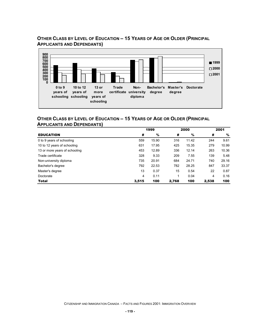## **OTHER CLASS BY LEVEL OF EDUCATION – 15 YEARS OF AGE OR OLDER (PRINCIPAL APPLICANTS AND DEPENDANTS)**



## **OTHER CLASS BY LEVEL OF EDUCATION – 15 YEARS OF AGE OR OLDER (PRINCIPAL APPLICANTS AND DEPENDANTS)**

|                               |       | 1999  |       | 2000  |       | 2001  |  |
|-------------------------------|-------|-------|-------|-------|-------|-------|--|
| <b>EDUCATION</b>              | #     | %     | #     | %     | #     | %     |  |
| 0 to 9 years of schooling     | 559   | 15.90 | 316   | 11.42 | 244   | 9.61  |  |
| 10 to 12 years of schooling   | 631   | 17.95 | 425   | 15.35 | 279   | 10.99 |  |
| 13 or more years of schooling | 453   | 12.89 | 336   | 12.14 | 263   | 10.36 |  |
| Trade certificate             | 328   | 9.33  | 209   | 7.55  | 139   | 5.48  |  |
| Non-university diploma        | 735   | 20.91 | 684   | 24.71 | 740   | 29.16 |  |
| Bachelor's degree             | 792   | 22.53 | 782   | 28.25 | 847   | 33.37 |  |
| Master's degree               | 13    | 0.37  | 15    | 0.54  | 22    | 0.87  |  |
| Doctorate                     | 4     | 0.11  |       | 0.04  | 4     | 0.16  |  |
| <b>Total</b>                  | 3,515 | 100   | 2.768 | 100   | 2.538 | 100   |  |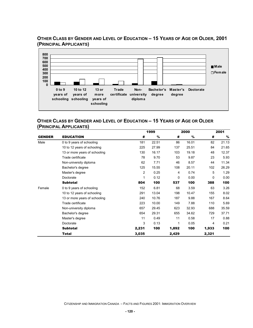## **OTHER CLASS BY GENDER AND LEVEL OF EDUCATION – 15 YEARS OF AGE OR OLDER, 2001 (PRINCIPAL APPLICANTS)**



#### **OTHER CLASS BY GENDER AND LEVEL OF EDUCATION – 15 YEARS OF AGE OR OLDER (PRINCIPAL APPLICANTS)**

|               |                               | 1999  |       | 2000     | 2001  |       |       |
|---------------|-------------------------------|-------|-------|----------|-------|-------|-------|
| <b>GENDER</b> | <b>EDUCATION</b>              | #     | %     | #        | %     | #     | %     |
| Male          | 0 to 9 years of schooling     | 181   | 22.51 | 86       | 16.01 | 82    | 21.13 |
|               | 10 to 12 years of schooling   | 225   | 27.99 | 137      | 25.51 | 84    | 21.65 |
|               | 13 or more years of schooling | 130   | 16.17 | 103      | 19.18 | 48    | 12.37 |
|               | Trade certificate             | 78    | 9.70  | 53       | 9.87  | 23    | 5.93  |
|               | Non-university diploma        | 62    | 7.71  | 46       | 8.57  | 44    | 11.34 |
|               | Bachelor's degree             | 125   | 15.55 | 108      | 20.11 | 102   | 26.29 |
|               | Master's degree               | 2     | 0.25  | 4        | 0.74  | 5     | 1.29  |
|               | Doctorate                     |       | 0.12  | $\Omega$ | 0.00  | 0     | 0.00  |
|               | <b>Subtotal</b>               | 804   | 100   | 537      | 100   | 388   | 100   |
| Female        | 0 to 9 years of schooling     | 152   | 6.81  | 68       | 3.59  | 63    | 3.26  |
|               | 10 to 12 years of schooling   | 291   | 13.04 | 198      | 10.47 | 155   | 8.02  |
|               | 13 or more years of schooling | 240   | 10.76 | 187      | 9.88  | 167   | 8.64  |
|               | Trade certificate             | 223   | 10.00 | 149      | 7.88  | 110   | 5.69  |
|               | Non-university diploma        | 657   | 29.45 | 623      | 32.93 | 688   | 35.59 |
|               | Bachelor's degree             | 654   | 29.31 | 655      | 34.62 | 729   | 37.71 |
|               | Master's degree               | 11    | 0.49  | 11       | 0.58  | 17    | 0.88  |
|               | Doctorate                     | 3     | 0.13  | 1        | 0.05  | 4     | 0.21  |
|               | <b>Subtotal</b>               | 2,231 | 100   | 1,892    | 100   | 1,933 | 100   |
|               | Total                         | 3,035 |       | 2,429    |       | 2,321 |       |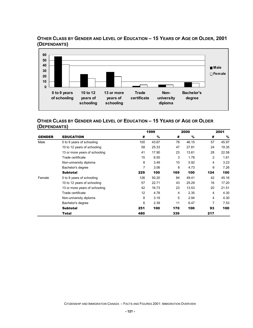## **OTHER CLASS BY GENDER AND LEVEL OF EDUCATION – 15 YEARS OF AGE OR OLDER, 2001 (DEPENDANTS)**



## **OTHER CLASS BY GENDER AND LEVEL OF EDUCATION – 15 YEARS OF AGE OR OLDER (DEPENDANTS)**

|               | <b>EDUCATION</b>              |     | 1999  |     | 2000  | 2001 |       |
|---------------|-------------------------------|-----|-------|-----|-------|------|-------|
| <b>GENDER</b> |                               | #   | %     | #   | %     | #    | %     |
| Male          | 0 to 9 years of schooling     | 100 | 43.67 | 78  | 46.15 | 57   | 45.97 |
|               | 10 to 12 years of schooling   | 58  | 25.33 | 47  | 27.81 | 24   | 19.35 |
|               | 13 or more years of schooling | 41  | 17.90 | 23  | 13.61 | 28   | 22.58 |
|               | Trade certificate             | 15  | 6.55  | 3   | 1.78  | 2    | 1.61  |
|               | Non-university diploma        | 8   | 3.49  | 10  | 5.92  | 4    | 3.23  |
|               | Bachelor's degree             | 7   | 3.06  | 8   | 4.73  | 9    | 7.26  |
|               | <b>Subtotal</b>               | 229 | 100   | 169 | 100   | 124  | 100   |
| Female        | 0 to 9 years of schooling     | 126 | 50.20 | 84  | 49.41 | 42   | 45.16 |
|               | 10 to 12 years of schooling   | 57  | 22.71 | 43  | 25.29 | 16   | 17.20 |
|               | 13 or more years of schooling | 42  | 16.73 | 23  | 13.53 | 20   | 21.51 |
|               | Trade certificate             | 12  | 4.78  | 4   | 2.35  | 4    | 4.30  |
|               | Non-university diploma        | 8   | 3.19  | 5   | 2.94  | 4    | 4.30  |
|               | Bachelor's degree             | 6   | 2.39  | 11  | 6.47  | 7    | 7.53  |
|               | <b>Subtotal</b>               | 251 | 100   | 170 | 100   | 93   | 100   |
|               | Total                         | 480 |       | 339 |       | 217  |       |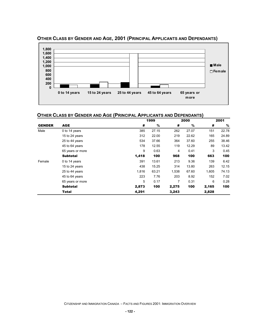

#### **OTHER CLASS BY GENDER AND AGE, 2001 (PRINCIPAL APPLICANTS AND DEPENDANTS)**

#### **OTHER CLASS BY GENDER AND AGE (PRINCIPAL APPLICANTS AND DEPENDANTS)**

|               |                  |       | 1999  | 2000  |       | 2001  |       |
|---------------|------------------|-------|-------|-------|-------|-------|-------|
| <b>GENDER</b> | <b>AGE</b>       | #     | %     | #     | %     | #     | %     |
| Male          | 0 to 14 years    | 385   | 27.15 | 262   | 27.07 | 151   | 22.78 |
|               | 15 to 24 years   | 312   | 22.00 | 219   | 22.62 | 165   | 24.89 |
|               | 25 to 44 years   | 534   | 37.66 | 364   | 37.60 | 255   | 38.46 |
|               | 45 to 64 years   | 178   | 12.55 | 119   | 12.29 | 89    | 13.42 |
|               | 65 years or more | 9     | 0.63  | 4     | 0.41  | 3     | 0.45  |
|               | <b>Subtotal</b>  | 1,418 | 100   | 968   | 100   | 663   | 100   |
| Female        | 0 to 14 years    | 391   | 13.61 | 213   | 9.36  | 139   | 6.42  |
|               | 15 to 24 years   | 438   | 15.25 | 314   | 13.80 | 263   | 12.15 |
|               | 25 to 44 years   | 1,816 | 63.21 | 1,538 | 67.60 | 1,605 | 74.13 |
|               | 45 to 64 years   | 223   | 7.76  | 203   | 8.92  | 152   | 7.02  |
|               | 65 years or more | 5     | 0.17  | 7     | 0.31  | 6     | 0.28  |
|               | <b>Subtotal</b>  | 2,873 | 100   | 2,275 | 100   | 2,165 | 100   |
|               | Total            | 4,291 |       | 3,243 |       | 2,828 |       |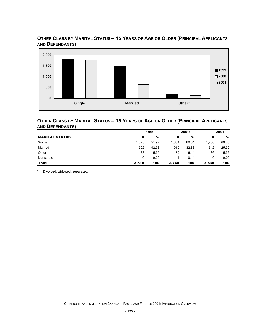## **OTHER CLASS BY MARITAL STATUS – 15 YEARS OF AGE OR OLDER (PRINCIPAL APPLICANTS AND DEPENDANTS)**



#### **OTHER CLASS BY MARITAL STATUS – 15 YEARS OF AGE OR OLDER (PRINCIPAL APPLICANTS AND DEPENDANTS)**

|                       |       | 1999  |       | 2000  |       | 2001  |  |
|-----------------------|-------|-------|-------|-------|-------|-------|--|
| <b>MARITAL STATUS</b> | #     | %     | #     | %     | #     | %     |  |
| Single                | 1,825 | 51.92 | 1.684 | 60.84 | 1.760 | 69.35 |  |
| Married               | 1,502 | 42.73 | 910   | 32.88 | 642   | 25.30 |  |
| Other*                | 188   | 5.35  | 170   | 6.14  | 136   | 5.36  |  |
| Not stated            | 0     | 0.00  | 4     | 0.14  | 0     | 0.00  |  |
| Total                 | 3,515 | 100   | 2.768 | 100   | 2.538 | 100   |  |

\* Divorced, widowed, separated.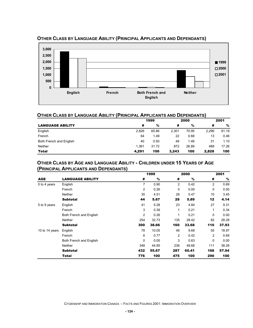

## **OTHER CLASS BY LANGUAGE ABILITY (PRINCIPAL APPLICANTS AND DEPENDANTS)**

#### **OTHER CLASS BY LANGUAGE ABILITY (PRINCIPAL APPLICANTS AND DEPENDANTS)**

|                         |       | 1999  |       |       | 2001  |       |
|-------------------------|-------|-------|-------|-------|-------|-------|
| <b>LANGUAGE ABILITY</b> | #     | %     | #     | %     | #     | %     |
| English                 | 2.826 | 65.86 | 2,301 | 70.95 | 2.296 | 81.19 |
| French                  | 64    | 1.49  | 22    | 0.68  | 13    | 0.46  |
| Both French and English | 40    | 0.93  | 48    | 1.48  | 31    | 1.10  |
| Neither                 | 1.361 | 31.72 | 872   | 26.89 | 488   | 17.26 |
| Total                   | 4.291 | 100   | 3.243 | 100   | 2.828 | 100   |

#### **OTHER CLASS BY AGE AND LANGUAGE ABILITY - CHILDREN UNDER 15 YEARS OF AGE (PRINCIPAL APPLICANTS AND DEPENDANTS)**

|                | <b>LANGUAGE ABILITY</b> |     | 1999  |     | 2000  |                | 2001  |  |
|----------------|-------------------------|-----|-------|-----|-------|----------------|-------|--|
| <b>AGE</b>     |                         | #   | $\%$  | #   | %     | #              | %     |  |
| 0 to 4 years   | English                 | 7   | 0.90  | 2   | 0.42  | 2              | 0.69  |  |
|                | French                  | 2   | 0.26  | 0   | 0.00  | 0              | 0.00  |  |
|                | <b>Neither</b>          | 35  | 4.51  | 26  | 5.47  | 10             | 3.45  |  |
|                | <b>Subtotal</b>         | 44  | 5.67  | 28  | 5.89  | 12             | 4.14  |  |
| 5 to 9 years   | English                 | 41  | 5.28  | 23  | 4.84  | 27             | 9.31  |  |
|                | French                  | 3   | 0.39  | 1   | 0.21  | 1              | 0.34  |  |
|                | Both French and English | 2   | 0.26  | 1   | 0.21  | $\mathbf 0$    | 0.00  |  |
|                | Neither                 | 254 | 32.73 | 135 | 28.42 | 82             | 28.28 |  |
|                | <b>Subtotal</b>         | 300 | 38.66 | 160 | 33.68 | 110            | 37.93 |  |
| 10 to 14 years | English                 | 78  | 10.05 | 46  | 9.68  | 55             | 18.97 |  |
|                | French                  | 6   | 0.77  | 2   | 0.42  | $\overline{2}$ | 0.69  |  |
|                | Both French and English | 0   | 0.00  | 3   | 0.63  | 0              | 0.00  |  |
|                | <b>Neither</b>          | 348 | 44.85 | 236 | 49.68 | 111            | 38.28 |  |
|                | <b>Subtotal</b>         | 432 | 55.67 | 287 | 60.41 | 168            | 57.94 |  |
|                | Total                   | 776 | 100   | 475 | 100   | 290            | 100   |  |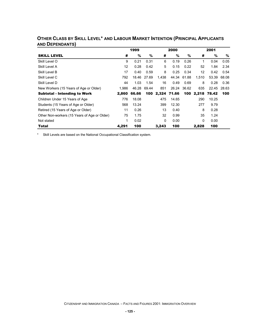|                                              | 1999  |       |             | 2000            |       |             | 2001            |       |       |
|----------------------------------------------|-------|-------|-------------|-----------------|-------|-------------|-----------------|-------|-------|
| <b>SKILL LEVEL</b>                           | #     | %     | %           | #               | %     | %           | #               | %     | %     |
| Skill Level O                                | 9     | 0.21  | 0.31        | 6               | 0.19  | 0.26        | 1               | 0.04  | 0.05  |
| Skill Level A                                | 12    | 0.28  | 0.42        | 5               | 0.15  | 0.22        | 52              | 1.84  | 2.34  |
| Skill Level B                                | 17    | 0.40  | 0.59        | 8               | 0.25  | 0.34        | 12              | 0.42  | 0.54  |
| Skill Level C                                | 792   |       | 18.46 27.69 | 1,438           | 44.34 | 61.88       | 1,510           | 53.39 | 68.08 |
| Skill Level D                                | 44    | 1.03  | 1.54        | 16              | 0.49  | 0.69        | 8               | 0.28  | 0.36  |
| New Workers (15 Years of Age or Older)       | 1.986 | 46.28 | 69.44       | 851             |       | 26.24 36.62 | 635             | 22.45 | 28.63 |
| <b>Subtotal - Intending to Work</b>          | 2,860 | 66.66 |             | 100 2,324 71.66 |       |             | 100 2,218 78.42 |       | 100   |
| Children Under 15 Years of Age               | 776   | 18.08 |             | 475             | 14.65 |             | 290             | 10.25 |       |
| Students (15 Years of Age or Older)          | 568   | 13.24 |             | 399             | 12.30 |             | 277             | 9.79  |       |
| Retired (15 Years of Age or Older)           | 11    | 0.26  |             | 13              | 0.40  |             | 8               | 0.28  |       |
| Other Non-workers (15 Years of Age or Older) | 75    | 1.75  |             | 32              | 0.99  |             | 35              | 1.24  |       |
| Not stated                                   | 1     | 0.02  |             | 0               | 0.00  |             | 0               | 0.00  |       |
| Total                                        | 4.291 | 100   |             | 3,243           | 100   |             | 2,828           | 100   |       |

## **OTHER CLASS BY SKILL LEVEL\* AND LABOUR MARKET INTENTION (PRINCIPAL APPLICANTS AND DEPENDANTS)**

\* Skill Levels are based on the National Occupational Classification system.